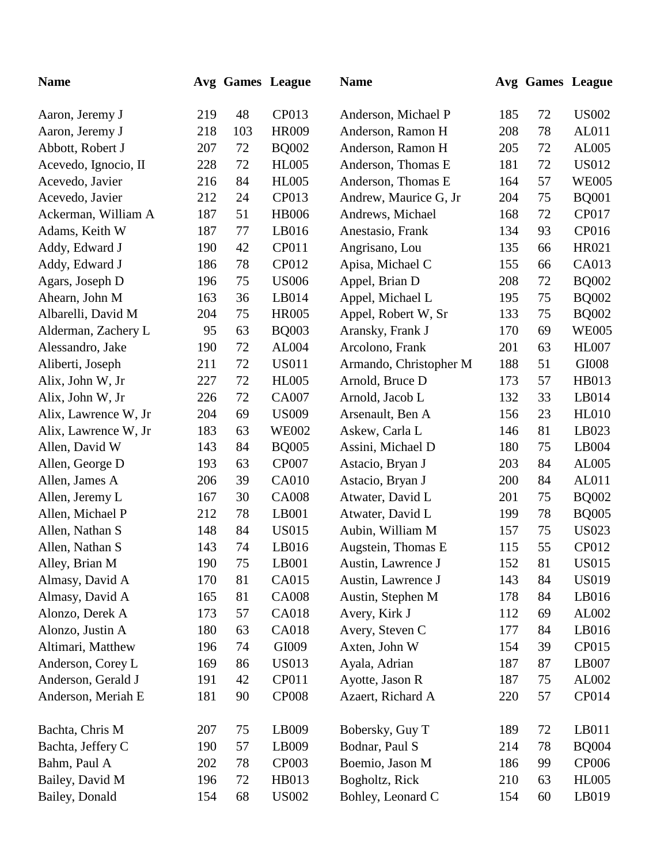| <b>Name</b>          |     |     | Avg Games League | <b>Name</b>            |     |    | Avg Games League |
|----------------------|-----|-----|------------------|------------------------|-----|----|------------------|
| Aaron, Jeremy J      | 219 | 48  | CP013            | Anderson, Michael P    | 185 | 72 | <b>US002</b>     |
| Aaron, Jeremy J      | 218 | 103 | <b>HR009</b>     | Anderson, Ramon H      | 208 | 78 | AL011            |
| Abbott, Robert J     | 207 | 72  | <b>BQ002</b>     | Anderson, Ramon H      | 205 | 72 | AL005            |
| Acevedo, Ignocio, II | 228 | 72  | <b>HL005</b>     | Anderson, Thomas E     | 181 | 72 | <b>US012</b>     |
| Acevedo, Javier      | 216 | 84  | <b>HL005</b>     | Anderson, Thomas E     | 164 | 57 | <b>WE005</b>     |
| Acevedo, Javier      | 212 | 24  | CP013            | Andrew, Maurice G, Jr  | 204 | 75 | <b>BQ001</b>     |
| Ackerman, William A  | 187 | 51  | <b>HB006</b>     | Andrews, Michael       | 168 | 72 | CP017            |
| Adams, Keith W       | 187 | 77  | LB016            | Anestasio, Frank       | 134 | 93 | CP016            |
| Addy, Edward J       | 190 | 42  | CP011            | Angrisano, Lou         | 135 | 66 | HR021            |
| Addy, Edward J       | 186 | 78  | CP012            | Apisa, Michael C       | 155 | 66 | CA013            |
| Agars, Joseph D      | 196 | 75  | <b>US006</b>     | Appel, Brian D         | 208 | 72 | <b>BQ002</b>     |
| Ahearn, John M       | 163 | 36  | LB014            | Appel, Michael L       | 195 | 75 | <b>BQ002</b>     |
| Albarelli, David M   | 204 | 75  | <b>HR005</b>     | Appel, Robert W, Sr    | 133 | 75 | <b>BQ002</b>     |
| Alderman, Zachery L  | 95  | 63  | <b>BQ003</b>     | Aransky, Frank J       | 170 | 69 | <b>WE005</b>     |
| Alessandro, Jake     | 190 | 72  | AL004            | Arcolono, Frank        | 201 | 63 | <b>HL007</b>     |
| Aliberti, Joseph     | 211 | 72  | <b>US011</b>     | Armando, Christopher M | 188 | 51 | GI008            |
| Alix, John W, Jr     | 227 | 72  | <b>HL005</b>     | Arnold, Bruce D        | 173 | 57 | HB013            |
| Alix, John W, Jr     | 226 | 72  | <b>CA007</b>     | Arnold, Jacob L        | 132 | 33 | LB014            |
| Alix, Lawrence W, Jr | 204 | 69  | <b>US009</b>     | Arsenault, Ben A       | 156 | 23 | <b>HL010</b>     |
| Alix, Lawrence W, Jr | 183 | 63  | <b>WE002</b>     | Askew, Carla L         | 146 | 81 | LB023            |
| Allen, David W       | 143 | 84  | <b>BQ005</b>     | Assini, Michael D      | 180 | 75 | LB004            |
| Allen, George D      | 193 | 63  | <b>CP007</b>     | Astacio, Bryan J       | 203 | 84 | AL005            |
| Allen, James A       | 206 | 39  | <b>CA010</b>     | Astacio, Bryan J       | 200 | 84 | AL011            |
| Allen, Jeremy L      | 167 | 30  | <b>CA008</b>     | Atwater, David L       | 201 | 75 | <b>BQ002</b>     |
| Allen, Michael P     | 212 | 78  | LB001            | Atwater, David L       | 199 | 78 | <b>BQ005</b>     |
| Allen, Nathan S      | 148 | 84  | <b>US015</b>     | Aubin, William M       | 157 | 75 | <b>US023</b>     |
| Allen, Nathan S      | 143 | 74  | LB016            | Augstein, Thomas E     | 115 | 55 | CP012            |
| Alley, Brian M       | 190 | 75  | LB001            | Austin, Lawrence J     | 152 | 81 | <b>US015</b>     |
| Almasy, David A      | 170 | 81  | <b>CA015</b>     | Austin, Lawrence J     | 143 | 84 | <b>US019</b>     |
| Almasy, David A      | 165 | 81  | <b>CA008</b>     | Austin, Stephen M      | 178 | 84 | LB016            |
| Alonzo, Derek A      | 173 | 57  | <b>CA018</b>     | Avery, Kirk J          | 112 | 69 | AL002            |
| Alonzo, Justin A     | 180 | 63  | <b>CA018</b>     | Avery, Steven C        | 177 | 84 | LB016            |
| Altimari, Matthew    | 196 | 74  | GI009            | Axten, John W          | 154 | 39 | CP015            |
| Anderson, Corey L    | 169 | 86  | <b>US013</b>     | Ayala, Adrian          | 187 | 87 | LB007            |
| Anderson, Gerald J   | 191 | 42  | CP011            | Ayotte, Jason R        | 187 | 75 | AL002            |
| Anderson, Meriah E   | 181 | 90  | <b>CP008</b>     | Azaert, Richard A      | 220 | 57 | CP014            |
| Bachta, Chris M      | 207 | 75  | LB009            | Bobersky, Guy T        | 189 | 72 | LB011            |
| Bachta, Jeffery C    | 190 | 57  | LB009            | Bodnar, Paul S         | 214 | 78 | <b>BQ004</b>     |
| Bahm, Paul A         | 202 | 78  | <b>CP003</b>     | Boemio, Jason M        | 186 | 99 | <b>CP006</b>     |
| Bailey, David M      | 196 | 72  | HB013            | Bogholtz, Rick         | 210 | 63 | <b>HL005</b>     |
| Bailey, Donald       | 154 | 68  | <b>US002</b>     | Bohley, Leonard C      | 154 | 60 | LB019            |
|                      |     |     |                  |                        |     |    |                  |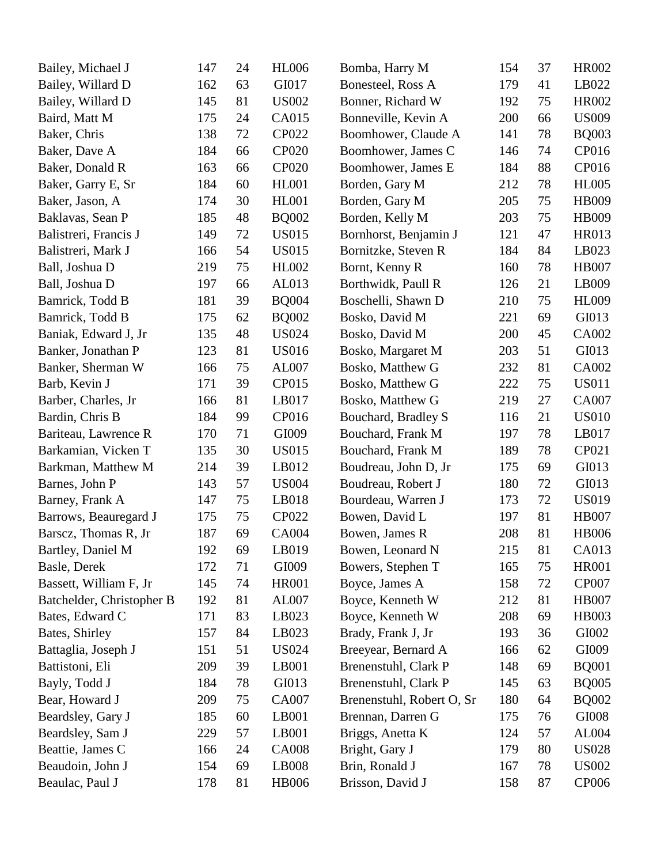| Bailey, Michael J         | 147 | 24 | <b>HL006</b> | Bomba, Harry M            | 154 | 37 | HR002        |
|---------------------------|-----|----|--------------|---------------------------|-----|----|--------------|
| Bailey, Willard D         | 162 | 63 | GI017        | Bonesteel, Ross A         | 179 | 41 | LB022        |
| Bailey, Willard D         | 145 | 81 | <b>US002</b> | Bonner, Richard W         | 192 | 75 | HR002        |
| Baird, Matt M             | 175 | 24 | <b>CA015</b> | Bonneville, Kevin A       | 200 | 66 | <b>US009</b> |
| Baker, Chris              | 138 | 72 | CP022        | Boomhower, Claude A       | 141 | 78 | <b>BQ003</b> |
| Baker, Dave A             | 184 | 66 | CP020        | Boomhower, James C        | 146 | 74 | CP016        |
| Baker, Donald R           | 163 | 66 | CP020        | Boomhower, James E        | 184 | 88 | CP016        |
| Baker, Garry E, Sr        | 184 | 60 | <b>HL001</b> | Borden, Gary M            | 212 | 78 | <b>HL005</b> |
| Baker, Jason, A           | 174 | 30 | <b>HL001</b> | Borden, Gary M            | 205 | 75 | HB009        |
| Baklavas, Sean P          | 185 | 48 | <b>BQ002</b> | Borden, Kelly M           | 203 | 75 | HB009        |
| Balistreri, Francis J     | 149 | 72 | <b>US015</b> | Bornhorst, Benjamin J     | 121 | 47 | HR013        |
| Balistreri, Mark J        | 166 | 54 | <b>US015</b> | Bornitzke, Steven R       | 184 | 84 | LB023        |
| Ball, Joshua D            | 219 | 75 | HL002        | Bornt, Kenny R            | 160 | 78 | <b>HB007</b> |
| Ball, Joshua D            | 197 | 66 | AL013        | Borthwidk, Paull R        | 126 | 21 | LB009        |
| Bamrick, Todd B           | 181 | 39 | <b>BQ004</b> | Boschelli, Shawn D        | 210 | 75 | <b>HL009</b> |
| Bamrick, Todd B           | 175 | 62 | <b>BQ002</b> | Bosko, David M            | 221 | 69 | GI013        |
| Baniak, Edward J, Jr      | 135 | 48 | <b>US024</b> | Bosko, David M            | 200 | 45 | CA002        |
| Banker, Jonathan P        | 123 | 81 | <b>US016</b> | Bosko, Margaret M         | 203 | 51 | GI013        |
| Banker, Sherman W         | 166 | 75 | AL007        | Bosko, Matthew G          | 232 | 81 | CA002        |
| Barb, Kevin J             | 171 | 39 | CP015        | Bosko, Matthew G          | 222 | 75 | <b>US011</b> |
| Barber, Charles, Jr       | 166 | 81 | LB017        | Bosko, Matthew G          | 219 | 27 | CA007        |
| Bardin, Chris B           | 184 | 99 | CP016        | Bouchard, Bradley S       | 116 | 21 | <b>US010</b> |
| Bariteau, Lawrence R      | 170 | 71 | GI009        | Bouchard, Frank M         | 197 | 78 | LB017        |
| Barkamian, Vicken T       | 135 | 30 | <b>US015</b> | Bouchard, Frank M         | 189 | 78 | CP021        |
| Barkman, Matthew M        | 214 | 39 | LB012        | Boudreau, John D, Jr      | 175 | 69 | GI013        |
| Barnes, John P            | 143 | 57 | <b>US004</b> | Boudreau, Robert J        | 180 | 72 | GI013        |
| Barney, Frank A           | 147 | 75 | LB018        | Bourdeau, Warren J        | 173 | 72 | <b>US019</b> |
| Barrows, Beauregard J     | 175 | 75 | CP022        | Bowen, David L            | 197 | 81 | <b>HB007</b> |
| Barscz, Thomas R, Jr      | 187 | 69 | <b>CA004</b> | Bowen, James R            | 208 | 81 | <b>HB006</b> |
| Bartley, Daniel M         | 192 | 69 | LB019        | Bowen, Leonard N          | 215 | 81 | CA013        |
| Basle, Derek              | 172 | 71 | GI009        | Bowers, Stephen T         | 165 | 75 | <b>HR001</b> |
| Bassett, William F, Jr    | 145 | 74 | <b>HR001</b> | Boyce, James A            | 158 | 72 | <b>CP007</b> |
| Batchelder, Christopher B | 192 | 81 | AL007        | Boyce, Kenneth W          | 212 | 81 | <b>HB007</b> |
| Bates, Edward C           | 171 | 83 | LB023        | Boyce, Kenneth W          | 208 | 69 | <b>HB003</b> |
| Bates, Shirley            | 157 | 84 | LB023        | Brady, Frank J, Jr        | 193 | 36 | GI002        |
| Battaglia, Joseph J       | 151 | 51 | <b>US024</b> | Breeyear, Bernard A       | 166 | 62 | GI009        |
| Battistoni, Eli           | 209 | 39 | LB001        | Brenenstuhl, Clark P      | 148 | 69 | <b>BQ001</b> |
| Bayly, Todd J             | 184 | 78 | GI013        | Brenenstuhl, Clark P      | 145 | 63 | <b>BQ005</b> |
| Bear, Howard J            | 209 | 75 | <b>CA007</b> | Brenenstuhl, Robert O, Sr | 180 | 64 | <b>BQ002</b> |
| Beardsley, Gary J         | 185 | 60 | LB001        | Brennan, Darren G         | 175 | 76 | GI008        |
| Beardsley, Sam J          | 229 | 57 | LB001        | Briggs, Anetta K          | 124 | 57 | AL004        |
| Beattie, James C          | 166 | 24 | <b>CA008</b> | Bright, Gary J            | 179 | 80 | <b>US028</b> |
| Beaudoin, John J          | 154 | 69 | LB008        | Brin, Ronald J            | 167 | 78 | <b>US002</b> |
| Beaulac, Paul J           | 178 | 81 | <b>HB006</b> | Brisson, David J          | 158 | 87 | <b>CP006</b> |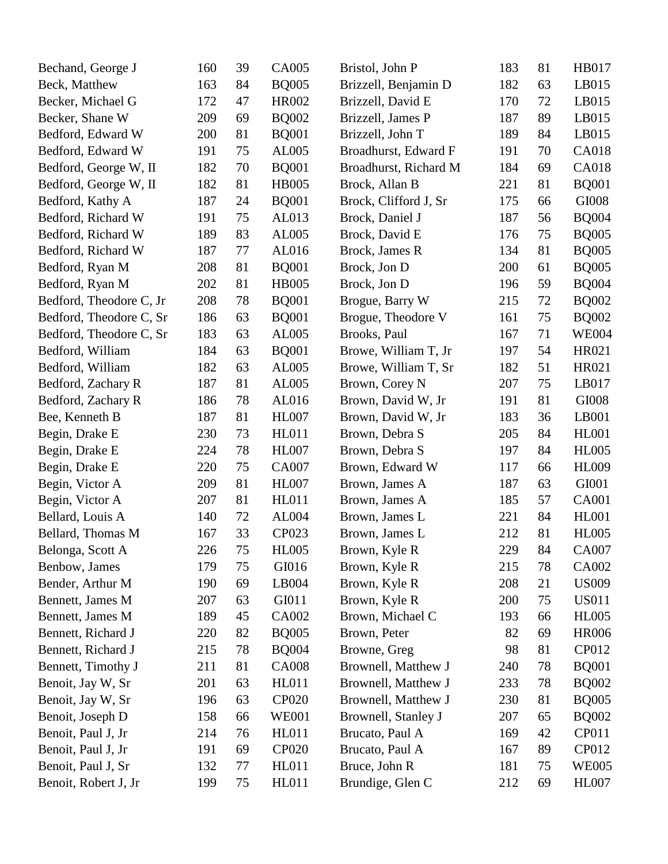| Bechand, George J       | 160 | 39 | CA005        | Bristol, John P       | 183 | 81 | HB017        |
|-------------------------|-----|----|--------------|-----------------------|-----|----|--------------|
| Beck, Matthew           | 163 | 84 | <b>BQ005</b> | Brizzell, Benjamin D  | 182 | 63 | LB015        |
| Becker, Michael G       | 172 | 47 | HR002        | Brizzell, David E     | 170 | 72 | LB015        |
| Becker, Shane W         | 209 | 69 | <b>BQ002</b> | Brizzell, James P     | 187 | 89 | LB015        |
| Bedford, Edward W       | 200 | 81 | <b>BQ001</b> | Brizzell, John T      | 189 | 84 | LB015        |
| Bedford, Edward W       | 191 | 75 | AL005        | Broadhurst, Edward F  | 191 | 70 | <b>CA018</b> |
| Bedford, George W, II   | 182 | 70 | <b>BQ001</b> | Broadhurst, Richard M | 184 | 69 | <b>CA018</b> |
| Bedford, George W, II   | 182 | 81 | <b>HB005</b> | Brock, Allan B        | 221 | 81 | <b>BQ001</b> |
| Bedford, Kathy A        | 187 | 24 | <b>BQ001</b> | Brock, Clifford J, Sr | 175 | 66 | GI008        |
| Bedford, Richard W      | 191 | 75 | AL013        | Brock, Daniel J       | 187 | 56 | <b>BQ004</b> |
| Bedford, Richard W      | 189 | 83 | AL005        | Brock, David E        | 176 | 75 | <b>BQ005</b> |
| Bedford, Richard W      | 187 | 77 | AL016        | Brock, James R        | 134 | 81 | <b>BQ005</b> |
| Bedford, Ryan M         | 208 | 81 | <b>BQ001</b> | Brock, Jon D          | 200 | 61 | <b>BQ005</b> |
| Bedford, Ryan M         | 202 | 81 | <b>HB005</b> | Brock, Jon D          | 196 | 59 | <b>BQ004</b> |
| Bedford, Theodore C, Jr | 208 | 78 | <b>BQ001</b> | Brogue, Barry W       | 215 | 72 | <b>BQ002</b> |
| Bedford, Theodore C, Sr | 186 | 63 | <b>BQ001</b> | Brogue, Theodore V    | 161 | 75 | <b>BQ002</b> |
| Bedford, Theodore C, Sr | 183 | 63 | AL005        | Brooks, Paul          | 167 | 71 | <b>WE004</b> |
| Bedford, William        | 184 | 63 | <b>BQ001</b> | Browe, William T, Jr  | 197 | 54 | HR021        |
| Bedford, William        | 182 | 63 | AL005        | Browe, William T, Sr  | 182 | 51 | HR021        |
| Bedford, Zachary R      | 187 | 81 | AL005        | Brown, Corey N        | 207 | 75 | LB017        |
| Bedford, Zachary R      | 186 | 78 | AL016        | Brown, David W, Jr    | 191 | 81 | GI008        |
| Bee, Kenneth B          | 187 | 81 | <b>HL007</b> | Brown, David W, Jr    | 183 | 36 | LB001        |
| Begin, Drake E          | 230 | 73 | <b>HL011</b> | Brown, Debra S        | 205 | 84 | <b>HL001</b> |
| Begin, Drake E          | 224 | 78 | <b>HL007</b> | Brown, Debra S        | 197 | 84 | <b>HL005</b> |
| Begin, Drake E          | 220 | 75 | <b>CA007</b> | Brown, Edward W       | 117 | 66 | <b>HL009</b> |
| Begin, Victor A         | 209 | 81 | <b>HL007</b> | Brown, James A        | 187 | 63 | GI001        |
| Begin, Victor A         | 207 | 81 | <b>HL011</b> | Brown, James A        | 185 | 57 | <b>CA001</b> |
| Bellard, Louis A        | 140 | 72 | AL004        | Brown, James L        | 221 | 84 | <b>HL001</b> |
| Bellard, Thomas M       | 167 | 33 | CP023        | Brown, James L        | 212 | 81 | <b>HL005</b> |
| Belonga, Scott A        | 226 | 75 | <b>HL005</b> | Brown, Kyle R         | 229 | 84 | CA007        |
| Benbow, James           | 179 | 75 | GI016        | Brown, Kyle R         | 215 | 78 | CA002        |
| Bender, Arthur M        | 190 | 69 | LB004        | Brown, Kyle R         | 208 | 21 | <b>US009</b> |
| Bennett, James M        | 207 | 63 | GI011        | Brown, Kyle R         | 200 | 75 | <b>US011</b> |
| Bennett, James M        | 189 | 45 | CA002        | Brown, Michael C      | 193 | 66 | <b>HL005</b> |
| Bennett, Richard J      | 220 | 82 | <b>BQ005</b> | Brown, Peter          | 82  | 69 | <b>HR006</b> |
| Bennett, Richard J      | 215 | 78 | <b>BQ004</b> | Browne, Greg          | 98  | 81 | CP012        |
| Bennett, Timothy J      | 211 | 81 | <b>CA008</b> | Brownell, Matthew J   | 240 | 78 | <b>BQ001</b> |
| Benoit, Jay W, Sr       | 201 | 63 | HL011        | Brownell, Matthew J   | 233 | 78 | <b>BQ002</b> |
| Benoit, Jay W, Sr       | 196 | 63 | <b>CP020</b> | Brownell, Matthew J   | 230 | 81 | <b>BQ005</b> |
| Benoit, Joseph D        | 158 | 66 | <b>WE001</b> | Brownell, Stanley J   | 207 | 65 | <b>BQ002</b> |
| Benoit, Paul J, Jr      | 214 | 76 | HL011        | Brucato, Paul A       | 169 | 42 | CP011        |
| Benoit, Paul J, Jr      | 191 | 69 | CP020        | Brucato, Paul A       | 167 | 89 | CP012        |
| Benoit, Paul J, Sr      | 132 | 77 | <b>HL011</b> | Bruce, John R         | 181 | 75 | <b>WE005</b> |
| Benoit, Robert J, Jr    | 199 | 75 | HL011        | Brundige, Glen C      | 212 | 69 | <b>HL007</b> |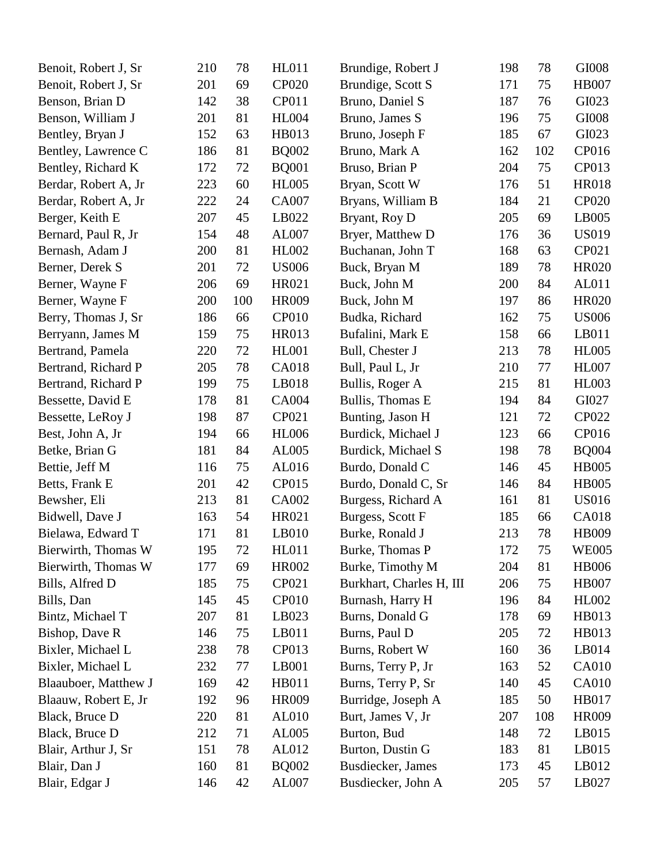| Benoit, Robert J, Sr | 210 | 78  | <b>HL011</b> | Brundige, Robert J       | 198 | 78  | GI008        |
|----------------------|-----|-----|--------------|--------------------------|-----|-----|--------------|
| Benoit, Robert J, Sr | 201 | 69  | CP020        | Brundige, Scott S        | 171 | 75  | <b>HB007</b> |
| Benson, Brian D      | 142 | 38  | CP011        | Bruno, Daniel S          | 187 | 76  | GI023        |
| Benson, William J    | 201 | 81  | <b>HL004</b> | Bruno, James S           | 196 | 75  | GI008        |
| Bentley, Bryan J     | 152 | 63  | HB013        | Bruno, Joseph F          | 185 | 67  | GI023        |
| Bentley, Lawrence C  | 186 | 81  | <b>BQ002</b> | Bruno, Mark A            | 162 | 102 | CP016        |
| Bentley, Richard K   | 172 | 72  | <b>BQ001</b> | Bruso, Brian P           | 204 | 75  | CP013        |
| Berdar, Robert A, Jr | 223 | 60  | <b>HL005</b> | Bryan, Scott W           | 176 | 51  | <b>HR018</b> |
| Berdar, Robert A, Jr | 222 | 24  | <b>CA007</b> | Bryans, William B        | 184 | 21  | CP020        |
| Berger, Keith E      | 207 | 45  | LB022        | Bryant, Roy D            | 205 | 69  | LB005        |
| Bernard, Paul R, Jr  | 154 | 48  | AL007        | Bryer, Matthew D         | 176 | 36  | <b>US019</b> |
| Bernash, Adam J      | 200 | 81  | HL002        | Buchanan, John T         | 168 | 63  | CP021        |
| Berner, Derek S      | 201 | 72  | <b>US006</b> | Buck, Bryan M            | 189 | 78  | HR020        |
| Berner, Wayne F      | 206 | 69  | HR021        | Buck, John M             | 200 | 84  | AL011        |
| Berner, Wayne F      | 200 | 100 | <b>HR009</b> | Buck, John M             | 197 | 86  | HR020        |
| Berry, Thomas J, Sr  | 186 | 66  | <b>CP010</b> | Budka, Richard           | 162 | 75  | <b>US006</b> |
| Berryann, James M    | 159 | 75  | HR013        | Bufalini, Mark E         | 158 | 66  | LB011        |
| Bertrand, Pamela     | 220 | 72  | <b>HL001</b> | Bull, Chester J          | 213 | 78  | <b>HL005</b> |
| Bertrand, Richard P  | 205 | 78  | <b>CA018</b> | Bull, Paul L, Jr         | 210 | 77  | <b>HL007</b> |
| Bertrand, Richard P  | 199 | 75  | LB018        | Bullis, Roger A          | 215 | 81  | <b>HL003</b> |
| Bessette, David E    | 178 | 81  | CA004        | Bullis, Thomas E         | 194 | 84  | GI027        |
| Bessette, LeRoy J    | 198 | 87  | CP021        | Bunting, Jason H         | 121 | 72  | CP022        |
| Best, John A, Jr     | 194 | 66  | <b>HL006</b> | Burdick, Michael J       | 123 | 66  | CP016        |
| Betke, Brian G       | 181 | 84  | AL005        | Burdick, Michael S       | 198 | 78  | <b>BQ004</b> |
| Bettie, Jeff M       | 116 | 75  | AL016        | Burdo, Donald C          | 146 | 45  | <b>HB005</b> |
| Betts, Frank E       | 201 | 42  | CP015        | Burdo, Donald C, Sr      | 146 | 84  | <b>HB005</b> |
| Bewsher, Eli         | 213 | 81  | CA002        | Burgess, Richard A       | 161 | 81  | <b>US016</b> |
| Bidwell, Dave J      | 163 | 54  | HR021        | Burgess, Scott F         | 185 | 66  | <b>CA018</b> |
| Bielawa, Edward T    | 171 | 81  | LB010        | Burke, Ronald J          | 213 | 78  | HB009        |
| Bierwirth, Thomas W  | 195 | 72  | HL011        | Burke, Thomas P          | 172 | 75  | <b>WE005</b> |
| Bierwirth, Thomas W  | 177 | 69  | <b>HR002</b> | Burke, Timothy M         | 204 | 81  | <b>HB006</b> |
| Bills, Alfred D      | 185 | 75  | CP021        | Burkhart, Charles H, III | 206 | 75  | <b>HB007</b> |
| Bills, Dan           | 145 | 45  | <b>CP010</b> | Burnash, Harry H         | 196 | 84  | <b>HL002</b> |
| Bintz, Michael T     | 207 | 81  | LB023        | Burns, Donald G          | 178 | 69  | HB013        |
| Bishop, Dave R       | 146 | 75  | LB011        | Burns, Paul D            | 205 | 72  | HB013        |
| Bixler, Michael L    | 238 | 78  | CP013        | Burns, Robert W          | 160 | 36  | LB014        |
| Bixler, Michael L    | 232 | 77  | LB001        | Burns, Terry P, Jr       | 163 | 52  | CA010        |
| Blaauboer, Matthew J | 169 | 42  | HB011        | Burns, Terry P, Sr       | 140 | 45  | CA010        |
| Blaauw, Robert E, Jr | 192 | 96  | HR009        | Burridge, Joseph A       | 185 | 50  | HB017        |
| Black, Bruce D       | 220 | 81  | AL010        | Burt, James V, Jr        | 207 | 108 | <b>HR009</b> |
| Black, Bruce D       | 212 | 71  | AL005        | Burton, Bud              | 148 | 72  | LB015        |
| Blair, Arthur J, Sr  | 151 | 78  | AL012        | Burton, Dustin G         | 183 | 81  | LB015        |
| Blair, Dan J         | 160 | 81  | <b>BQ002</b> | Busdiecker, James        | 173 | 45  | LB012        |
| Blair, Edgar J       | 146 | 42  | AL007        | Busdiecker, John A       | 205 | 57  | LB027        |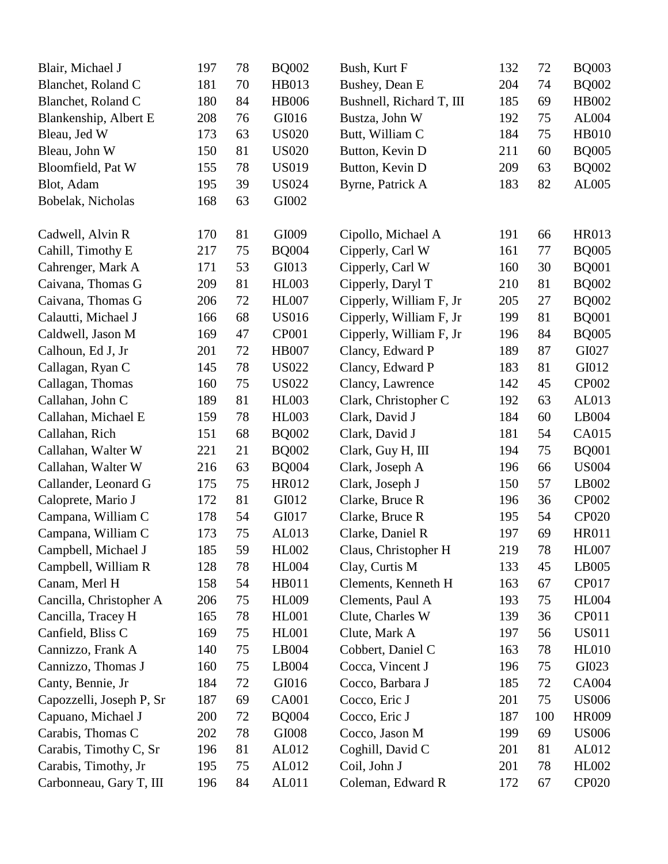| Blair, Michael J         | 197 | 78 | <b>BQ002</b> | Bush, Kurt F             | 132 | 72  | <b>BQ003</b> |
|--------------------------|-----|----|--------------|--------------------------|-----|-----|--------------|
| Blanchet, Roland C       | 181 | 70 | HB013        | Bushey, Dean E           | 204 | 74  | <b>BQ002</b> |
| Blanchet, Roland C       | 180 | 84 | <b>HB006</b> | Bushnell, Richard T, III | 185 | 69  | HB002        |
| Blankenship, Albert E    | 208 | 76 | GI016        | Bustza, John W           | 192 | 75  | AL004        |
| Bleau, Jed W             | 173 | 63 | <b>US020</b> | Butt, William C          | 184 | 75  | <b>HB010</b> |
| Bleau, John W            | 150 | 81 | <b>US020</b> | Button, Kevin D          | 211 | 60  | <b>BQ005</b> |
| Bloomfield, Pat W        | 155 | 78 | <b>US019</b> | Button, Kevin D          | 209 | 63  | <b>BQ002</b> |
| Blot, Adam               | 195 | 39 | <b>US024</b> | Byrne, Patrick A         | 183 | 82  | AL005        |
| Bobelak, Nicholas        | 168 | 63 | GI002        |                          |     |     |              |
| Cadwell, Alvin R         | 170 | 81 | GI009        | Cipollo, Michael A       | 191 | 66  | HR013        |
| Cahill, Timothy E        | 217 | 75 | <b>BQ004</b> | Cipperly, Carl W         | 161 | 77  | <b>BQ005</b> |
| Cahrenger, Mark A        | 171 | 53 | GI013        | Cipperly, Carl W         | 160 | 30  | <b>BQ001</b> |
| Caivana, Thomas G        | 209 | 81 | <b>HL003</b> | Cipperly, Daryl T        | 210 | 81  | <b>BQ002</b> |
| Caivana, Thomas G        | 206 | 72 | <b>HL007</b> | Cipperly, William F, Jr  | 205 | 27  | <b>BQ002</b> |
| Calautti, Michael J      | 166 | 68 | <b>US016</b> | Cipperly, William F, Jr  | 199 | 81  | <b>BQ001</b> |
| Caldwell, Jason M        | 169 | 47 | <b>CP001</b> | Cipperly, William F, Jr  | 196 | 84  | <b>BQ005</b> |
| Calhoun, Ed J, Jr        | 201 | 72 | <b>HB007</b> | Clancy, Edward P         | 189 | 87  | GI027        |
| Callagan, Ryan C         | 145 | 78 | <b>US022</b> | Clancy, Edward P         | 183 | 81  | GI012        |
| Callagan, Thomas         | 160 | 75 | <b>US022</b> | Clancy, Lawrence         | 142 | 45  | CP002        |
| Callahan, John C         | 189 | 81 | <b>HL003</b> | Clark, Christopher C     | 192 | 63  | AL013        |
| Callahan, Michael E      | 159 | 78 | <b>HL003</b> | Clark, David J           | 184 | 60  | LB004        |
| Callahan, Rich           | 151 | 68 | <b>BQ002</b> | Clark, David J           | 181 | 54  | CA015        |
| Callahan, Walter W       | 221 | 21 | <b>BQ002</b> | Clark, Guy H, III        | 194 | 75  | <b>BQ001</b> |
| Callahan, Walter W       | 216 | 63 | <b>BQ004</b> | Clark, Joseph A          | 196 | 66  | <b>US004</b> |
| Callander, Leonard G     | 175 | 75 | HR012        | Clark, Joseph J          | 150 | 57  | LB002        |
| Caloprete, Mario J       | 172 | 81 | GI012        | Clarke, Bruce R          | 196 | 36  | <b>CP002</b> |
| Campana, William C       | 178 | 54 | GI017        | Clarke, Bruce R          | 195 | 54  | CP020        |
| Campana, William C       | 173 | 75 | AL013        | Clarke, Daniel R         | 197 | 69  | <b>HR011</b> |
| Campbell, Michael J      | 185 | 59 | <b>HL002</b> | Claus, Christopher H     | 219 | 78  | <b>HL007</b> |
| Campbell, William R      | 128 | 78 | <b>HL004</b> | Clay, Curtis M           | 133 | 45  | LB005        |
| Canam, Merl H            | 158 | 54 | <b>HB011</b> | Clements, Kenneth H      | 163 | 67  | CP017        |
| Cancilla, Christopher A  | 206 | 75 | <b>HL009</b> | Clements, Paul A         | 193 | 75  | <b>HL004</b> |
| Cancilla, Tracey H       | 165 | 78 | <b>HL001</b> | Clute, Charles W         | 139 | 36  | CP011        |
| Canfield, Bliss C        | 169 | 75 | <b>HL001</b> | Clute, Mark A            | 197 | 56  | <b>US011</b> |
| Cannizzo, Frank A        | 140 | 75 | LB004        | Cobbert, Daniel C        | 163 | 78  | <b>HL010</b> |
| Cannizzo, Thomas J       | 160 | 75 | LB004        | Cocca, Vincent J         | 196 | 75  | GI023        |
| Canty, Bennie, Jr        | 184 | 72 | GI016        | Cocco, Barbara J         | 185 | 72  | <b>CA004</b> |
| Capozzelli, Joseph P, Sr | 187 | 69 | <b>CA001</b> | Cocco, Eric J            | 201 | 75  | <b>US006</b> |
| Capuano, Michael J       | 200 | 72 | <b>BQ004</b> | Cocco, Eric J            | 187 | 100 | HR009        |
| Carabis, Thomas C        | 202 | 78 | GI008        | Cocco, Jason M           | 199 | 69  | <b>US006</b> |
| Carabis, Timothy C, Sr   | 196 | 81 | AL012        | Coghill, David C         | 201 | 81  | AL012        |
| Carabis, Timothy, Jr     | 195 | 75 | AL012        | Coil, John J             | 201 | 78  | HL002        |
| Carbonneau, Gary T, III  | 196 | 84 | AL011        | Coleman, Edward R        | 172 | 67  | <b>CP020</b> |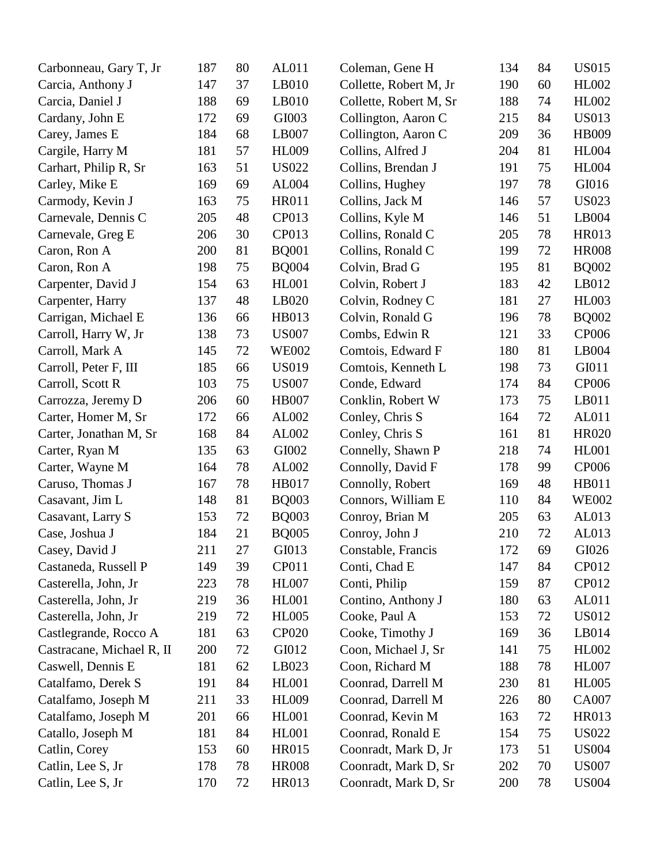| Carbonneau, Gary T, Jr    | 187 | 80 | AL011        | Coleman, Gene H        | 134 | 84 | <b>US015</b> |
|---------------------------|-----|----|--------------|------------------------|-----|----|--------------|
| Carcia, Anthony J         | 147 | 37 | LB010        | Collette, Robert M, Jr | 190 | 60 | HL002        |
| Carcia, Daniel J          | 188 | 69 | LB010        | Collette, Robert M, Sr | 188 | 74 | HL002        |
| Cardany, John E           | 172 | 69 | GI003        | Collington, Aaron C    | 215 | 84 | <b>US013</b> |
| Carey, James E            | 184 | 68 | LB007        | Collington, Aaron C    | 209 | 36 | HB009        |
| Cargile, Harry M          | 181 | 57 | <b>HL009</b> | Collins, Alfred J      | 204 | 81 | <b>HL004</b> |
| Carhart, Philip R, Sr     | 163 | 51 | <b>US022</b> | Collins, Brendan J     | 191 | 75 | <b>HL004</b> |
| Carley, Mike E            | 169 | 69 | AL004        | Collins, Hughey        | 197 | 78 | GI016        |
| Carmody, Kevin J          | 163 | 75 | <b>HR011</b> | Collins, Jack M        | 146 | 57 | <b>US023</b> |
| Carnevale, Dennis C       | 205 | 48 | CP013        | Collins, Kyle M        | 146 | 51 | LB004        |
| Carnevale, Greg E         | 206 | 30 | CP013        | Collins, Ronald C      | 205 | 78 | HR013        |
| Caron, Ron A              | 200 | 81 | <b>BQ001</b> | Collins, Ronald C      | 199 | 72 | <b>HR008</b> |
| Caron, Ron A              | 198 | 75 | <b>BQ004</b> | Colvin, Brad G         | 195 | 81 | <b>BQ002</b> |
| Carpenter, David J        | 154 | 63 | <b>HL001</b> | Colvin, Robert J       | 183 | 42 | LB012        |
| Carpenter, Harry          | 137 | 48 | LB020        | Colvin, Rodney C       | 181 | 27 | <b>HL003</b> |
| Carrigan, Michael E       | 136 | 66 | HB013        | Colvin, Ronald G       | 196 | 78 | <b>BQ002</b> |
| Carroll, Harry W, Jr      | 138 | 73 | <b>US007</b> | Combs, Edwin R         | 121 | 33 | <b>CP006</b> |
| Carroll, Mark A           | 145 | 72 | <b>WE002</b> | Comtois, Edward F      | 180 | 81 | LB004        |
| Carroll, Peter F, III     | 185 | 66 | <b>US019</b> | Comtois, Kenneth L     | 198 | 73 | GI011        |
| Carroll, Scott R          | 103 | 75 | <b>US007</b> | Conde, Edward          | 174 | 84 | <b>CP006</b> |
| Carrozza, Jeremy D        | 206 | 60 | <b>HB007</b> | Conklin, Robert W      | 173 | 75 | LB011        |
| Carter, Homer M, Sr       | 172 | 66 | AL002        | Conley, Chris S        | 164 | 72 | AL011        |
| Carter, Jonathan M, Sr    | 168 | 84 | AL002        | Conley, Chris S        | 161 | 81 | <b>HR020</b> |
| Carter, Ryan M            | 135 | 63 | GI002        | Connelly, Shawn P      | 218 | 74 | <b>HL001</b> |
| Carter, Wayne M           | 164 | 78 | AL002        | Connolly, David F      | 178 | 99 | <b>CP006</b> |
| Caruso, Thomas J          | 167 | 78 | HB017        | Connolly, Robert       | 169 | 48 | HB011        |
| Casavant, Jim L           | 148 | 81 | <b>BQ003</b> | Connors, William E     | 110 | 84 | <b>WE002</b> |
| Casavant, Larry S         | 153 | 72 | <b>BQ003</b> | Conroy, Brian M        | 205 | 63 | AL013        |
| Case, Joshua J            | 184 | 21 | <b>BQ005</b> | Conroy, John J         | 210 | 72 | AL013        |
| Casey, David J            | 211 | 27 | GI013        | Constable, Francis     | 172 | 69 | GI026        |
| Castaneda, Russell P      | 149 | 39 | CP011        | Conti, Chad E          | 147 | 84 | CP012        |
| Casterella, John, Jr      | 223 | 78 | <b>HL007</b> | Conti, Philip          | 159 | 87 | CP012        |
| Casterella, John, Jr      | 219 | 36 | <b>HL001</b> | Contino, Anthony J     | 180 | 63 | AL011        |
| Casterella, John, Jr      | 219 | 72 | <b>HL005</b> | Cooke, Paul A          | 153 | 72 | <b>US012</b> |
| Castlegrande, Rocco A     | 181 | 63 | <b>CP020</b> | Cooke, Timothy J       | 169 | 36 | LB014        |
| Castracane, Michael R, II | 200 | 72 | GI012        | Coon, Michael J, Sr    | 141 | 75 | HL002        |
| Caswell, Dennis E         | 181 | 62 | LB023        | Coon, Richard M        | 188 | 78 | <b>HL007</b> |
| Catalfamo, Derek S        | 191 | 84 | <b>HL001</b> | Coonrad, Darrell M     | 230 | 81 | <b>HL005</b> |
| Catalfamo, Joseph M       | 211 | 33 | <b>HL009</b> | Coonrad, Darrell M     | 226 | 80 | CA007        |
| Catalfamo, Joseph M       | 201 | 66 | <b>HL001</b> | Coonrad, Kevin M       | 163 | 72 | HR013        |
| Catallo, Joseph M         | 181 | 84 | <b>HL001</b> | Coonrad, Ronald E      | 154 | 75 | <b>US022</b> |
| Catlin, Corey             | 153 | 60 | HR015        | Coonradt, Mark D, Jr   | 173 | 51 | <b>US004</b> |
| Catlin, Lee S, Jr         | 178 | 78 | <b>HR008</b> | Coonradt, Mark D, Sr   | 202 | 70 | <b>US007</b> |
| Catlin, Lee S, Jr         | 170 | 72 | HR013        | Coonradt, Mark D, Sr   | 200 | 78 | <b>US004</b> |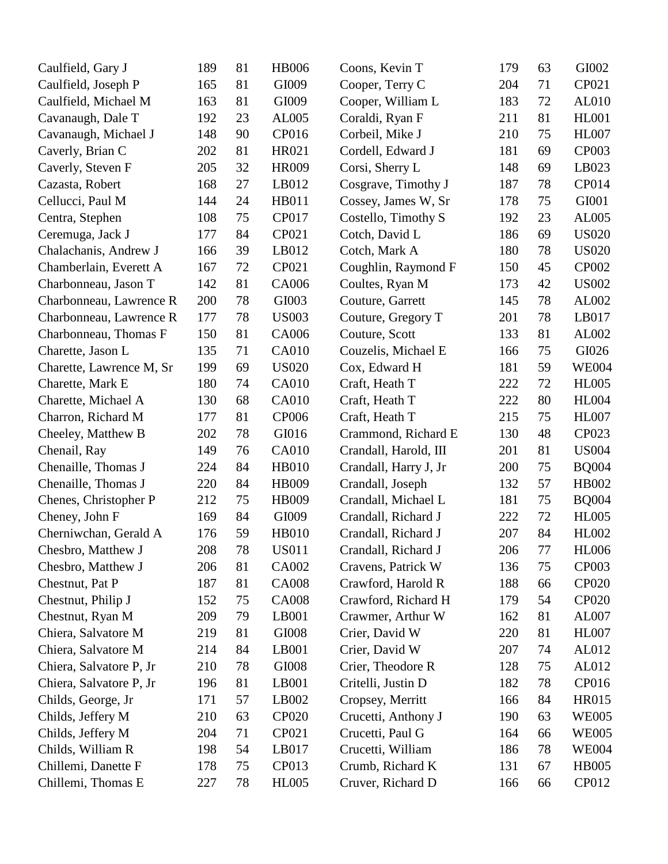| Caulfield, Gary J        | 189 | 81 | <b>HB006</b> | Coons, Kevin T        | 179 | 63 | GI002        |
|--------------------------|-----|----|--------------|-----------------------|-----|----|--------------|
| Caulfield, Joseph P      | 165 | 81 | GI009        | Cooper, Terry C       | 204 | 71 | CP021        |
| Caulfield, Michael M     | 163 | 81 | GI009        | Cooper, William L     | 183 | 72 | AL010        |
| Cavanaugh, Dale T        | 192 | 23 | AL005        | Coraldi, Ryan F       | 211 | 81 | <b>HL001</b> |
| Cavanaugh, Michael J     | 148 | 90 | CP016        | Corbeil, Mike J       | 210 | 75 | <b>HL007</b> |
| Caverly, Brian C         | 202 | 81 | HR021        | Cordell, Edward J     | 181 | 69 | CP003        |
| Caverly, Steven F        | 205 | 32 | HR009        | Corsi, Sherry L       | 148 | 69 | LB023        |
| Cazasta, Robert          | 168 | 27 | LB012        | Cosgrave, Timothy J   | 187 | 78 | CP014        |
| Cellucci, Paul M         | 144 | 24 | HB011        | Cossey, James W, Sr   | 178 | 75 | GI001        |
| Centra, Stephen          | 108 | 75 | <b>CP017</b> | Costello, Timothy S   | 192 | 23 | AL005        |
| Ceremuga, Jack J         | 177 | 84 | CP021        | Cotch, David L        | 186 | 69 | <b>US020</b> |
| Chalachanis, Andrew J    | 166 | 39 | LB012        | Cotch, Mark A         | 180 | 78 | <b>US020</b> |
| Chamberlain, Everett A   | 167 | 72 | CP021        | Coughlin, Raymond F   | 150 | 45 | CP002        |
| Charbonneau, Jason T     | 142 | 81 | CA006        | Coultes, Ryan M       | 173 | 42 | <b>US002</b> |
| Charbonneau, Lawrence R  | 200 | 78 | GI003        | Couture, Garrett      | 145 | 78 | AL002        |
| Charbonneau, Lawrence R  | 177 | 78 | <b>US003</b> | Couture, Gregory T    | 201 | 78 | LB017        |
| Charbonneau, Thomas F    | 150 | 81 | CA006        | Couture, Scott        | 133 | 81 | AL002        |
| Charette, Jason L        | 135 | 71 | CA010        | Couzelis, Michael E   | 166 | 75 | GI026        |
| Charette, Lawrence M, Sr | 199 | 69 | <b>US020</b> | Cox, Edward H         | 181 | 59 | <b>WE004</b> |
| Charette, Mark E         | 180 | 74 | CA010        | Craft, Heath T        | 222 | 72 | <b>HL005</b> |
| Charette, Michael A      | 130 | 68 | CA010        | Craft, Heath T        | 222 | 80 | <b>HL004</b> |
| Charron, Richard M       | 177 | 81 | CP006        | Craft, Heath T        | 215 | 75 | <b>HL007</b> |
| Cheeley, Matthew B       | 202 | 78 | GI016        | Crammond, Richard E   | 130 | 48 | CP023        |
| Chenail, Ray             | 149 | 76 | CA010        | Crandall, Harold, III | 201 | 81 | <b>US004</b> |
| Chenaille, Thomas J      | 224 | 84 | <b>HB010</b> | Crandall, Harry J, Jr | 200 | 75 | <b>BQ004</b> |
| Chenaille, Thomas J      | 220 | 84 | HB009        | Crandall, Joseph      | 132 | 57 | HB002        |
| Chenes, Christopher P    | 212 | 75 | HB009        | Crandall, Michael L   | 181 | 75 | <b>BQ004</b> |
| Cheney, John F           | 169 | 84 | GI009        | Crandall, Richard J   | 222 | 72 | <b>HL005</b> |
| Cherniwchan, Gerald A    | 176 | 59 | <b>HB010</b> | Crandall, Richard J   | 207 | 84 | <b>HL002</b> |
| Chesbro, Matthew J       | 208 | 78 | <b>US011</b> | Crandall, Richard J   | 206 | 77 | <b>HL006</b> |
| Chesbro, Matthew J       | 206 | 81 | CA002        | Cravens, Patrick W    | 136 | 75 | CP003        |
| Chestnut, Pat P          | 187 | 81 | <b>CA008</b> | Crawford, Harold R    | 188 | 66 | <b>CP020</b> |
| Chestnut, Philip J       | 152 | 75 | <b>CA008</b> | Crawford, Richard H   | 179 | 54 | CP020        |
| Chestnut, Ryan M         | 209 | 79 | LB001        | Crawmer, Arthur W     | 162 | 81 | AL007        |
| Chiera, Salvatore M      | 219 | 81 | GI008        | Crier, David W        | 220 | 81 | <b>HL007</b> |
| Chiera, Salvatore M      | 214 | 84 | LB001        | Crier, David W        | 207 | 74 | AL012        |
| Chiera, Salvatore P, Jr  | 210 | 78 | GI008        | Crier, Theodore R     | 128 | 75 | AL012        |
| Chiera, Salvatore P, Jr  | 196 | 81 | LB001        | Critelli, Justin D    | 182 | 78 | CP016        |
| Childs, George, Jr.      | 171 | 57 | LB002        | Cropsey, Merritt      | 166 | 84 | HR015        |
| Childs, Jeffery M        | 210 | 63 | <b>CP020</b> | Crucetti, Anthony J   | 190 | 63 | <b>WE005</b> |
| Childs, Jeffery M        | 204 | 71 | CP021        | Crucetti, Paul G      | 164 | 66 | <b>WE005</b> |
| Childs, William R        | 198 | 54 | LB017        | Crucetti, William     | 186 | 78 | <b>WE004</b> |
| Chillemi, Danette F      | 178 | 75 | CP013        | Crumb, Richard K      | 131 | 67 | <b>HB005</b> |
| Chillemi, Thomas E       | 227 | 78 | <b>HL005</b> | Cruver, Richard D     | 166 | 66 | CP012        |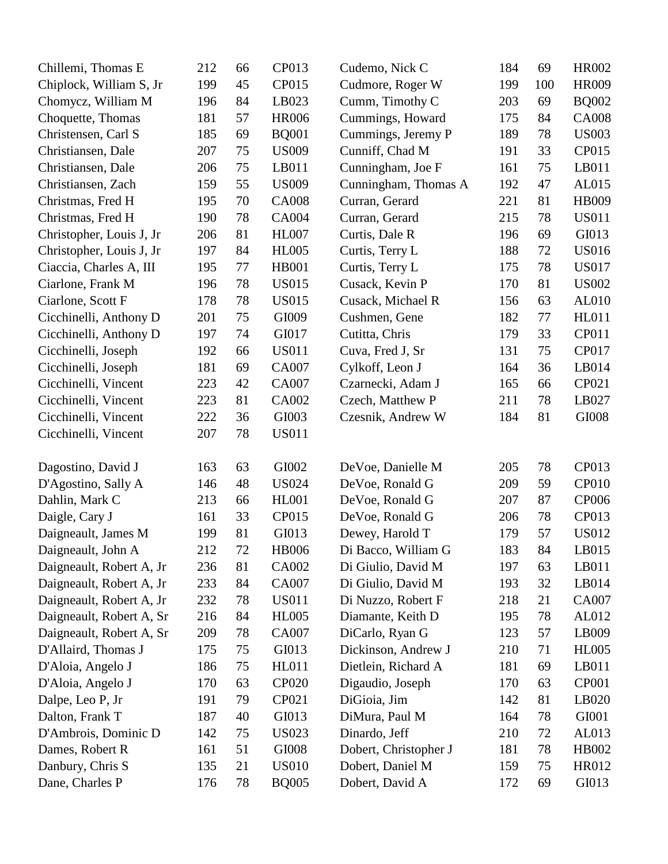| Chillemi, Thomas E       | 212 | 66 | CP013        | Cudemo, Nick C        | 184 | 69  | <b>HR002</b> |
|--------------------------|-----|----|--------------|-----------------------|-----|-----|--------------|
| Chiplock, William S, Jr  | 199 | 45 | CP015        | Cudmore, Roger W      | 199 | 100 | <b>HR009</b> |
| Chomycz, William M       | 196 | 84 | LB023        | Cumm, Timothy C       | 203 | 69  | <b>BQ002</b> |
| Choquette, Thomas        | 181 | 57 | <b>HR006</b> | Cummings, Howard      | 175 | 84  | <b>CA008</b> |
| Christensen, Carl S      | 185 | 69 | <b>BQ001</b> | Cummings, Jeremy P    | 189 | 78  | <b>US003</b> |
| Christiansen, Dale       | 207 | 75 | <b>US009</b> | Cunniff, Chad M       | 191 | 33  | CP015        |
| Christiansen, Dale       | 206 | 75 | LB011        | Cunningham, Joe F     | 161 | 75  | LB011        |
| Christiansen, Zach       | 159 | 55 | <b>US009</b> | Cunningham, Thomas A  | 192 | 47  | AL015        |
| Christmas, Fred H        | 195 | 70 | <b>CA008</b> | Curran, Gerard        | 221 | 81  | HB009        |
| Christmas, Fred H        | 190 | 78 | CA004        | Curran, Gerard        | 215 | 78  | <b>US011</b> |
| Christopher, Louis J, Jr | 206 | 81 | <b>HL007</b> | Curtis, Dale R        | 196 | 69  | GI013        |
| Christopher, Louis J, Jr | 197 | 84 | <b>HL005</b> | Curtis, Terry L       | 188 | 72  | <b>US016</b> |
| Ciaccia, Charles A, III  | 195 | 77 | <b>HB001</b> | Curtis, Terry L       | 175 | 78  | <b>US017</b> |
| Ciarlone, Frank M        | 196 | 78 | <b>US015</b> | Cusack, Kevin P       | 170 | 81  | <b>US002</b> |
| Ciarlone, Scott F        | 178 | 78 | <b>US015</b> | Cusack, Michael R     | 156 | 63  | AL010        |
| Cicchinelli, Anthony D   | 201 | 75 | GI009        | Cushmen, Gene         | 182 | 77  | <b>HL011</b> |
| Cicchinelli, Anthony D   | 197 | 74 | GI017        | Cutitta, Chris        | 179 | 33  | CP011        |
| Cicchinelli, Joseph      | 192 | 66 | <b>US011</b> | Cuva, Fred J, Sr      | 131 | 75  | CP017        |
| Cicchinelli, Joseph      | 181 | 69 | <b>CA007</b> | Cylkoff, Leon J       | 164 | 36  | LB014        |
| Cicchinelli, Vincent     | 223 | 42 | <b>CA007</b> | Czarnecki, Adam J     | 165 | 66  | CP021        |
| Cicchinelli, Vincent     | 223 | 81 | CA002        | Czech, Matthew P      | 211 | 78  | LB027        |
| Cicchinelli, Vincent     | 222 | 36 | GI003        | Czesnik, Andrew W     | 184 | 81  | GI008        |
| Cicchinelli, Vincent     | 207 | 78 | <b>US011</b> |                       |     |     |              |
|                          |     |    |              |                       |     |     |              |
| Dagostino, David J       | 163 | 63 | GI002        | DeVoe, Danielle M     | 205 | 78  | CP013        |
| D'Agostino, Sally A      | 146 | 48 | <b>US024</b> | DeVoe, Ronald G       | 209 | 59  | <b>CP010</b> |
| Dahlin, Mark C           | 213 | 66 | <b>HL001</b> | DeVoe, Ronald G       | 207 | 87  | <b>CP006</b> |
| Daigle, Cary J           | 161 | 33 | CP015        | DeVoe, Ronald G       | 206 | 78  | CP013        |
| Daigneault, James M      | 199 | 81 | GI013        | Dewey, Harold T       | 179 | 57  | <b>US012</b> |
| Daigneault, John A       | 212 | 72 | <b>HB006</b> | Di Bacco, William G   | 183 | 84  | LB015        |
| Daigneault, Robert A, Jr | 236 | 81 | CA002        | Di Giulio, David M    | 197 | 63  | LB011        |
| Daigneault, Robert A, Jr | 233 | 84 | <b>CA007</b> | Di Giulio, David M    | 193 | 32  | LB014        |
| Daigneault, Robert A, Jr | 232 | 78 | <b>US011</b> | Di Nuzzo, Robert F    | 218 | 21  | <b>CA007</b> |
| Daigneault, Robert A, Sr | 216 | 84 | <b>HL005</b> | Diamante, Keith D     | 195 | 78  | AL012        |
| Daigneault, Robert A, Sr | 209 | 78 | CA007        | DiCarlo, Ryan G       | 123 | 57  | LB009        |
| D'Allaird, Thomas J      | 175 | 75 | GI013        | Dickinson, Andrew J   | 210 | 71  | <b>HL005</b> |
| D'Aloia, Angelo J        | 186 | 75 | <b>HL011</b> | Dietlein, Richard A   | 181 | 69  | LB011        |
| D'Aloia, Angelo J        | 170 | 63 | <b>CP020</b> | Digaudio, Joseph      | 170 | 63  | <b>CP001</b> |
| Dalpe, Leo P, Jr         | 191 | 79 | CP021        | DiGioia, Jim          | 142 | 81  | LB020        |
| Dalton, Frank T          | 187 | 40 | GI013        | DiMura, Paul M        | 164 | 78  | GI001        |
| D'Ambrois, Dominic D     | 142 | 75 | <b>US023</b> | Dinardo, Jeff         | 210 | 72  | AL013        |
| Dames, Robert R          | 161 | 51 | GI008        | Dobert, Christopher J | 181 | 78  | HB002        |
| Danbury, Chris S         | 135 | 21 | <b>US010</b> | Dobert, Daniel M      | 159 | 75  | HR012        |
| Dane, Charles P          | 176 | 78 | <b>BQ005</b> | Dobert, David A       | 172 | 69  | GI013        |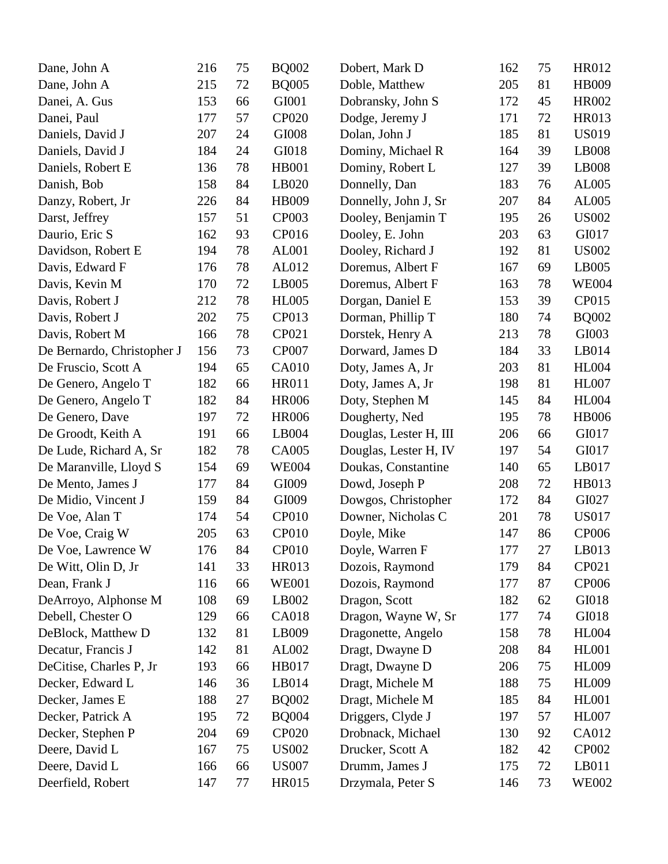| Dane, John A               | 216 | 75 | <b>BQ002</b> | Dobert, Mark D         | 162 | 75 | HR012        |
|----------------------------|-----|----|--------------|------------------------|-----|----|--------------|
| Dane, John A               | 215 | 72 | <b>BQ005</b> | Doble, Matthew         | 205 | 81 | HB009        |
| Danei, A. Gus              | 153 | 66 | GI001        | Dobransky, John S      | 172 | 45 | <b>HR002</b> |
| Danei, Paul                | 177 | 57 | <b>CP020</b> | Dodge, Jeremy J        | 171 | 72 | <b>HR013</b> |
| Daniels, David J           | 207 | 24 | GI008        | Dolan, John J          | 185 | 81 | <b>US019</b> |
| Daniels, David J           | 184 | 24 | GI018        | Dominy, Michael R      | 164 | 39 | LB008        |
| Daniels, Robert E          | 136 | 78 | <b>HB001</b> | Dominy, Robert L       | 127 | 39 | LB008        |
| Danish, Bob                | 158 | 84 | LB020        | Donnelly, Dan          | 183 | 76 | AL005        |
| Danzy, Robert, Jr          | 226 | 84 | HB009        | Donnelly, John J, Sr   | 207 | 84 | AL005        |
| Darst, Jeffrey             | 157 | 51 | <b>CP003</b> | Dooley, Benjamin T     | 195 | 26 | <b>US002</b> |
| Daurio, Eric S             | 162 | 93 | CP016        | Dooley, E. John        | 203 | 63 | GI017        |
| Davidson, Robert E         | 194 | 78 | AL001        | Dooley, Richard J      | 192 | 81 | <b>US002</b> |
| Davis, Edward F            | 176 | 78 | AL012        | Doremus, Albert F      | 167 | 69 | LB005        |
| Davis, Kevin M             | 170 | 72 | LB005        | Doremus, Albert F      | 163 | 78 | <b>WE004</b> |
| Davis, Robert J            | 212 | 78 | <b>HL005</b> | Dorgan, Daniel E       | 153 | 39 | CP015        |
| Davis, Robert J            | 202 | 75 | CP013        | Dorman, Phillip T      | 180 | 74 | <b>BQ002</b> |
| Davis, Robert M            | 166 | 78 | CP021        | Dorstek, Henry A       | 213 | 78 | GI003        |
| De Bernardo, Christopher J | 156 | 73 | <b>CP007</b> | Dorward, James D       | 184 | 33 | LB014        |
| De Fruscio, Scott A        | 194 | 65 | <b>CA010</b> | Doty, James A, Jr      | 203 | 81 | <b>HL004</b> |
| De Genero, Angelo T        | 182 | 66 | <b>HR011</b> | Doty, James A, Jr      | 198 | 81 | <b>HL007</b> |
| De Genero, Angelo T        | 182 | 84 | <b>HR006</b> | Doty, Stephen M        | 145 | 84 | <b>HL004</b> |
| De Genero, Dave            | 197 | 72 | <b>HR006</b> | Dougherty, Ned         | 195 | 78 | <b>HB006</b> |
| De Groodt, Keith A         | 191 | 66 | LB004        | Douglas, Lester H, III | 206 | 66 | GI017        |
| De Lude, Richard A, Sr     | 182 | 78 | <b>CA005</b> | Douglas, Lester H, IV  | 197 | 54 | GI017        |
| De Maranville, Lloyd S     | 154 | 69 | <b>WE004</b> | Doukas, Constantine    | 140 | 65 | LB017        |
| De Mento, James J          | 177 | 84 | GI009        | Dowd, Joseph P         | 208 | 72 | HB013        |
| De Midio, Vincent J        | 159 | 84 | GI009        | Dowgos, Christopher    | 172 | 84 | GI027        |
| De Voe, Alan T             | 174 | 54 | <b>CP010</b> | Downer, Nicholas C     | 201 | 78 | <b>US017</b> |
| De Voe, Craig W            | 205 | 63 | <b>CP010</b> | Doyle, Mike            | 147 | 86 | CP006        |
| De Voe, Lawrence W         | 176 | 84 | <b>CP010</b> | Doyle, Warren F        | 177 | 27 | LB013        |
| De Witt, Olin D, Jr        | 141 | 33 | HR013        | Dozois, Raymond        | 179 | 84 | CP021        |
| Dean, Frank J              | 116 | 66 | <b>WE001</b> | Dozois, Raymond        | 177 | 87 | <b>CP006</b> |
| DeArroyo, Alphonse M       | 108 | 69 | LB002        | Dragon, Scott          | 182 | 62 | GI018        |
| Debell, Chester O          | 129 | 66 | <b>CA018</b> | Dragon, Wayne W, Sr    | 177 | 74 | GI018        |
| DeBlock, Matthew D         | 132 | 81 | LB009        | Dragonette, Angelo     | 158 | 78 | <b>HL004</b> |
| Decatur, Francis J         | 142 | 81 | AL002        | Dragt, Dwayne D        | 208 | 84 | <b>HL001</b> |
| DeCitise, Charles P, Jr    | 193 | 66 | HB017        | Dragt, Dwayne D        | 206 | 75 | <b>HL009</b> |
| Decker, Edward L           | 146 | 36 | LB014        | Dragt, Michele M       | 188 | 75 | <b>HL009</b> |
| Decker, James E            | 188 | 27 | <b>BQ002</b> | Dragt, Michele M       | 185 | 84 | <b>HL001</b> |
| Decker, Patrick A          | 195 | 72 | <b>BQ004</b> | Driggers, Clyde J      | 197 | 57 | <b>HL007</b> |
| Decker, Stephen P          | 204 | 69 | <b>CP020</b> | Drobnack, Michael      | 130 | 92 | CA012        |
| Deere, David L             | 167 | 75 | <b>US002</b> | Drucker, Scott A       | 182 | 42 | <b>CP002</b> |
| Deere, David L             | 166 | 66 | <b>US007</b> | Drumm, James J         | 175 | 72 | LB011        |
| Deerfield, Robert          | 147 | 77 | HR015        | Drzymala, Peter S      | 146 | 73 | <b>WE002</b> |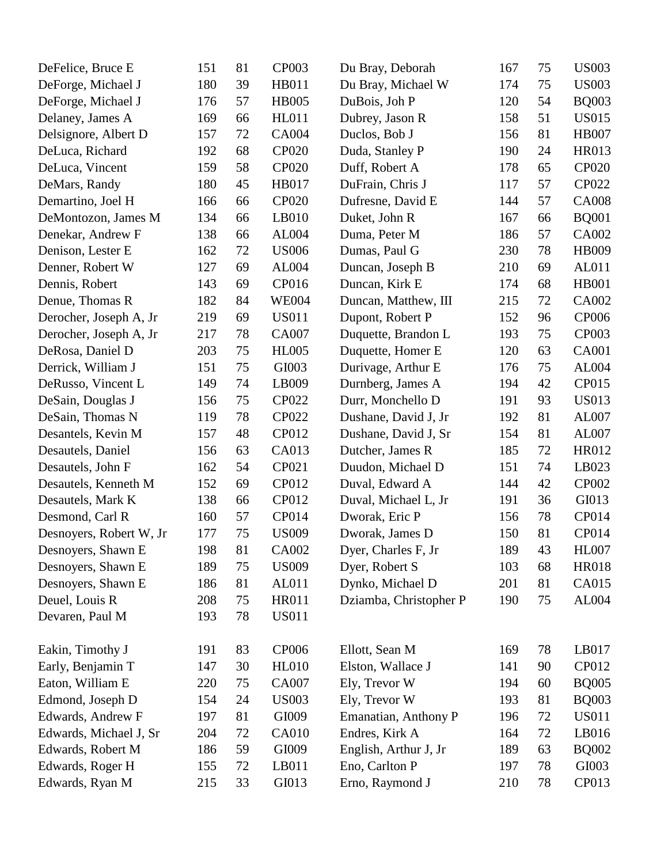| DeFelice, Bruce E       | 151 | 81 | <b>CP003</b> | Du Bray, Deborah       | 167 | 75 | <b>US003</b> |
|-------------------------|-----|----|--------------|------------------------|-----|----|--------------|
| DeForge, Michael J      | 180 | 39 | HB011        | Du Bray, Michael W     | 174 | 75 | <b>US003</b> |
| DeForge, Michael J      | 176 | 57 | <b>HB005</b> | DuBois, Joh P          | 120 | 54 | <b>BQ003</b> |
| Delaney, James A        | 169 | 66 | <b>HL011</b> | Dubrey, Jason R        | 158 | 51 | <b>US015</b> |
| Delsignore, Albert D    | 157 | 72 | <b>CA004</b> | Duclos, Bob J          | 156 | 81 | <b>HB007</b> |
| DeLuca, Richard         | 192 | 68 | <b>CP020</b> | Duda, Stanley P        | 190 | 24 | HR013        |
| DeLuca, Vincent         | 159 | 58 | <b>CP020</b> | Duff, Robert A         | 178 | 65 | <b>CP020</b> |
| DeMars, Randy           | 180 | 45 | HB017        | DuFrain, Chris J       | 117 | 57 | CP022        |
| Demartino, Joel H       | 166 | 66 | CP020        | Dufresne, David E      | 144 | 57 | <b>CA008</b> |
| DeMontozon, James M     | 134 | 66 | LB010        | Duket, John R          | 167 | 66 | <b>BQ001</b> |
| Denekar, Andrew F       | 138 | 66 | AL004        | Duma, Peter M          | 186 | 57 | CA002        |
| Denison, Lester E       | 162 | 72 | <b>US006</b> | Dumas, Paul G          | 230 | 78 | <b>HB009</b> |
| Denner, Robert W        | 127 | 69 | AL004        | Duncan, Joseph B       | 210 | 69 | AL011        |
| Dennis, Robert          | 143 | 69 | CP016        | Duncan, Kirk E         | 174 | 68 | <b>HB001</b> |
| Denue, Thomas R         | 182 | 84 | <b>WE004</b> | Duncan, Matthew, III   | 215 | 72 | CA002        |
| Derocher, Joseph A, Jr  | 219 | 69 | <b>US011</b> | Dupont, Robert P       | 152 | 96 | <b>CP006</b> |
| Derocher, Joseph A, Jr  | 217 | 78 | CA007        | Duquette, Brandon L    | 193 | 75 | CP003        |
| DeRosa, Daniel D        | 203 | 75 | <b>HL005</b> | Duquette, Homer E      | 120 | 63 | <b>CA001</b> |
| Derrick, William J      | 151 | 75 | GI003        | Durivage, Arthur E     | 176 | 75 | AL004        |
| DeRusso, Vincent L      | 149 | 74 | LB009        | Durnberg, James A      | 194 | 42 | CP015        |
| DeSain, Douglas J       | 156 | 75 | <b>CP022</b> | Durr, Monchello D      | 191 | 93 | <b>US013</b> |
| DeSain, Thomas N        | 119 | 78 | <b>CP022</b> | Dushane, David J, Jr   | 192 | 81 | AL007        |
| Desantels, Kevin M      | 157 | 48 | CP012        | Dushane, David J, Sr   | 154 | 81 | AL007        |
| Desautels, Daniel       | 156 | 63 | CA013        | Dutcher, James R       | 185 | 72 | HR012        |
| Desautels, John F       | 162 | 54 | CP021        | Duudon, Michael D      | 151 | 74 | LB023        |
| Desautels, Kenneth M    | 152 | 69 | CP012        | Duval, Edward A        | 144 | 42 | <b>CP002</b> |
| Desautels, Mark K       | 138 | 66 | CP012        | Duval, Michael L, Jr   | 191 | 36 | GI013        |
| Desmond, Carl R         | 160 | 57 | CP014        | Dworak, Eric P         | 156 | 78 | CP014        |
| Desnoyers, Robert W, Jr | 177 | 75 | <b>US009</b> | Dworak, James D        | 150 | 81 | CP014        |
| Desnoyers, Shawn E      | 198 | 81 | CA002        | Dyer, Charles F, Jr    | 189 | 43 | <b>HL007</b> |
| Desnoyers, Shawn E      | 189 | 75 | <b>US009</b> | Dyer, Robert S         | 103 | 68 | <b>HR018</b> |
| Desnoyers, Shawn E      | 186 | 81 | AL011        | Dynko, Michael D       | 201 | 81 | CA015        |
| Deuel, Louis R          | 208 | 75 | <b>HR011</b> | Dziamba, Christopher P | 190 | 75 | AL004        |
| Devaren, Paul M         | 193 | 78 | <b>US011</b> |                        |     |    |              |
| Eakin, Timothy J        | 191 | 83 | <b>CP006</b> | Ellott, Sean M         | 169 | 78 | LB017        |
| Early, Benjamin T       | 147 | 30 | <b>HL010</b> | Elston, Wallace J      | 141 | 90 | CP012        |
| Eaton, William E        | 220 | 75 | CA007        | Ely, Trevor W          | 194 | 60 | <b>BQ005</b> |
| Edmond, Joseph D        | 154 | 24 | <b>US003</b> | Ely, Trevor W          | 193 | 81 | <b>BQ003</b> |
| Edwards, Andrew F       | 197 | 81 | GI009        | Emanatian, Anthony P   | 196 | 72 | <b>US011</b> |
| Edwards, Michael J, Sr  | 204 | 72 | <b>CA010</b> | Endres, Kirk A         | 164 | 72 | LB016        |
| Edwards, Robert M       | 186 | 59 | GI009        | English, Arthur J, Jr  | 189 | 63 | <b>BQ002</b> |
| Edwards, Roger H        | 155 | 72 | LB011        | Eno, Carlton P         | 197 | 78 | GI003        |
| Edwards, Ryan M         | 215 | 33 | GI013        | Erno, Raymond J        | 210 | 78 | CP013        |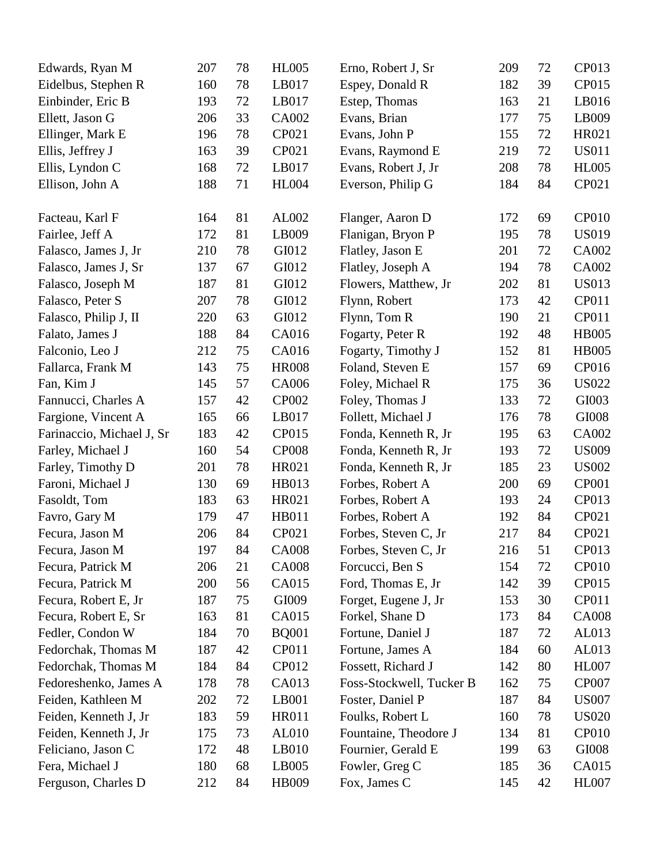| Edwards, Ryan M           | 207 | 78 | <b>HL005</b> | Erno, Robert J, Sr       | 209 | 72       | CP013        |
|---------------------------|-----|----|--------------|--------------------------|-----|----------|--------------|
| Eidelbus, Stephen R       | 160 | 78 | LB017        | Espey, Donald R          | 182 | 39       | CP015        |
| Einbinder, Eric B         | 193 | 72 | LB017        | Estep, Thomas            | 163 | 21       | LB016        |
| Ellett, Jason G           | 206 | 33 | CA002        | Evans, Brian             | 177 | 75       | LB009        |
| Ellinger, Mark E          | 196 | 78 | CP021        | Evans, John P            | 155 | 72       | HR021        |
| Ellis, Jeffrey J          | 163 | 39 | CP021        | Evans, Raymond E         | 219 | 72       | <b>US011</b> |
| Ellis, Lyndon C           | 168 | 72 | LB017        | Evans, Robert J, Jr      | 208 | 78       | <b>HL005</b> |
| Ellison, John A           | 188 | 71 | <b>HL004</b> | Everson, Philip G        | 184 | 84       | CP021        |
| Facteau, Karl F           | 164 | 81 | AL002        | Flanger, Aaron D         | 172 | 69       | <b>CP010</b> |
| Fairlee, Jeff A           | 172 | 81 | LB009        | Flanigan, Bryon P        | 195 | 78       | <b>US019</b> |
| Falasco, James J, Jr      | 210 | 78 | GI012        | Flatley, Jason E         | 201 | 72       | CA002        |
| Falasco, James J, Sr      | 137 | 67 | GI012        | Flatley, Joseph A        | 194 | 78       | CA002        |
| Falasco, Joseph M         | 187 | 81 | GI012        | Flowers, Matthew, Jr     | 202 | 81       | <b>US013</b> |
| Falasco, Peter S          | 207 | 78 | GI012        | Flynn, Robert            | 173 | 42       | CP011        |
| Falasco, Philip J, II     | 220 | 63 | GI012        | Flynn, Tom R             | 190 | 21       | CP011        |
| Falato, James J           | 188 | 84 | CA016        | Fogarty, Peter R         | 192 | 48       | <b>HB005</b> |
| Falconio, Leo J           | 212 | 75 | CA016        | Fogarty, Timothy J       | 152 | 81       | <b>HB005</b> |
| Fallarca, Frank M         | 143 | 75 | <b>HR008</b> | Foland, Steven E         | 157 | 69       | CP016        |
|                           | 145 | 57 | CA006        |                          | 175 |          | <b>US022</b> |
| Fan, Kim J                | 157 | 42 | <b>CP002</b> | Foley, Michael R         | 133 | 36<br>72 | GI003        |
| Fannucci, Charles A       |     |    |              | Foley, Thomas J          | 176 |          |              |
| Fargione, Vincent A       | 165 | 66 | LB017        | Follett, Michael J       |     | 78       | GI008        |
| Farinaccio, Michael J, Sr | 183 | 42 | CP015        | Fonda, Kenneth R, Jr     | 195 | 63       | CA002        |
| Farley, Michael J         | 160 | 54 | <b>CP008</b> | Fonda, Kenneth R, Jr     | 193 | 72       | <b>US009</b> |
| Farley, Timothy D         | 201 | 78 | HR021        | Fonda, Kenneth R, Jr     | 185 | 23       | <b>US002</b> |
| Faroni, Michael J         | 130 | 69 | HB013        | Forbes, Robert A         | 200 | 69       | CP001        |
| Fasoldt, Tom              | 183 | 63 | HR021        | Forbes, Robert A         | 193 | 24       | CP013        |
| Favro, Gary M             | 179 | 47 | <b>HB011</b> | Forbes, Robert A         | 192 | 84       | CP021        |
| Fecura, Jason M           | 206 | 84 | CP021        | Forbes, Steven C, Jr     | 217 | 84       | CP021        |
| Fecura, Jason M           | 197 | 84 | <b>CA008</b> | Forbes, Steven C, Jr     | 216 | 51       | CP013        |
| Fecura, Patrick M         | 206 | 21 | <b>CA008</b> | Forcucci, Ben S          | 154 | 72       | <b>CP010</b> |
| Fecura, Patrick M         | 200 | 56 | CA015        | Ford, Thomas E, Jr       | 142 | 39       | CP015        |
| Fecura, Robert E, Jr      | 187 | 75 | GI009        | Forget, Eugene J, Jr     | 153 | 30       | CP011        |
| Fecura, Robert E, Sr      | 163 | 81 | CA015        | Forkel, Shane D          | 173 | 84       | <b>CA008</b> |
| Fedler, Condon W          | 184 | 70 | <b>BQ001</b> | Fortune, Daniel J        | 187 | 72       | AL013        |
| Fedorchak, Thomas M       | 187 | 42 | CP011        | Fortune, James A         | 184 | 60       | AL013        |
| Fedorchak, Thomas M       | 184 | 84 | CP012        | Fossett, Richard J       | 142 | 80       | <b>HL007</b> |
| Fedoreshenko, James A     | 178 | 78 | CA013        | Foss-Stockwell, Tucker B | 162 | 75       | <b>CP007</b> |
| Feiden, Kathleen M        | 202 | 72 | LB001        | Foster, Daniel P         | 187 | 84       | <b>US007</b> |
| Feiden, Kenneth J, Jr     | 183 | 59 | <b>HR011</b> | Foulks, Robert L         | 160 | 78       | <b>US020</b> |
| Feiden, Kenneth J, Jr     | 175 | 73 | AL010        | Fountaine, Theodore J    | 134 | 81       | <b>CP010</b> |
| Feliciano, Jason C        | 172 | 48 | LB010        | Fournier, Gerald E       | 199 | 63       | GI008        |
| Fera, Michael J           | 180 | 68 | LB005        | Fowler, Greg C           | 185 | 36       | CA015        |
| Ferguson, Charles D       | 212 | 84 | HB009        | Fox, James C             | 145 | 42       | <b>HL007</b> |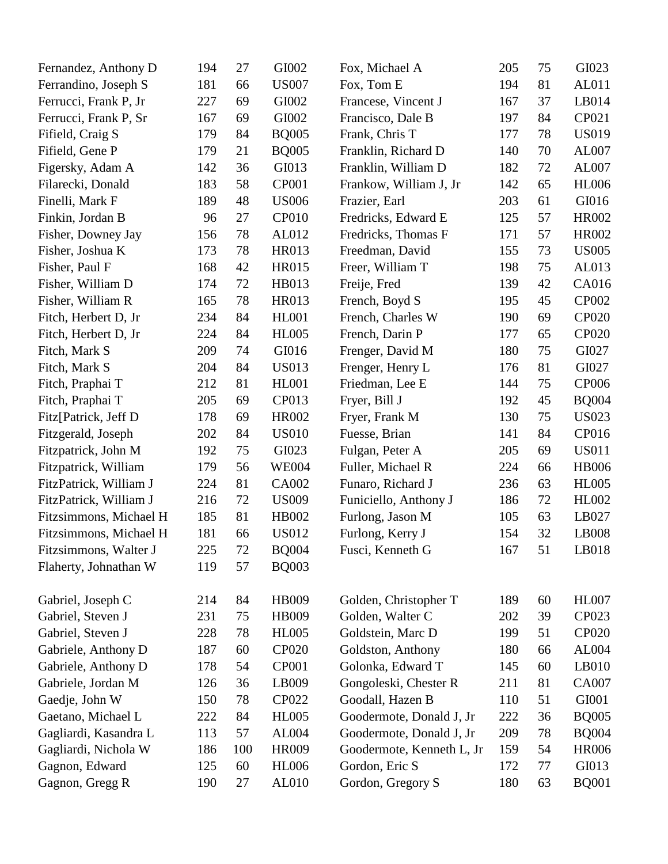| Fernandez, Anthony D   | 194 | 27  | GI002        | Fox, Michael A            | 205 | 75 | GI023        |
|------------------------|-----|-----|--------------|---------------------------|-----|----|--------------|
| Ferrandino, Joseph S   | 181 | 66  | <b>US007</b> | Fox, Tom E                | 194 | 81 | AL011        |
| Ferrucci, Frank P, Jr  | 227 | 69  | GI002        | Francese, Vincent J       | 167 | 37 | LB014        |
| Ferrucci, Frank P, Sr  | 167 | 69  | GI002        | Francisco, Dale B         | 197 | 84 | CP021        |
| Fifield, Craig S       | 179 | 84  | <b>BQ005</b> | Frank, Chris T            | 177 | 78 | <b>US019</b> |
| Fifield, Gene P        | 179 | 21  | <b>BQ005</b> | Franklin, Richard D       | 140 | 70 | AL007        |
| Figersky, Adam A       | 142 | 36  | GI013        | Franklin, William D       | 182 | 72 | AL007        |
| Filarecki, Donald      | 183 | 58  | <b>CP001</b> | Frankow, William J, Jr    | 142 | 65 | <b>HL006</b> |
| Finelli, Mark F        | 189 | 48  | <b>US006</b> | Frazier, Earl             | 203 | 61 | GI016        |
| Finkin, Jordan B       | 96  | 27  | <b>CP010</b> | Fredricks, Edward E       | 125 | 57 | <b>HR002</b> |
| Fisher, Downey Jay     | 156 | 78  | AL012        | Fredricks, Thomas F       | 171 | 57 | <b>HR002</b> |
| Fisher, Joshua K       | 173 | 78  | HR013        | Freedman, David           | 155 | 73 | <b>US005</b> |
| Fisher, Paul F         | 168 | 42  | HR015        | Freer, William T          | 198 | 75 | AL013        |
| Fisher, William D      | 174 | 72  | HB013        | Freije, Fred              | 139 | 42 | CA016        |
| Fisher, William R      | 165 | 78  | HR013        | French, Boyd S            | 195 | 45 | <b>CP002</b> |
| Fitch, Herbert D, Jr   | 234 | 84  | <b>HL001</b> | French, Charles W         | 190 | 69 | <b>CP020</b> |
| Fitch, Herbert D, Jr   | 224 | 84  | <b>HL005</b> | French, Darin P           | 177 | 65 | <b>CP020</b> |
| Fitch, Mark S          | 209 | 74  | GI016        | Frenger, David M          | 180 | 75 | GI027        |
| Fitch, Mark S          | 204 | 84  | <b>US013</b> | Frenger, Henry L          | 176 | 81 | GI027        |
| Fitch, Praphai T       | 212 | 81  | <b>HL001</b> | Friedman, Lee E           | 144 | 75 | <b>CP006</b> |
| Fitch, Praphai T       | 205 | 69  | CP013        | Fryer, Bill J             | 192 | 45 | <b>BQ004</b> |
| Fitz[Patrick, Jeff D   | 178 | 69  | <b>HR002</b> | Fryer, Frank M            | 130 | 75 | <b>US023</b> |
| Fitzgerald, Joseph     | 202 | 84  | <b>US010</b> | Fuesse, Brian             | 141 | 84 | CP016        |
| Fitzpatrick, John M    | 192 | 75  | GI023        | Fulgan, Peter A           | 205 | 69 | <b>US011</b> |
| Fitzpatrick, William   | 179 | 56  | <b>WE004</b> | Fuller, Michael R         | 224 | 66 | <b>HB006</b> |
| FitzPatrick, William J | 224 | 81  | CA002        | Funaro, Richard J         | 236 | 63 | <b>HL005</b> |
| FitzPatrick, William J | 216 | 72  | <b>US009</b> | Funiciello, Anthony J     | 186 | 72 | HL002        |
| Fitzsimmons, Michael H | 185 | 81  | HB002        | Furlong, Jason M          | 105 | 63 | LB027        |
| Fitzsimmons, Michael H | 181 | 66  | <b>US012</b> | Furlong, Kerry J          | 154 | 32 | LB008        |
| Fitzsimmons, Walter J  | 225 | 72  | <b>BQ004</b> | Fusci, Kenneth G          | 167 | 51 | LB018        |
| Flaherty, Johnathan W  | 119 | 57  | <b>BQ003</b> |                           |     |    |              |
| Gabriel, Joseph C      | 214 | 84  | HB009        | Golden, Christopher T     | 189 | 60 | <b>HL007</b> |
| Gabriel, Steven J      | 231 | 75  | HB009        | Golden, Walter C          | 202 | 39 | CP023        |
| Gabriel, Steven J      | 228 | 78  | <b>HL005</b> | Goldstein, Marc D         | 199 | 51 | <b>CP020</b> |
| Gabriele, Anthony D    | 187 | 60  | <b>CP020</b> | Goldston, Anthony         | 180 | 66 | AL004        |
| Gabriele, Anthony D    | 178 | 54  | <b>CP001</b> | Golonka, Edward T         | 145 | 60 | LB010        |
| Gabriele, Jordan M     | 126 | 36  | LB009        | Gongoleski, Chester R     | 211 | 81 | CA007        |
| Gaedje, John W         | 150 | 78  | CP022        | Goodall, Hazen B          | 110 | 51 | GI001        |
| Gaetano, Michael L     | 222 | 84  | <b>HL005</b> | Goodermote, Donald J, Jr  | 222 | 36 | <b>BQ005</b> |
| Gagliardi, Kasandra L  | 113 | 57  | AL004        | Goodermote, Donald J, Jr  | 209 | 78 | <b>BQ004</b> |
| Gagliardi, Nichola W   | 186 | 100 | <b>HR009</b> | Goodermote, Kenneth L, Jr | 159 | 54 | <b>HR006</b> |
| Gagnon, Edward         | 125 | 60  | <b>HL006</b> | Gordon, Eric S            | 172 | 77 | GI013        |
| Gagnon, Gregg R        | 190 | 27  | AL010        | Gordon, Gregory S         | 180 | 63 | <b>BQ001</b> |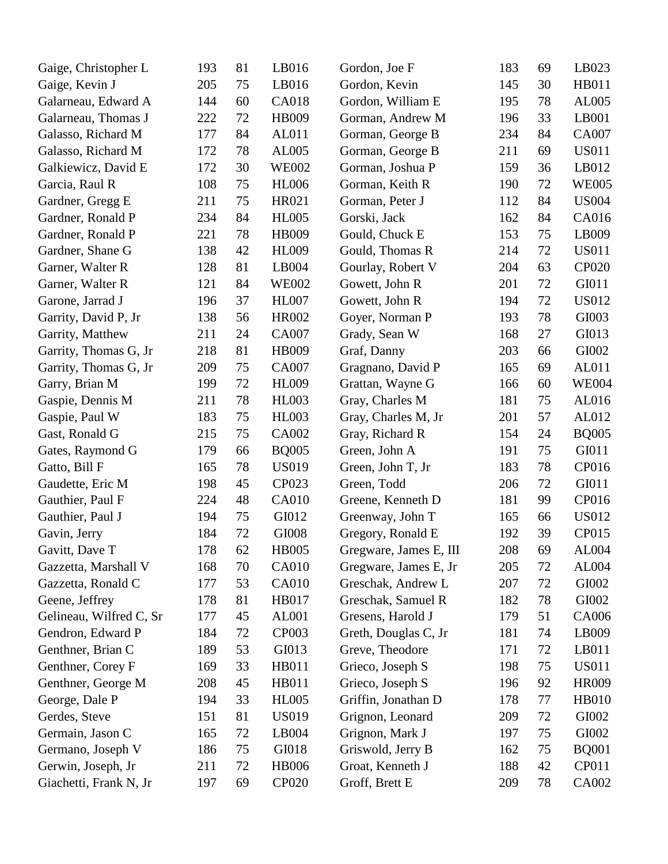| Gaige, Christopher L    | 193 | 81 | LB016        | Gordon, Joe F          | 183 | 69 | LB023        |
|-------------------------|-----|----|--------------|------------------------|-----|----|--------------|
| Gaige, Kevin J          | 205 | 75 | LB016        | Gordon, Kevin          | 145 | 30 | HB011        |
| Galarneau, Edward A     | 144 | 60 | <b>CA018</b> | Gordon, William E      | 195 | 78 | AL005        |
| Galarneau, Thomas J     | 222 | 72 | HB009        | Gorman, Andrew M       | 196 | 33 | LB001        |
| Galasso, Richard M      | 177 | 84 | AL011        | Gorman, George B       | 234 | 84 | <b>CA007</b> |
| Galasso, Richard M      | 172 | 78 | AL005        | Gorman, George B       | 211 | 69 | <b>US011</b> |
| Galkiewicz, David E     | 172 | 30 | <b>WE002</b> | Gorman, Joshua P       | 159 | 36 | LB012        |
| Garcia, Raul R          | 108 | 75 | <b>HL006</b> | Gorman, Keith R        | 190 | 72 | <b>WE005</b> |
| Gardner, Gregg E        | 211 | 75 | HR021        | Gorman, Peter J        | 112 | 84 | <b>US004</b> |
| Gardner, Ronald P       | 234 | 84 | <b>HL005</b> | Gorski, Jack           | 162 | 84 | CA016        |
| Gardner, Ronald P       | 221 | 78 | HB009        | Gould, Chuck E         | 153 | 75 | LB009        |
| Gardner, Shane G        | 138 | 42 | <b>HL009</b> | Gould, Thomas R        | 214 | 72 | <b>US011</b> |
| Garner, Walter R        | 128 | 81 | LB004        | Gourlay, Robert V      | 204 | 63 | CP020        |
| Garner, Walter R        | 121 | 84 | <b>WE002</b> | Gowett, John R         | 201 | 72 | GI011        |
| Garone, Jarrad J        | 196 | 37 | <b>HL007</b> | Gowett, John R         | 194 | 72 | <b>US012</b> |
| Garrity, David P, Jr    | 138 | 56 | HR002        | Goyer, Norman P        | 193 | 78 | GI003        |
| Garrity, Matthew        | 211 | 24 | CA007        | Grady, Sean W          | 168 | 27 | GI013        |
| Garrity, Thomas G, Jr   | 218 | 81 | HB009        | Graf, Danny            | 203 | 66 | GI002        |
| Garrity, Thomas G, Jr   | 209 | 75 | CA007        | Gragnano, David P      | 165 | 69 | AL011        |
| Garry, Brian M          | 199 | 72 | <b>HL009</b> | Grattan, Wayne G       | 166 | 60 | <b>WE004</b> |
| Gaspie, Dennis M        | 211 | 78 | <b>HL003</b> | Gray, Charles M        | 181 | 75 | AL016        |
| Gaspie, Paul W          | 183 | 75 | <b>HL003</b> | Gray, Charles M, Jr    | 201 | 57 | AL012        |
| Gast, Ronald G          | 215 | 75 | CA002        | Gray, Richard R        | 154 | 24 | <b>BQ005</b> |
| Gates, Raymond G        | 179 | 66 | <b>BQ005</b> | Green, John A          | 191 | 75 | GI011        |
| Gatto, Bill F           | 165 | 78 | <b>US019</b> | Green, John T, Jr      | 183 | 78 | CP016        |
| Gaudette, Eric M        | 198 | 45 | CP023        | Green, Todd            | 206 | 72 | GI011        |
| Gauthier, Paul F        | 224 | 48 | CA010        | Greene, Kenneth D      | 181 | 99 | CP016        |
| Gauthier, Paul J        | 194 | 75 | GI012        | Greenway, John T       | 165 | 66 | <b>US012</b> |
| Gavin, Jerry            | 184 | 72 | GI008        | Gregory, Ronald E      | 192 | 39 | CP015        |
| Gavitt, Dave T          | 178 | 62 | <b>HB005</b> | Gregware, James E, III | 208 | 69 | AL004        |
| Gazzetta, Marshall V    | 168 | 70 | <b>CA010</b> | Gregware, James E, Jr  | 205 | 72 | AL004        |
| Gazzetta, Ronald C      | 177 | 53 | <b>CA010</b> | Greschak, Andrew L     | 207 | 72 | GI002        |
| Geene, Jeffrey          | 178 | 81 | HB017        | Greschak, Samuel R     | 182 | 78 | GI002        |
| Gelineau, Wilfred C, Sr | 177 | 45 | <b>AL001</b> | Gresens, Harold J      | 179 | 51 | CA006        |
| Gendron, Edward P       | 184 | 72 | <b>CP003</b> | Greth, Douglas C, Jr   | 181 | 74 | LB009        |
| Genthner, Brian C       | 189 | 53 | GI013        | Greve, Theodore        | 171 | 72 | LB011        |
| Genthner, Corey F       | 169 | 33 | <b>HB011</b> | Grieco, Joseph S       | 198 | 75 | <b>US011</b> |
| Genthner, George M      | 208 | 45 | <b>HB011</b> | Grieco, Joseph S       | 196 | 92 | HR009        |
| George, Dale P          | 194 | 33 | <b>HL005</b> | Griffin, Jonathan D    | 178 | 77 | <b>HB010</b> |
| Gerdes, Steve           | 151 | 81 | <b>US019</b> | Grignon, Leonard       | 209 | 72 | GI002        |
| Germain, Jason C        | 165 | 72 | LB004        | Grignon, Mark J        | 197 | 75 | GI002        |
| Germano, Joseph V       | 186 | 75 | GI018        | Griswold, Jerry B      | 162 | 75 | <b>BQ001</b> |
| Gerwin, Joseph, Jr      | 211 | 72 | <b>HB006</b> | Groat, Kenneth J       | 188 | 42 | CP011        |
| Giachetti, Frank N, Jr  | 197 | 69 | <b>CP020</b> | Groff, Brett E         | 209 | 78 | CA002        |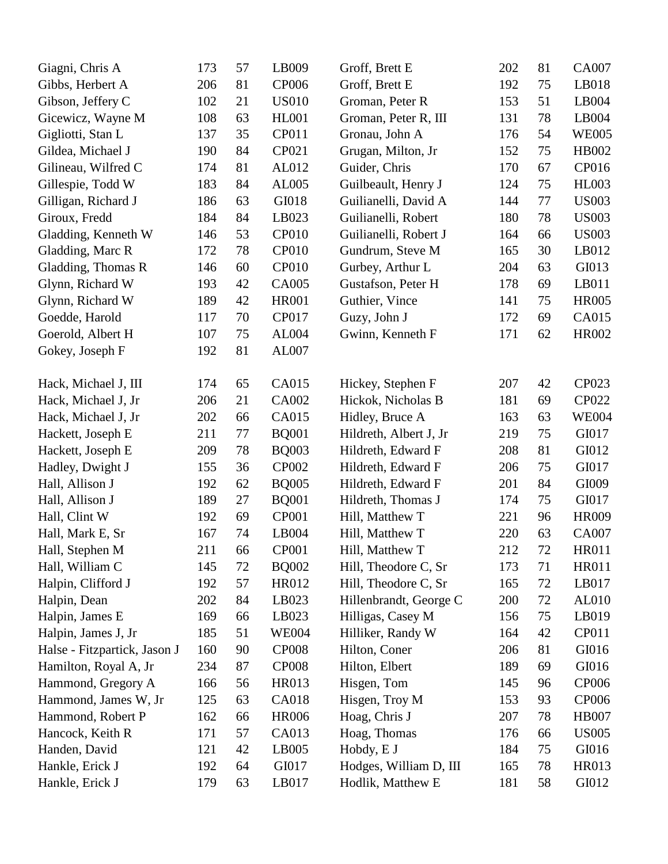| Giagni, Chris A              | 173 | 57 | LB009        | Groff, Brett E         | 202 | 81 | CA007        |
|------------------------------|-----|----|--------------|------------------------|-----|----|--------------|
| Gibbs, Herbert A             | 206 | 81 | CP006        | Groff, Brett E         | 192 | 75 | LB018        |
| Gibson, Jeffery C            | 102 | 21 | <b>US010</b> | Groman, Peter R        | 153 | 51 | LB004        |
| Gicewicz, Wayne M            | 108 | 63 | <b>HL001</b> | Groman, Peter R, III   | 131 | 78 | LB004        |
| Gigliotti, Stan L            | 137 | 35 | CP011        | Gronau, John A         | 176 | 54 | <b>WE005</b> |
| Gildea, Michael J            | 190 | 84 | CP021        | Grugan, Milton, Jr     | 152 | 75 | HB002        |
| Gilineau, Wilfred C          | 174 | 81 | AL012        | Guider, Chris          | 170 | 67 | CP016        |
| Gillespie, Todd W            | 183 | 84 | AL005        | Guilbeault, Henry J    | 124 | 75 | <b>HL003</b> |
| Gilligan, Richard J          | 186 | 63 | GI018        | Guilianelli, David A   | 144 | 77 | <b>US003</b> |
| Giroux, Fredd                | 184 | 84 | LB023        | Guilianelli, Robert    | 180 | 78 | <b>US003</b> |
| Gladding, Kenneth W          | 146 | 53 | <b>CP010</b> | Guilianelli, Robert J  | 164 | 66 | <b>US003</b> |
| Gladding, Marc R             | 172 | 78 | <b>CP010</b> | Gundrum, Steve M       | 165 | 30 | LB012        |
| Gladding, Thomas R           | 146 | 60 | <b>CP010</b> | Gurbey, Arthur L       | 204 | 63 | GI013        |
| Glynn, Richard W             | 193 | 42 | <b>CA005</b> | Gustafson, Peter H     | 178 | 69 | LB011        |
| Glynn, Richard W             | 189 | 42 | <b>HR001</b> | Guthier, Vince         | 141 | 75 | <b>HR005</b> |
| Goedde, Harold               | 117 | 70 | <b>CP017</b> | Guzy, John J           | 172 | 69 | CA015        |
| Goerold, Albert H            | 107 | 75 | AL004        | Gwinn, Kenneth F       | 171 | 62 | HR002        |
| Gokey, Joseph F              | 192 | 81 | AL007        |                        |     |    |              |
|                              |     |    |              |                        |     |    |              |
| Hack, Michael J, III         | 174 | 65 | <b>CA015</b> | Hickey, Stephen F      | 207 | 42 | CP023        |
| Hack, Michael J, Jr          | 206 | 21 | CA002        | Hickok, Nicholas B     | 181 | 69 | CP022        |
| Hack, Michael J, Jr          | 202 | 66 | <b>CA015</b> | Hidley, Bruce A        | 163 | 63 | <b>WE004</b> |
| Hackett, Joseph E            | 211 | 77 | <b>BQ001</b> | Hildreth, Albert J, Jr | 219 | 75 | GI017        |
| Hackett, Joseph E            | 209 | 78 | <b>BQ003</b> | Hildreth, Edward F     | 208 | 81 | GI012        |
| Hadley, Dwight J             | 155 | 36 | CP002        | Hildreth, Edward F     | 206 | 75 | GI017        |
| Hall, Allison J              | 192 | 62 | <b>BQ005</b> | Hildreth, Edward F     | 201 | 84 | GI009        |
| Hall, Allison J              | 189 | 27 | <b>BQ001</b> | Hildreth, Thomas J     | 174 | 75 | GI017        |
| Hall, Clint W                | 192 | 69 | CP001        | Hill, Matthew T        | 221 | 96 | <b>HR009</b> |
| Hall, Mark E, Sr             | 167 | 74 | LB004        | Hill, Matthew T        | 220 | 63 | <b>CA007</b> |
| Hall, Stephen M              | 211 | 66 | <b>CP001</b> | Hill, Matthew T        | 212 | 72 | HR011        |
| Hall, William C              | 145 | 72 | <b>BQ002</b> | Hill, Theodore C, Sr   | 173 | 71 | HR011        |
| Halpin, Clifford J           | 192 | 57 | HR012        | Hill, Theodore C, Sr   | 165 | 72 | LB017        |
| Halpin, Dean                 | 202 | 84 | LB023        | Hillenbrandt, George C | 200 | 72 | AL010        |
| Halpin, James E              | 169 | 66 | LB023        | Hilligas, Casey M      | 156 | 75 | LB019        |
| Halpin, James J, Jr          | 185 | 51 | <b>WE004</b> | Hilliker, Randy W      | 164 | 42 | CP011        |
| Halse - Fitzpartick, Jason J | 160 | 90 | <b>CP008</b> | Hilton, Coner          | 206 | 81 | GI016        |
| Hamilton, Royal A, Jr        | 234 | 87 | <b>CP008</b> | Hilton, Elbert         | 189 | 69 | GI016        |
| Hammond, Gregory A           | 166 | 56 | HR013        | Hisgen, Tom            | 145 | 96 | <b>CP006</b> |
| Hammond, James W, Jr         | 125 | 63 | CA018        | Hisgen, Troy M         | 153 | 93 | <b>CP006</b> |
| Hammond, Robert P            | 162 | 66 | <b>HR006</b> | Hoag, Chris J          | 207 | 78 | <b>HB007</b> |
| Hancock, Keith R             | 171 | 57 | CA013        | Hoag, Thomas           | 176 | 66 | <b>US005</b> |
| Handen, David                | 121 | 42 | LB005        | Hobdy, E J             | 184 | 75 | GI016        |
| Hankle, Erick J              | 192 | 64 | GI017        | Hodges, William D, III | 165 | 78 | HR013        |
| Hankle, Erick J              | 179 | 63 | LB017        | Hodlik, Matthew E      | 181 | 58 | GI012        |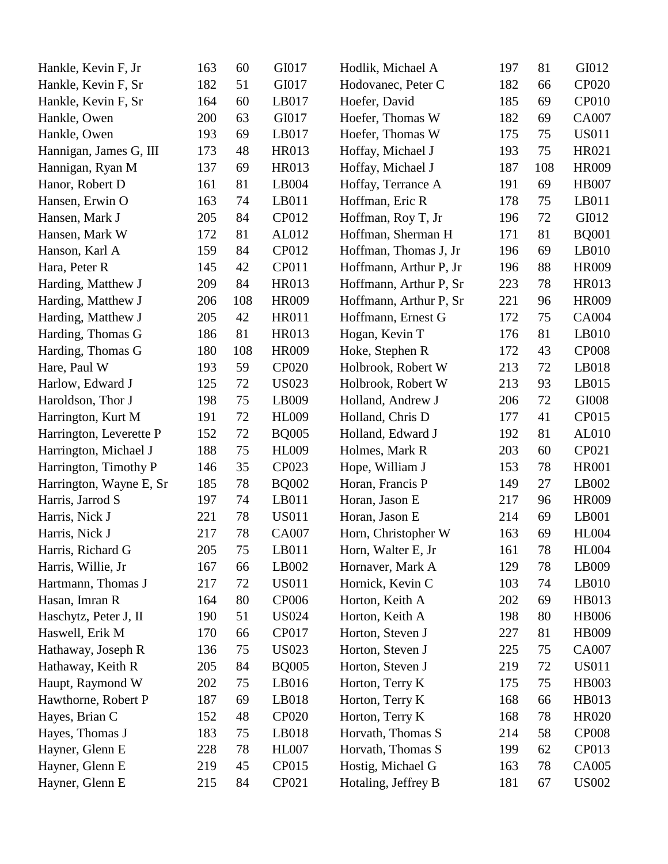| Hankle, Kevin F, Jr     | 163 | 60  | GI017        | Hodlik, Michael A      | 197 | 81  | GI012        |
|-------------------------|-----|-----|--------------|------------------------|-----|-----|--------------|
| Hankle, Kevin F, Sr     | 182 | 51  | GI017        | Hodovanec, Peter C     | 182 | 66  | <b>CP020</b> |
| Hankle, Kevin F, Sr     | 164 | 60  | LB017        | Hoefer, David          | 185 | 69  | <b>CP010</b> |
| Hankle, Owen            | 200 | 63  | GI017        | Hoefer, Thomas W       | 182 | 69  | CA007        |
| Hankle, Owen            | 193 | 69  | LB017        | Hoefer, Thomas W       | 175 | 75  | <b>US011</b> |
| Hannigan, James G, III  | 173 | 48  | HR013        | Hoffay, Michael J      | 193 | 75  | HR021        |
| Hannigan, Ryan M        | 137 | 69  | HR013        | Hoffay, Michael J      | 187 | 108 | HR009        |
| Hanor, Robert D         | 161 | 81  | LB004        | Hoffay, Terrance A     | 191 | 69  | <b>HB007</b> |
| Hansen, Erwin O         | 163 | 74  | LB011        | Hoffman, Eric R        | 178 | 75  | LB011        |
| Hansen, Mark J          | 205 | 84  | CP012        | Hoffman, Roy T, Jr     | 196 | 72  | GI012        |
| Hansen, Mark W          | 172 | 81  | AL012        | Hoffman, Sherman H     | 171 | 81  | <b>BQ001</b> |
| Hanson, Karl A          | 159 | 84  | CP012        | Hoffman, Thomas J, Jr  | 196 | 69  | LB010        |
| Hara, Peter R           | 145 | 42  | CP011        | Hoffmann, Arthur P, Jr | 196 | 88  | HR009        |
| Harding, Matthew J      | 209 | 84  | HR013        | Hoffmann, Arthur P, Sr | 223 | 78  | HR013        |
| Harding, Matthew J      | 206 | 108 | <b>HR009</b> | Hoffmann, Arthur P, Sr | 221 | 96  | HR009        |
| Harding, Matthew J      | 205 | 42  | <b>HR011</b> | Hoffmann, Ernest G     | 172 | 75  | CA004        |
| Harding, Thomas G       | 186 | 81  | HR013        | Hogan, Kevin T         | 176 | 81  | LB010        |
| Harding, Thomas G       | 180 | 108 | HR009        | Hoke, Stephen R        | 172 | 43  | <b>CP008</b> |
| Hare, Paul W            | 193 | 59  | <b>CP020</b> | Holbrook, Robert W     | 213 | 72  | LB018        |
| Harlow, Edward J        | 125 | 72  | <b>US023</b> | Holbrook, Robert W     | 213 | 93  | LB015        |
| Haroldson, Thor J       | 198 | 75  | LB009        | Holland, Andrew J      | 206 | 72  | GI008        |
| Harrington, Kurt M      | 191 | 72  | <b>HL009</b> | Holland, Chris D       | 177 | 41  | CP015        |
| Harrington, Leverette P | 152 | 72  | <b>BQ005</b> | Holland, Edward J      | 192 | 81  | AL010        |
| Harrington, Michael J   | 188 | 75  | <b>HL009</b> | Holmes, Mark R         | 203 | 60  | CP021        |
| Harrington, Timothy P   | 146 | 35  | CP023        | Hope, William J        | 153 | 78  | <b>HR001</b> |
| Harrington, Wayne E, Sr | 185 | 78  | <b>BQ002</b> | Horan, Francis P       | 149 | 27  | LB002        |
| Harris, Jarrod S        | 197 | 74  | LB011        | Horan, Jason E         | 217 | 96  | HR009        |
| Harris, Nick J          | 221 | 78  | <b>US011</b> | Horan, Jason E         | 214 | 69  | LB001        |
| Harris, Nick J          | 217 | 78  | <b>CA007</b> | Horn, Christopher W    | 163 | 69  | <b>HL004</b> |
| Harris, Richard G       | 205 | 75  | LB011        | Horn, Walter E, Jr     | 161 | 78  | <b>HL004</b> |
| Harris, Willie, Jr      | 167 | 66  | LB002        | Hornaver, Mark A       | 129 | 78  | LB009        |
| Hartmann, Thomas J      | 217 | 72  | <b>US011</b> | Hornick, Kevin C       | 103 | 74  | $L$ B $010$  |
| Hasan, Imran R          | 164 | 80  | <b>CP006</b> | Horton, Keith A        | 202 | 69  | HB013        |
| Haschytz, Peter J, II   | 190 | 51  | <b>US024</b> | Horton, Keith A        | 198 | 80  | <b>HB006</b> |
| Haswell, Erik M         | 170 | 66  | <b>CP017</b> | Horton, Steven J       | 227 | 81  | HB009        |
| Hathaway, Joseph R      | 136 | 75  | <b>US023</b> | Horton, Steven J       | 225 | 75  | CA007        |
| Hathaway, Keith R       | 205 | 84  | <b>BQ005</b> | Horton, Steven J       | 219 | 72  | <b>US011</b> |
| Haupt, Raymond W        | 202 | 75  | LB016        | Horton, Terry K        | 175 | 75  | <b>HB003</b> |
| Hawthorne, Robert P     | 187 | 69  | LB018        | Horton, Terry K        | 168 | 66  | HB013        |
| Hayes, Brian C          | 152 | 48  | <b>CP020</b> | Horton, Terry K        | 168 | 78  | <b>HR020</b> |
| Hayes, Thomas J         | 183 | 75  | LB018        | Horvath, Thomas S      | 214 | 58  | <b>CP008</b> |
| Hayner, Glenn E         | 228 | 78  | <b>HL007</b> | Horvath, Thomas S      | 199 | 62  | CP013        |
| Hayner, Glenn E         | 219 | 45  | CP015        | Hostig, Michael G      | 163 | 78  | CA005        |
| Hayner, Glenn E         | 215 | 84  | CP021        | Hotaling, Jeffrey B    | 181 | 67  | <b>US002</b> |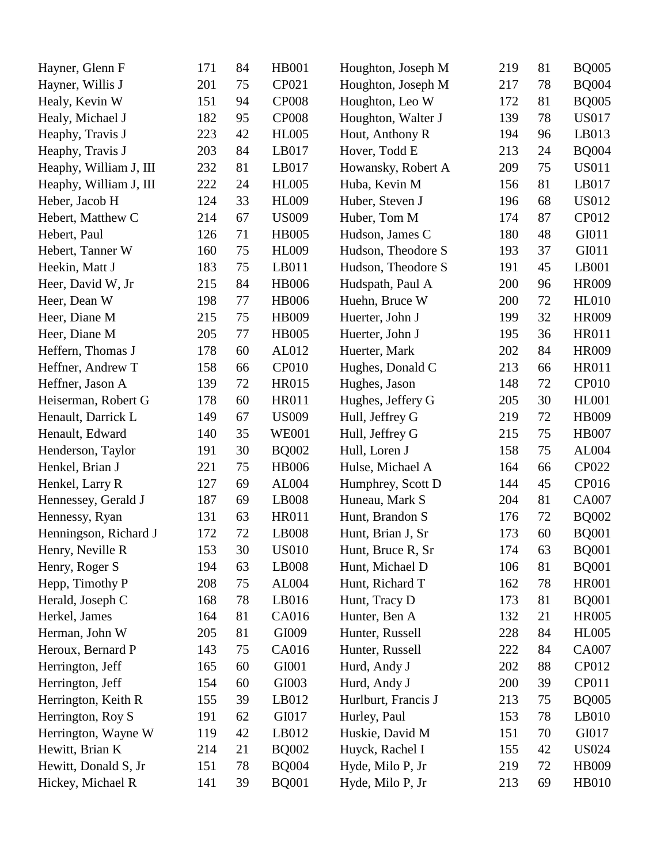| Hayner, Glenn F        | 171 | 84 | <b>HB001</b> | Houghton, Joseph M  | 219 | 81 | <b>BQ005</b> |
|------------------------|-----|----|--------------|---------------------|-----|----|--------------|
| Hayner, Willis J       | 201 | 75 | CP021        | Houghton, Joseph M  | 217 | 78 | <b>BQ004</b> |
| Healy, Kevin W         | 151 | 94 | <b>CP008</b> | Houghton, Leo W     | 172 | 81 | <b>BQ005</b> |
| Healy, Michael J       | 182 | 95 | <b>CP008</b> | Houghton, Walter J  | 139 | 78 | <b>US017</b> |
| Heaphy, Travis J       | 223 | 42 | <b>HL005</b> | Hout, Anthony R     | 194 | 96 | LB013        |
| Heaphy, Travis J       | 203 | 84 | LB017        | Hover, Todd E       | 213 | 24 | <b>BQ004</b> |
| Heaphy, William J, III | 232 | 81 | LB017        | Howansky, Robert A  | 209 | 75 | <b>US011</b> |
| Heaphy, William J, III | 222 | 24 | <b>HL005</b> | Huba, Kevin M       | 156 | 81 | LB017        |
| Heber, Jacob H         | 124 | 33 | <b>HL009</b> | Huber, Steven J     | 196 | 68 | <b>US012</b> |
| Hebert, Matthew C      | 214 | 67 | <b>US009</b> | Huber, Tom M        | 174 | 87 | CP012        |
| Hebert, Paul           | 126 | 71 | <b>HB005</b> | Hudson, James C     | 180 | 48 | GI011        |
| Hebert, Tanner W       | 160 | 75 | <b>HL009</b> | Hudson, Theodore S  | 193 | 37 | GI011        |
| Heekin, Matt J         | 183 | 75 | LB011        | Hudson, Theodore S  | 191 | 45 | LB001        |
| Heer, David W, Jr      | 215 | 84 | <b>HB006</b> | Hudspath, Paul A    | 200 | 96 | HR009        |
| Heer, Dean W           | 198 | 77 | <b>HB006</b> | Huehn, Bruce W      | 200 | 72 | <b>HL010</b> |
| Heer, Diane M          | 215 | 75 | HB009        | Huerter, John J     | 199 | 32 | <b>HR009</b> |
| Heer, Diane M          | 205 | 77 | <b>HB005</b> | Huerter, John J     | 195 | 36 | <b>HR011</b> |
| Heffern, Thomas J      | 178 | 60 | AL012        | Huerter, Mark       | 202 | 84 | <b>HR009</b> |
| Heffner, Andrew T      | 158 | 66 | <b>CP010</b> | Hughes, Donald C    | 213 | 66 | <b>HR011</b> |
| Heffner, Jason A       | 139 | 72 | <b>HR015</b> | Hughes, Jason       | 148 | 72 | CP010        |
| Heiserman, Robert G    | 178 | 60 | <b>HR011</b> | Hughes, Jeffery G   | 205 | 30 | <b>HL001</b> |
| Henault, Darrick L     | 149 | 67 | <b>US009</b> | Hull, Jeffrey G     | 219 | 72 | HB009        |
| Henault, Edward        | 140 | 35 | <b>WE001</b> | Hull, Jeffrey G     | 215 | 75 | <b>HB007</b> |
| Henderson, Taylor      | 191 | 30 | <b>BQ002</b> | Hull, Loren J       | 158 | 75 | AL004        |
| Henkel, Brian J        | 221 | 75 | <b>HB006</b> | Hulse, Michael A    | 164 | 66 | CP022        |
| Henkel, Larry R        | 127 | 69 | AL004        | Humphrey, Scott D   | 144 | 45 | CP016        |
| Hennessey, Gerald J    | 187 | 69 | LB008        | Huneau, Mark S      | 204 | 81 | <b>CA007</b> |
| Hennessy, Ryan         | 131 | 63 | <b>HR011</b> | Hunt, Brandon S     | 176 | 72 | <b>BQ002</b> |
| Henningson, Richard J  | 172 | 72 | LB008        | Hunt, Brian J, Sr   | 173 | 60 | <b>BQ001</b> |
| Henry, Neville R       | 153 | 30 | <b>US010</b> | Hunt, Bruce R, Sr   | 174 | 63 | <b>BQ001</b> |
| Henry, Roger S         | 194 | 63 | <b>LB008</b> | Hunt, Michael D     | 106 | 81 | <b>BQ001</b> |
| Hepp, Timothy P        | 208 | 75 | AL004        | Hunt, Richard T     | 162 | 78 | <b>HR001</b> |
| Herald, Joseph C       | 168 | 78 | LB016        | Hunt, Tracy D       | 173 | 81 | <b>BQ001</b> |
| Herkel, James          | 164 | 81 | CA016        | Hunter, Ben A       | 132 | 21 | <b>HR005</b> |
| Herman, John W         | 205 | 81 | GI009        | Hunter, Russell     | 228 | 84 | <b>HL005</b> |
| Heroux, Bernard P      | 143 | 75 | CA016        | Hunter, Russell     | 222 | 84 | CA007        |
| Herrington, Jeff       | 165 | 60 | GI001        | Hurd, Andy J        | 202 | 88 | CP012        |
| Herrington, Jeff       | 154 | 60 | GI003        | Hurd, Andy J        | 200 | 39 | CP011        |
| Herrington, Keith R    | 155 | 39 | LB012        | Hurlburt, Francis J | 213 | 75 | <b>BQ005</b> |
| Herrington, Roy S      | 191 | 62 | GI017        | Hurley, Paul        | 153 | 78 | LB010        |
| Herrington, Wayne W    | 119 | 42 | LB012        | Huskie, David M     | 151 | 70 | GI017        |
| Hewitt, Brian K        | 214 | 21 | <b>BQ002</b> | Huyck, Rachel I     | 155 | 42 | <b>US024</b> |
| Hewitt, Donald S, Jr   | 151 | 78 | <b>BQ004</b> | Hyde, Milo P, Jr    | 219 | 72 | HB009        |
| Hickey, Michael R      | 141 | 39 | <b>BQ001</b> | Hyde, Milo P, Jr    | 213 | 69 | HB010        |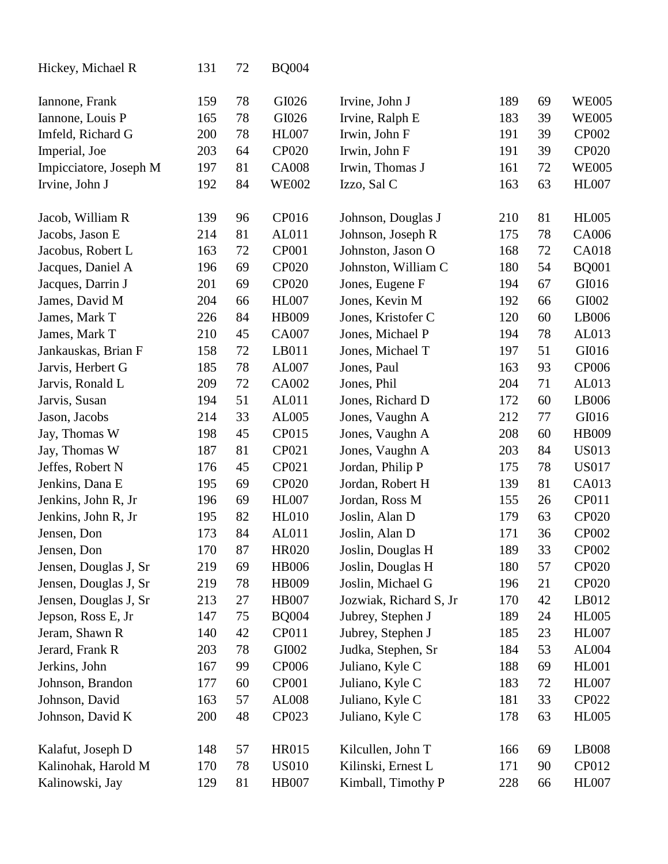| Hickey, Michael R      | 131 | 72 | <b>BQ004</b> |                        |     |    |              |
|------------------------|-----|----|--------------|------------------------|-----|----|--------------|
| Iannone, Frank         | 159 | 78 | GI026        | Irvine, John J         | 189 | 69 | <b>WE005</b> |
| Iannone, Louis P       | 165 | 78 | GI026        | Irvine, Ralph E        | 183 | 39 | <b>WE005</b> |
| Imfeld, Richard G      | 200 | 78 | <b>HL007</b> | Irwin, John F          | 191 | 39 | CP002        |
| Imperial, Joe          | 203 | 64 | CP020        | Irwin, John F          | 191 | 39 | CP020        |
| Impicciatore, Joseph M | 197 | 81 | <b>CA008</b> | Irwin, Thomas J        | 161 | 72 | <b>WE005</b> |
| Irvine, John J         | 192 | 84 | <b>WE002</b> | Izzo, Sal C            | 163 | 63 | <b>HL007</b> |
| Jacob, William R       | 139 | 96 | CP016        | Johnson, Douglas J     | 210 | 81 | <b>HL005</b> |
| Jacobs, Jason E        | 214 | 81 | AL011        | Johnson, Joseph R      | 175 | 78 | CA006        |
| Jacobus, Robert L      | 163 | 72 | <b>CP001</b> | Johnston, Jason O      | 168 | 72 | <b>CA018</b> |
| Jacques, Daniel A      | 196 | 69 | CP020        | Johnston, William C    | 180 | 54 | <b>BQ001</b> |
| Jacques, Darrin J      | 201 | 69 | CP020        | Jones, Eugene F        | 194 | 67 | GI016        |
| James, David M         | 204 | 66 | <b>HL007</b> | Jones, Kevin M         | 192 | 66 | GI002        |
| James, Mark T          | 226 | 84 | HB009        | Jones, Kristofer C     | 120 | 60 | LB006        |
| James, Mark T          | 210 | 45 | <b>CA007</b> | Jones, Michael P       | 194 | 78 | AL013        |
| Jankauskas, Brian F    | 158 | 72 | LB011        | Jones, Michael T       | 197 | 51 | GI016        |
| Jarvis, Herbert G      | 185 | 78 | AL007        | Jones, Paul            | 163 | 93 | CP006        |
| Jarvis, Ronald L       | 209 | 72 | CA002        | Jones, Phil            | 204 | 71 | AL013        |
| Jarvis, Susan          | 194 | 51 | AL011        | Jones, Richard D       | 172 | 60 | LB006        |
| Jason, Jacobs          | 214 | 33 | AL005        | Jones, Vaughn A        | 212 | 77 | GI016        |
| Jay, Thomas W          | 198 | 45 | <b>CP015</b> | Jones, Vaughn A        | 208 | 60 | HB009        |
| Jay, Thomas W          | 187 | 81 | CP021        | Jones, Vaughn A        | 203 | 84 | <b>US013</b> |
| Jeffes, Robert N       | 176 | 45 | CP021        | Jordan, Philip P       | 175 | 78 | <b>US017</b> |
| Jenkins, Dana E        | 195 | 69 | CP020        | Jordan, Robert H       | 139 | 81 | CA013        |
| Jenkins, John R, Jr    | 196 | 69 | <b>HL007</b> | Jordan, Ross M         | 155 | 26 | CP011        |
| Jenkins, John R, Jr    | 195 | 82 | <b>HL010</b> | Joslin, Alan D         | 179 | 63 | CP020        |
| Jensen, Don            | 173 | 84 | AL011        | Joslin, Alan D         | 171 | 36 | CP002        |
| Jensen, Don            | 170 | 87 | <b>HR020</b> | Joslin, Douglas H      | 189 | 33 | CP002        |
| Jensen, Douglas J, Sr  | 219 | 69 | <b>HB006</b> | Joslin, Douglas H      | 180 | 57 | <b>CP020</b> |
| Jensen, Douglas J, Sr  | 219 | 78 | HB009        | Joslin, Michael G      | 196 | 21 | CP020        |
| Jensen, Douglas J, Sr  | 213 | 27 | <b>HB007</b> | Jozwiak, Richard S, Jr | 170 | 42 | LB012        |
| Jepson, Ross E, Jr     | 147 | 75 | <b>BQ004</b> | Jubrey, Stephen J      | 189 | 24 | <b>HL005</b> |
| Jeram, Shawn R         | 140 | 42 | CP011        | Jubrey, Stephen J      | 185 | 23 | <b>HL007</b> |
| Jerard, Frank R        | 203 | 78 | GI002        | Judka, Stephen, Sr     | 184 | 53 | AL004        |
| Jerkins, John          | 167 | 99 | <b>CP006</b> | Juliano, Kyle C        | 188 | 69 | <b>HL001</b> |
| Johnson, Brandon       | 177 | 60 | <b>CP001</b> | Juliano, Kyle C        | 183 | 72 | <b>HL007</b> |
| Johnson, David         | 163 | 57 | <b>AL008</b> | Juliano, Kyle C        | 181 | 33 | CP022        |
| Johnson, David K       | 200 | 48 | CP023        | Juliano, Kyle C        | 178 | 63 | <b>HL005</b> |
| Kalafut, Joseph D      | 148 | 57 | HR015        | Kilcullen, John T      | 166 | 69 | LB008        |
| Kalinohak, Harold M    | 170 | 78 | <b>US010</b> | Kilinski, Ernest L     | 171 | 90 | CP012        |
| Kalinowski, Jay        | 129 | 81 | <b>HB007</b> | Kimball, Timothy P     | 228 | 66 | <b>HL007</b> |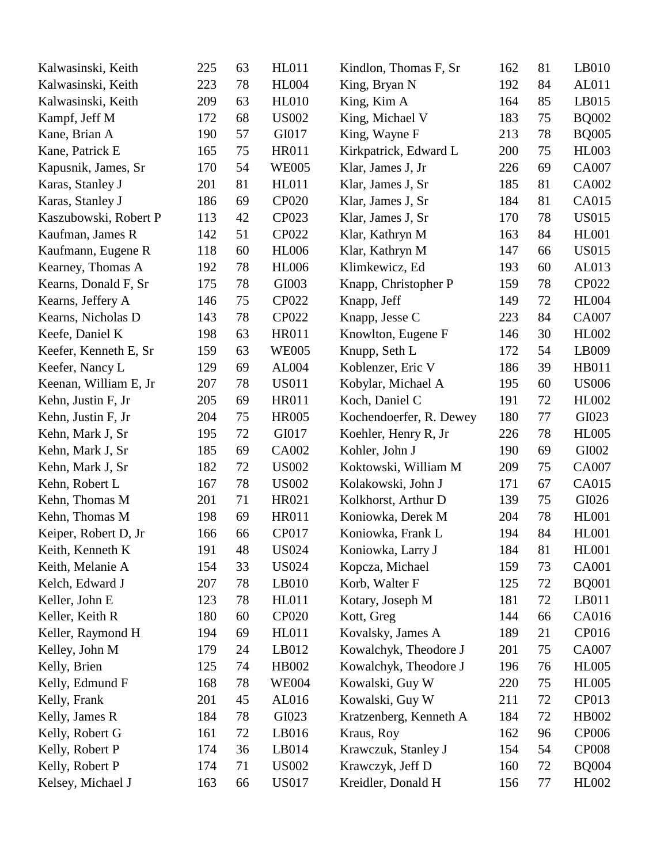| Kalwasinski, Keith    | 225 | 63 | <b>HL011</b> | Kindlon, Thomas F, Sr   | 162 | 81 | LB010        |
|-----------------------|-----|----|--------------|-------------------------|-----|----|--------------|
| Kalwasinski, Keith    | 223 | 78 | <b>HL004</b> | King, Bryan N           | 192 | 84 | AL011        |
| Kalwasinski, Keith    | 209 | 63 | <b>HL010</b> | King, Kim A             | 164 | 85 | LB015        |
| Kampf, Jeff M         | 172 | 68 | <b>US002</b> | King, Michael V         | 183 | 75 | <b>BQ002</b> |
| Kane, Brian A         | 190 | 57 | GI017        | King, Wayne F           | 213 | 78 | <b>BQ005</b> |
| Kane, Patrick E       | 165 | 75 | <b>HR011</b> | Kirkpatrick, Edward L   | 200 | 75 | <b>HL003</b> |
| Kapusnik, James, Sr   | 170 | 54 | <b>WE005</b> | Klar, James J, Jr       | 226 | 69 | CA007        |
| Karas, Stanley J      | 201 | 81 | <b>HL011</b> | Klar, James J, Sr       | 185 | 81 | CA002        |
| Karas, Stanley J      | 186 | 69 | CP020        | Klar, James J, Sr       | 184 | 81 | CA015        |
| Kaszubowski, Robert P | 113 | 42 | CP023        | Klar, James J, Sr       | 170 | 78 | <b>US015</b> |
| Kaufman, James R      | 142 | 51 | <b>CP022</b> | Klar, Kathryn M         | 163 | 84 | <b>HL001</b> |
| Kaufmann, Eugene R    | 118 | 60 | <b>HL006</b> | Klar, Kathryn M         | 147 | 66 | <b>US015</b> |
| Kearney, Thomas A     | 192 | 78 | <b>HL006</b> | Klimkewicz, Ed          | 193 | 60 | AL013        |
| Kearns, Donald F, Sr  | 175 | 78 | GI003        | Knapp, Christopher P    | 159 | 78 | CP022        |
| Kearns, Jeffery A     | 146 | 75 | <b>CP022</b> | Knapp, Jeff             | 149 | 72 | <b>HL004</b> |
| Kearns, Nicholas D    | 143 | 78 | CP022        | Knapp, Jesse C          | 223 | 84 | CA007        |
| Keefe, Daniel K       | 198 | 63 | <b>HR011</b> | Knowlton, Eugene F      | 146 | 30 | <b>HL002</b> |
| Keefer, Kenneth E, Sr | 159 | 63 | <b>WE005</b> | Knupp, Seth L           | 172 | 54 | LB009        |
| Keefer, Nancy L       | 129 | 69 | AL004        | Koblenzer, Eric V       | 186 | 39 | HB011        |
| Keenan, William E, Jr | 207 | 78 | <b>US011</b> | Kobylar, Michael A      | 195 | 60 | <b>US006</b> |
| Kehn, Justin F, Jr    | 205 | 69 | <b>HR011</b> | Koch, Daniel C          | 191 | 72 | HL002        |
| Kehn, Justin F, Jr    | 204 | 75 | <b>HR005</b> | Kochendoerfer, R. Dewey | 180 | 77 | GI023        |
| Kehn, Mark J, Sr      | 195 | 72 | GI017        | Koehler, Henry R, Jr    | 226 | 78 | <b>HL005</b> |
| Kehn, Mark J, Sr      | 185 | 69 | CA002        | Kohler, John J          | 190 | 69 | GI002        |
| Kehn, Mark J, Sr      | 182 | 72 | <b>US002</b> | Koktowski, William M    | 209 | 75 | CA007        |
| Kehn, Robert L        | 167 | 78 | <b>US002</b> | Kolakowski, John J      | 171 | 67 | CA015        |
| Kehn, Thomas M        | 201 | 71 | HR021        | Kolkhorst, Arthur D     | 139 | 75 | GI026        |
| Kehn, Thomas M        | 198 | 69 | <b>HR011</b> | Koniowka, Derek M       | 204 | 78 | <b>HL001</b> |
| Keiper, Robert D, Jr  | 166 | 66 | CP017        | Koniowka, Frank L       | 194 | 84 | <b>HL001</b> |
| Keith, Kenneth K      | 191 | 48 | <b>US024</b> | Koniowka, Larry J       | 184 | 81 | <b>HL001</b> |
| Keith, Melanie A      | 154 | 33 | US024        | Kopcza, Michael         | 159 | 73 | <b>CA001</b> |
| Kelch, Edward J       | 207 | 78 | LB010        | Korb, Walter F          | 125 | 72 | <b>BQ001</b> |
| Keller, John E        | 123 | 78 | <b>HL011</b> | Kotary, Joseph M        | 181 | 72 | LB011        |
| Keller, Keith R       | 180 | 60 | <b>CP020</b> | Kott, Greg              | 144 | 66 | CA016        |
| Keller, Raymond H     | 194 | 69 | <b>HL011</b> | Kovalsky, James A       | 189 | 21 | CP016        |
| Kelley, John M        | 179 | 24 | LB012        | Kowalchyk, Theodore J   | 201 | 75 | CA007        |
| Kelly, Brien          | 125 | 74 | HB002        | Kowalchyk, Theodore J   | 196 | 76 | <b>HL005</b> |
| Kelly, Edmund F       | 168 | 78 | <b>WE004</b> | Kowalski, Guy W         | 220 | 75 | <b>HL005</b> |
| Kelly, Frank          | 201 | 45 | AL016        | Kowalski, Guy W         | 211 | 72 | CP013        |
| Kelly, James R        | 184 | 78 | GI023        | Kratzenberg, Kenneth A  | 184 | 72 | HB002        |
| Kelly, Robert G       | 161 | 72 | LB016        | Kraus, Roy              | 162 | 96 | CP006        |
| Kelly, Robert P       | 174 | 36 | LB014        | Krawczuk, Stanley J     | 154 | 54 | <b>CP008</b> |
| Kelly, Robert P       | 174 | 71 | <b>US002</b> | Krawczyk, Jeff D        | 160 | 72 | <b>BQ004</b> |
| Kelsey, Michael J     | 163 | 66 | US017        | Kreidler, Donald H      | 156 | 77 | HL002        |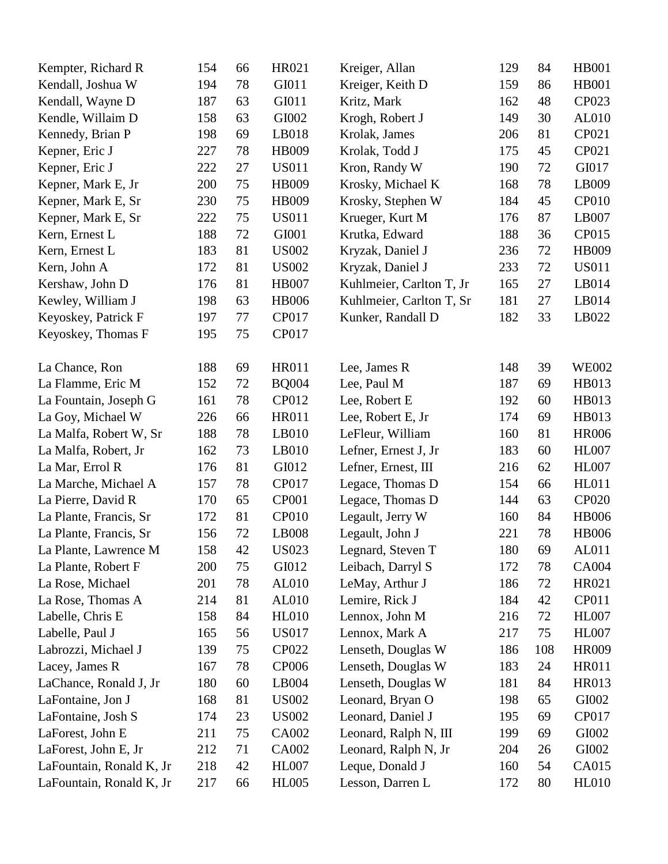| Kempter, Richard R       | 154 | 66 | HR021        | Kreiger, Allan           | 129 | 84  | <b>HB001</b> |
|--------------------------|-----|----|--------------|--------------------------|-----|-----|--------------|
| Kendall, Joshua W        | 194 | 78 | GI011        | Kreiger, Keith D         | 159 | 86  | HB001        |
| Kendall, Wayne D         | 187 | 63 | GI011        | Kritz, Mark              | 162 | 48  | CP023        |
| Kendle, Willaim D        | 158 | 63 | GI002        | Krogh, Robert J          | 149 | 30  | AL010        |
| Kennedy, Brian P         | 198 | 69 | LB018        | Krolak, James            | 206 | 81  | CP021        |
| Kepner, Eric J           | 227 | 78 | HB009        | Krolak, Todd J           | 175 | 45  | CP021        |
| Kepner, Eric J           | 222 | 27 | <b>US011</b> | Kron, Randy W            | 190 | 72  | GI017        |
| Kepner, Mark E, Jr       | 200 | 75 | HB009        | Krosky, Michael K        | 168 | 78  | LB009        |
| Kepner, Mark E, Sr       | 230 | 75 | HB009        | Krosky, Stephen W        | 184 | 45  | <b>CP010</b> |
| Kepner, Mark E, Sr       | 222 | 75 | <b>US011</b> | Krueger, Kurt M          | 176 | 87  | LB007        |
| Kern, Ernest L           | 188 | 72 | GI001        | Krutka, Edward           | 188 | 36  | CP015        |
| Kern, Ernest L           | 183 | 81 | <b>US002</b> | Kryzak, Daniel J         | 236 | 72  | <b>HB009</b> |
| Kern, John A             | 172 | 81 | <b>US002</b> | Kryzak, Daniel J         | 233 | 72  | <b>US011</b> |
| Kershaw, John D          | 176 | 81 | <b>HB007</b> | Kuhlmeier, Carlton T, Jr | 165 | 27  | LB014        |
| Kewley, William J        | 198 | 63 | <b>HB006</b> | Kuhlmeier, Carlton T, Sr | 181 | 27  | LB014        |
| Keyoskey, Patrick F      | 197 | 77 | CP017        | Kunker, Randall D        | 182 | 33  | LB022        |
| Keyoskey, Thomas F       | 195 | 75 | CP017        |                          |     |     |              |
|                          |     |    |              |                          |     |     |              |
| La Chance, Ron           | 188 | 69 | <b>HR011</b> | Lee, James R             | 148 | 39  | <b>WE002</b> |
| La Flamme, Eric M        | 152 | 72 | <b>BQ004</b> | Lee, Paul M              | 187 | 69  | HB013        |
| La Fountain, Joseph G    | 161 | 78 | CP012        | Lee, Robert E            | 192 | 60  | HB013        |
| La Goy, Michael W        | 226 | 66 | <b>HR011</b> | Lee, Robert E, Jr        | 174 | 69  | HB013        |
| La Malfa, Robert W, Sr   | 188 | 78 | LB010        | LeFleur, William         | 160 | 81  | <b>HR006</b> |
| La Malfa, Robert, Jr     | 162 | 73 | LB010        | Lefner, Ernest J, Jr     | 183 | 60  | <b>HL007</b> |
| La Mar, Errol R          | 176 | 81 | GI012        | Lefner, Ernest, III      | 216 | 62  | <b>HL007</b> |
| La Marche, Michael A     | 157 | 78 | CP017        | Legace, Thomas D         | 154 | 66  | <b>HL011</b> |
| La Pierre, David R       | 170 | 65 | <b>CP001</b> | Legace, Thomas D         | 144 | 63  | <b>CP020</b> |
| La Plante, Francis, Sr   | 172 | 81 | CP010        | Legault, Jerry W         | 160 | 84  | <b>HB006</b> |
| La Plante, Francis, Sr   | 156 | 72 | LB008        | Legault, John J          | 221 | 78  | <b>HB006</b> |
| La Plante, Lawrence M    | 158 | 42 | <b>US023</b> | Legnard, Steven T        | 180 | 69  | AL011        |
| La Plante, Robert F      | 200 | 75 | GI012        | Leibach, Darryl S        | 172 | 78  | CA004        |
| La Rose, Michael         | 201 | 78 | AL010        | LeMay, Arthur J          | 186 | 72  | HR021        |
| La Rose, Thomas A        | 214 | 81 | AL010        | Lemire, Rick J           | 184 | 42  | CP011        |
| Labelle, Chris E         | 158 | 84 | <b>HL010</b> | Lennox, John M           | 216 | 72  | <b>HL007</b> |
| Labelle, Paul J          | 165 | 56 | <b>US017</b> | Lennox, Mark A           | 217 | 75  | <b>HL007</b> |
| Labrozzi, Michael J      | 139 | 75 | <b>CP022</b> | Lenseth, Douglas W       | 186 | 108 | <b>HR009</b> |
| Lacey, James R           | 167 | 78 | <b>CP006</b> | Lenseth, Douglas W       | 183 | 24  | <b>HR011</b> |
| LaChance, Ronald J, Jr   | 180 | 60 | LB004        | Lenseth, Douglas W       | 181 | 84  | HR013        |
| LaFontaine, Jon J        | 168 | 81 | <b>US002</b> | Leonard, Bryan O         | 198 | 65  | GI002        |
| LaFontaine, Josh S       | 174 | 23 | <b>US002</b> | Leonard, Daniel J        | 195 | 69  | CP017        |
| LaForest, John E         | 211 | 75 | CA002        | Leonard, Ralph N, III    | 199 | 69  | GI002        |
| LaForest, John E, Jr     | 212 | 71 | CA002        | Leonard, Ralph N, Jr     | 204 | 26  | GI002        |
| LaFountain, Ronald K, Jr | 218 | 42 | <b>HL007</b> | Leque, Donald J          | 160 | 54  | CA015        |
| LaFountain, Ronald K, Jr | 217 | 66 | <b>HL005</b> | Lesson, Darren L         | 172 | 80  | <b>HL010</b> |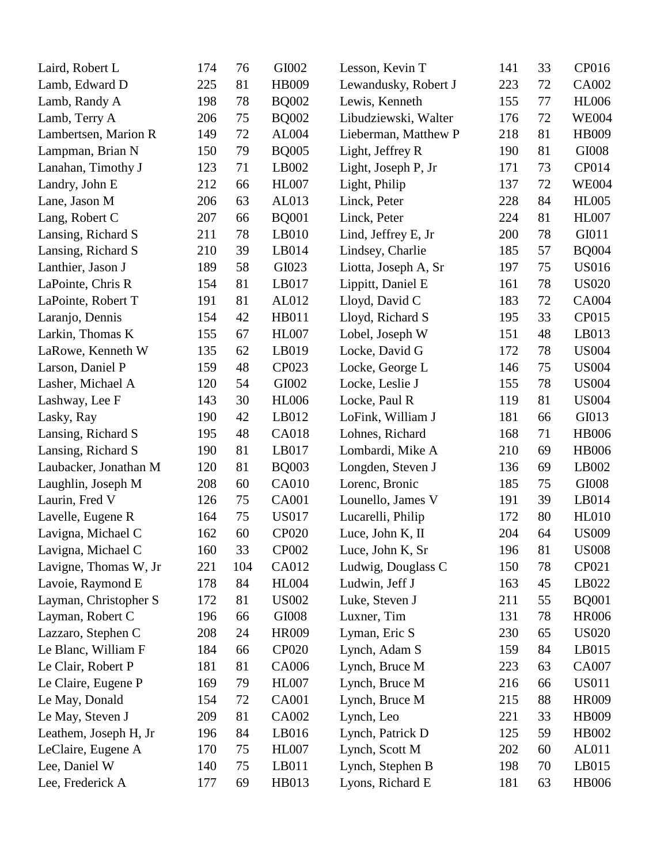| Laird, Robert L       | 174 | 76  | GI002        | Lesson, Kevin T      | 141 | 33 | CP016        |
|-----------------------|-----|-----|--------------|----------------------|-----|----|--------------|
| Lamb, Edward D        | 225 | 81  | HB009        | Lewandusky, Robert J | 223 | 72 | CA002        |
| Lamb, Randy A         | 198 | 78  | <b>BQ002</b> | Lewis, Kenneth       | 155 | 77 | <b>HL006</b> |
| Lamb, Terry A         | 206 | 75  | <b>BQ002</b> | Libudziewski, Walter | 176 | 72 | <b>WE004</b> |
| Lambertsen, Marion R  | 149 | 72  | AL004        | Lieberman, Matthew P | 218 | 81 | HB009        |
| Lampman, Brian N      | 150 | 79  | <b>BQ005</b> | Light, Jeffrey R     | 190 | 81 | GI008        |
| Lanahan, Timothy J    | 123 | 71  | LB002        | Light, Joseph P, Jr  | 171 | 73 | CP014        |
| Landry, John E        | 212 | 66  | <b>HL007</b> | Light, Philip        | 137 | 72 | <b>WE004</b> |
| Lane, Jason M         | 206 | 63  | AL013        | Linck, Peter         | 228 | 84 | <b>HL005</b> |
| Lang, Robert C        | 207 | 66  | <b>BQ001</b> | Linck, Peter         | 224 | 81 | <b>HL007</b> |
| Lansing, Richard S    | 211 | 78  | LB010        | Lind, Jeffrey E, Jr  | 200 | 78 | GI011        |
| Lansing, Richard S    | 210 | 39  | LB014        | Lindsey, Charlie     | 185 | 57 | <b>BQ004</b> |
| Lanthier, Jason J     | 189 | 58  | GI023        | Liotta, Joseph A, Sr | 197 | 75 | <b>US016</b> |
| LaPointe, Chris R     | 154 | 81  | LB017        | Lippitt, Daniel E    | 161 | 78 | <b>US020</b> |
| LaPointe, Robert T    | 191 | 81  | AL012        | Lloyd, David C       | 183 | 72 | <b>CA004</b> |
| Laranjo, Dennis       | 154 | 42  | HB011        | Lloyd, Richard S     | 195 | 33 | CP015        |
| Larkin, Thomas K      | 155 | 67  | <b>HL007</b> | Lobel, Joseph W      | 151 | 48 | LB013        |
| LaRowe, Kenneth W     | 135 | 62  | LB019        | Locke, David G       | 172 | 78 | <b>US004</b> |
| Larson, Daniel P      | 159 | 48  | CP023        | Locke, George L      | 146 | 75 | <b>US004</b> |
| Lasher, Michael A     | 120 | 54  | GI002        | Locke, Leslie J      | 155 | 78 | <b>US004</b> |
| Lashway, Lee F        | 143 | 30  | <b>HL006</b> | Locke, Paul R        | 119 | 81 | <b>US004</b> |
| Lasky, Ray            | 190 | 42  | LB012        | LoFink, William J    | 181 | 66 | GI013        |
| Lansing, Richard S    | 195 | 48  | CA018        | Lohnes, Richard      | 168 | 71 | <b>HB006</b> |
| Lansing, Richard S    | 190 | 81  | LB017        | Lombardi, Mike A     | 210 | 69 | <b>HB006</b> |
| Laubacker, Jonathan M | 120 | 81  | <b>BQ003</b> | Longden, Steven J    | 136 | 69 | LB002        |
| Laughlin, Joseph M    | 208 | 60  | <b>CA010</b> | Lorenc, Bronic       | 185 | 75 | GI008        |
| Laurin, Fred V        | 126 | 75  | <b>CA001</b> | Lounello, James V    | 191 | 39 | LB014        |
| Lavelle, Eugene R     | 164 | 75  | <b>US017</b> | Lucarelli, Philip    | 172 | 80 | <b>HL010</b> |
| Lavigna, Michael C    | 162 | 60  | <b>CP020</b> | Luce, John K, II     | 204 | 64 | <b>US009</b> |
| Lavigna, Michael C    | 160 | 33  | CP002        | Luce, John K, Sr     | 196 | 81 | <b>US008</b> |
| Lavigne, Thomas W, Jr | 221 | 104 | CA012        | Ludwig, Douglass C   | 150 | 78 | CP021        |
| Lavoie, Raymond E     | 178 | 84  | <b>HL004</b> | Ludwin, Jeff J       | 163 | 45 | LB022        |
| Layman, Christopher S | 172 | 81  | <b>US002</b> | Luke, Steven J       | 211 | 55 | <b>BQ001</b> |
| Layman, Robert C      | 196 | 66  | GI008        | Luxner, Tim          | 131 | 78 | <b>HR006</b> |
| Lazzaro, Stephen C    | 208 | 24  | <b>HR009</b> | Lyman, Eric S        | 230 | 65 | <b>US020</b> |
| Le Blanc, William F   | 184 | 66  | <b>CP020</b> | Lynch, Adam S        | 159 | 84 | LB015        |
| Le Clair, Robert P    | 181 | 81  | CA006        | Lynch, Bruce M       | 223 | 63 | <b>CA007</b> |
| Le Claire, Eugene P   | 169 | 79  | <b>HL007</b> | Lynch, Bruce M       | 216 | 66 | <b>US011</b> |
| Le May, Donald        | 154 | 72  | <b>CA001</b> | Lynch, Bruce M       | 215 | 88 | HR009        |
| Le May, Steven J      | 209 | 81  | CA002        | Lynch, Leo           | 221 | 33 | HB009        |
| Leathem, Joseph H, Jr | 196 | 84  | LB016        | Lynch, Patrick D     | 125 | 59 | HB002        |
| LeClaire, Eugene A    | 170 | 75  | <b>HL007</b> | Lynch, Scott M       | 202 | 60 | AL011        |
| Lee, Daniel W         | 140 | 75  | LB011        | Lynch, Stephen B     | 198 | 70 | LB015        |
| Lee, Frederick A      | 177 | 69  | HB013        | Lyons, Richard E     | 181 | 63 | <b>HB006</b> |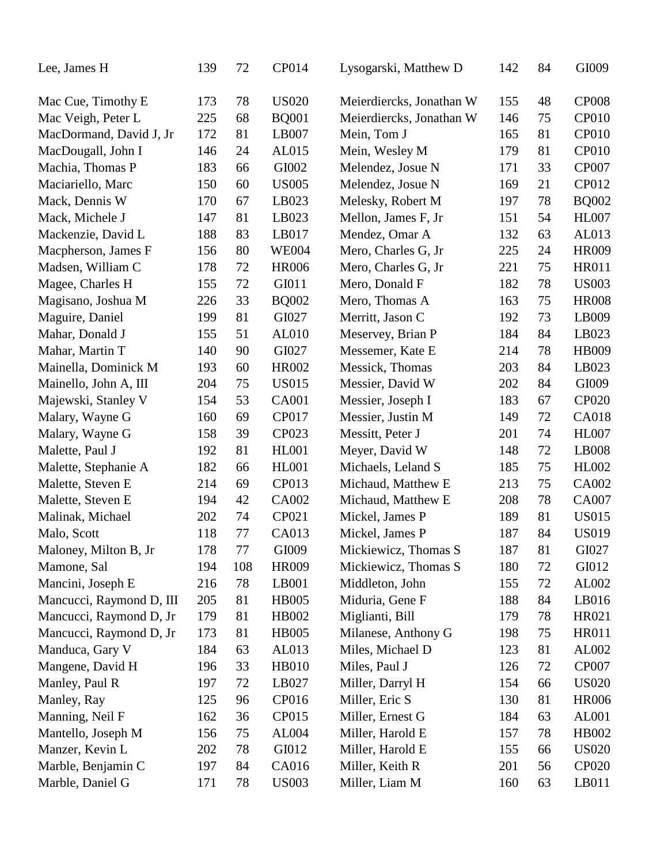| Lee, James H             | 139 | 72  | CP014        | Lysogarski, Matthew D    | 142 | 84 | GI009        |
|--------------------------|-----|-----|--------------|--------------------------|-----|----|--------------|
| Mac Cue, Timothy E       | 173 | 78  | <b>US020</b> | Meierdiercks, Jonathan W | 155 | 48 | <b>CP008</b> |
| Mac Veigh, Peter L       | 225 | 68  | <b>BQ001</b> | Meierdiercks, Jonathan W | 146 | 75 | <b>CP010</b> |
| MacDormand, David J, Jr  | 172 | 81  | LB007        | Mein, Tom J              | 165 | 81 | CP010        |
| MacDougall, John I       | 146 | 24  | AL015        | Mein, Wesley M           | 179 | 81 | <b>CP010</b> |
| Machia, Thomas P         | 183 | 66  | GI002        | Melendez, Josue N        | 171 | 33 | <b>CP007</b> |
| Maciariello, Marc        | 150 | 60  | <b>US005</b> | Melendez, Josue N        | 169 | 21 | CP012        |
| Mack, Dennis W           | 170 | 67  | LB023        | Melesky, Robert M        | 197 | 78 | <b>BQ002</b> |
| Mack, Michele J          | 147 | 81  | LB023        | Mellon, James F, Jr      | 151 | 54 | <b>HL007</b> |
| Mackenzie, David L       | 188 | 83  | LB017        | Mendez, Omar A           | 132 | 63 | AL013        |
| Macpherson, James F      | 156 | 80  | <b>WE004</b> | Mero, Charles G, Jr      | 225 | 24 | <b>HR009</b> |
| Madsen, William C        | 178 | 72  | <b>HR006</b> | Mero, Charles G, Jr      | 221 | 75 | HR011        |
| Magee, Charles H         | 155 | 72  | GI011        | Mero, Donald F           | 182 | 78 | <b>US003</b> |
| Magisano, Joshua M       | 226 | 33  | <b>BQ002</b> | Mero, Thomas A           | 163 | 75 | <b>HR008</b> |
| Maguire, Daniel          | 199 | 81  | GI027        | Merritt, Jason C         | 192 | 73 | LB009        |
| Mahar, Donald J          | 155 | 51  | AL010        | Meservey, Brian P        | 184 | 84 | LB023        |
| Mahar, Martin T          | 140 | 90  | GI027        | Messemer, Kate E         | 214 | 78 | HB009        |
| Mainella, Dominick M     | 193 | 60  | HR002        | Messick, Thomas          | 203 | 84 | LB023        |
| Mainello, John A, III    | 204 | 75  | <b>US015</b> | Messier, David W         | 202 | 84 | GI009        |
| Majewski, Stanley V      | 154 | 53  | <b>CA001</b> | Messier, Joseph I        | 183 | 67 | <b>CP020</b> |
| Malary, Wayne G          | 160 | 69  | <b>CP017</b> | Messier, Justin M        | 149 | 72 | <b>CA018</b> |
| Malary, Wayne G          | 158 | 39  | CP023        | Messitt, Peter J         | 201 | 74 | <b>HL007</b> |
| Malette, Paul J          | 192 | 81  | <b>HL001</b> | Meyer, David W           | 148 | 72 | LB008        |
| Malette, Stephanie A     | 182 | 66  | <b>HL001</b> | Michaels, Leland S       | 185 | 75 | HL002        |
| Malette, Steven E        | 214 | 69  | CP013        | Michaud, Matthew E       | 213 | 75 | CA002        |
| Malette, Steven E        | 194 | 42  | CA002        | Michaud, Matthew E       | 208 | 78 | CA007        |
| Malinak, Michael         | 202 | 74  | CP021        | Mickel, James P          | 189 | 81 | <b>US015</b> |
| Malo, Scott              | 118 | 77  | CA013        | Mickel, James P          | 187 | 84 | <b>US019</b> |
| Maloney, Milton B, Jr    | 178 | 77  | GI009        | Mickiewicz, Thomas S     | 187 | 81 | GI027        |
| Mamone, Sal              | 194 | 108 | <b>HR009</b> | Mickiewicz, Thomas S     | 180 | 72 | GI012        |
| Mancini, Joseph E        | 216 | 78  | LB001        | Middleton, John          | 155 | 72 | AL002        |
| Mancucci, Raymond D, III | 205 | 81  | <b>HB005</b> | Miduria, Gene F          | 188 | 84 | LB016        |
| Mancucci, Raymond D, Jr  | 179 | 81  | HB002        | Miglianti, Bill          | 179 | 78 | HR021        |
| Mancucci, Raymond D, Jr  | 173 | 81  | <b>HB005</b> | Milanese, Anthony G      | 198 | 75 | <b>HR011</b> |
| Manduca, Gary V          | 184 | 63  | AL013        | Miles, Michael D         | 123 | 81 | AL002        |
| Mangene, David H         | 196 | 33  | <b>HB010</b> | Miles, Paul J            | 126 | 72 | <b>CP007</b> |
| Manley, Paul R           | 197 | 72  | LB027        | Miller, Darryl H         | 154 | 66 | <b>US020</b> |
| Manley, Ray              | 125 | 96  | CP016        | Miller, Eric S           | 130 | 81 | <b>HR006</b> |
| Manning, Neil F          | 162 | 36  | CP015        | Miller, Ernest G         | 184 | 63 | AL001        |
| Mantello, Joseph M       | 156 | 75  | AL004        | Miller, Harold E         | 157 | 78 | HB002        |
| Manzer, Kevin L          | 202 | 78  | GI012        | Miller, Harold E         | 155 | 66 | <b>US020</b> |
| Marble, Benjamin C       | 197 | 84  | CA016        | Miller, Keith R          | 201 | 56 | <b>CP020</b> |
| Marble, Daniel G         | 171 | 78  | <b>US003</b> | Miller, Liam M           | 160 | 63 | LB011        |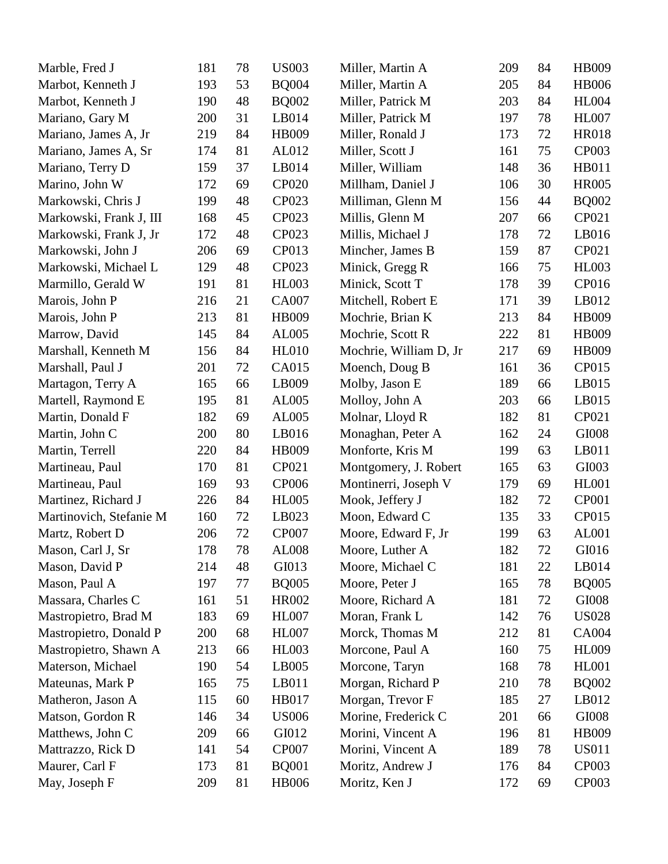| Marble, Fred J          | 181 | 78 | <b>US003</b> | Miller, Martin A       | 209 | 84 | HB009        |
|-------------------------|-----|----|--------------|------------------------|-----|----|--------------|
| Marbot, Kenneth J       | 193 | 53 | <b>BQ004</b> | Miller, Martin A       | 205 | 84 | <b>HB006</b> |
| Marbot, Kenneth J       | 190 | 48 | <b>BQ002</b> | Miller, Patrick M      | 203 | 84 | <b>HL004</b> |
| Mariano, Gary M         | 200 | 31 | LB014        | Miller, Patrick M      | 197 | 78 | <b>HL007</b> |
| Mariano, James A, Jr    | 219 | 84 | HB009        | Miller, Ronald J       | 173 | 72 | <b>HR018</b> |
| Mariano, James A, Sr    | 174 | 81 | AL012        | Miller, Scott J        | 161 | 75 | <b>CP003</b> |
| Mariano, Terry D        | 159 | 37 | LB014        | Miller, William        | 148 | 36 | HB011        |
| Marino, John W          | 172 | 69 | <b>CP020</b> | Millham, Daniel J      | 106 | 30 | <b>HR005</b> |
| Markowski, Chris J      | 199 | 48 | CP023        | Milliman, Glenn M      | 156 | 44 | <b>BQ002</b> |
| Markowski, Frank J, III | 168 | 45 | CP023        | Millis, Glenn M        | 207 | 66 | CP021        |
| Markowski, Frank J, Jr  | 172 | 48 | CP023        | Millis, Michael J      | 178 | 72 | LB016        |
| Markowski, John J       | 206 | 69 | CP013        | Mincher, James B       | 159 | 87 | CP021        |
| Markowski, Michael L    | 129 | 48 | CP023        | Minick, Gregg R        | 166 | 75 | <b>HL003</b> |
| Marmillo, Gerald W      | 191 | 81 | <b>HL003</b> | Minick, Scott T        | 178 | 39 | CP016        |
| Marois, John P          | 216 | 21 | CA007        | Mitchell, Robert E     | 171 | 39 | LB012        |
| Marois, John P          | 213 | 81 | HB009        | Mochrie, Brian K       | 213 | 84 | HB009        |
| Marrow, David           | 145 | 84 | AL005        | Mochrie, Scott R       | 222 | 81 | HB009        |
| Marshall, Kenneth M     | 156 | 84 | <b>HL010</b> | Mochrie, William D, Jr | 217 | 69 | HB009        |
| Marshall, Paul J        | 201 | 72 | CA015        | Moench, Doug B         | 161 | 36 | CP015        |
| Martagon, Terry A       | 165 | 66 | LB009        | Molby, Jason E         | 189 | 66 | LB015        |
| Martell, Raymond E      | 195 | 81 | AL005        | Molloy, John A         | 203 | 66 | LB015        |
| Martin, Donald F        | 182 | 69 | AL005        | Molnar, Lloyd R        | 182 | 81 | CP021        |
| Martin, John C          | 200 | 80 | LB016        | Monaghan, Peter A      | 162 | 24 | GI008        |
| Martin, Terrell         | 220 | 84 | HB009        | Monforte, Kris M       | 199 | 63 | LB011        |
| Martineau, Paul         | 170 | 81 | CP021        | Montgomery, J. Robert  | 165 | 63 | GI003        |
| Martineau, Paul         | 169 | 93 | CP006        | Montinerri, Joseph V   | 179 | 69 | <b>HL001</b> |
| Martinez, Richard J     | 226 | 84 | <b>HL005</b> | Mook, Jeffery J        | 182 | 72 | <b>CP001</b> |
| Martinovich, Stefanie M | 160 | 72 | LB023        | Moon, Edward C         | 135 | 33 | CP015        |
| Martz, Robert D         | 206 | 72 | <b>CP007</b> | Moore, Edward F, Jr    | 199 | 63 | AL001        |
| Mason, Carl J, Sr       | 178 | 78 | <b>AL008</b> | Moore, Luther A        | 182 | 72 | GI016        |
| Mason, David P          | 214 | 48 | GI013        | Moore, Michael C       | 181 | 22 | LB014        |
| Mason, Paul A           | 197 | 77 | <b>BQ005</b> | Moore, Peter J         | 165 | 78 | <b>BQ005</b> |
| Massara, Charles C      | 161 | 51 | HR002        | Moore, Richard A       | 181 | 72 | GI008        |
| Mastropietro, Brad M    | 183 | 69 | <b>HL007</b> | Moran, Frank L         | 142 | 76 | <b>US028</b> |
| Mastropietro, Donald P  | 200 | 68 | <b>HL007</b> | Morck, Thomas M        | 212 | 81 | <b>CA004</b> |
| Mastropietro, Shawn A   | 213 | 66 | <b>HL003</b> | Morcone, Paul A        | 160 | 75 | <b>HL009</b> |
| Materson, Michael       | 190 | 54 | LB005        | Morcone, Taryn         | 168 | 78 | <b>HL001</b> |
| Mateunas, Mark P        | 165 | 75 | LB011        | Morgan, Richard P      | 210 | 78 | <b>BQ002</b> |
| Matheron, Jason A       | 115 | 60 | HB017        | Morgan, Trevor F       | 185 | 27 | LB012        |
| Matson, Gordon R        | 146 | 34 | <b>US006</b> | Morine, Frederick C    | 201 | 66 | GI008        |
| Matthews, John C        | 209 | 66 | GI012        | Morini, Vincent A      | 196 | 81 | HB009        |
| Mattrazzo, Rick D       | 141 | 54 | <b>CP007</b> | Morini, Vincent A      | 189 | 78 | <b>US011</b> |
| Maurer, Carl F          | 173 | 81 | <b>BQ001</b> | Moritz, Andrew J       | 176 | 84 | <b>CP003</b> |
| May, Joseph F           | 209 | 81 | <b>HB006</b> | Moritz, Ken J          | 172 | 69 | <b>CP003</b> |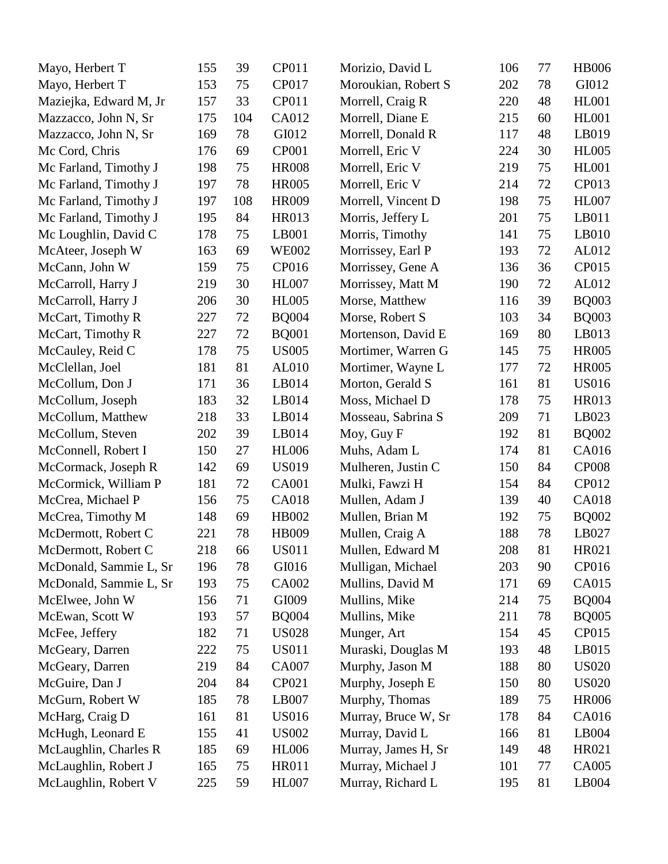| Mayo, Herbert T        | 155 | 39  | CP011        | Morizio, David L    | 106 | 77 | <b>HB006</b> |
|------------------------|-----|-----|--------------|---------------------|-----|----|--------------|
| Mayo, Herbert T        | 153 | 75  | CP017        | Moroukian, Robert S | 202 | 78 | GI012        |
| Maziejka, Edward M, Jr | 157 | 33  | CP011        | Morrell, Craig R    | 220 | 48 | <b>HL001</b> |
| Mazzacco, John N, Sr   | 175 | 104 | CA012        | Morrell, Diane E    | 215 | 60 | <b>HL001</b> |
| Mazzacco, John N, Sr   | 169 | 78  | GI012        | Morrell, Donald R   | 117 | 48 | LB019        |
| Mc Cord, Chris         | 176 | 69  | CP001        | Morrell, Eric V     | 224 | 30 | <b>HL005</b> |
| Mc Farland, Timothy J  | 198 | 75  | <b>HR008</b> | Morrell, Eric V     | 219 | 75 | <b>HL001</b> |
| Mc Farland, Timothy J  | 197 | 78  | <b>HR005</b> | Morrell, Eric V     | 214 | 72 | CP013        |
| Mc Farland, Timothy J  | 197 | 108 | HR009        | Morrell, Vincent D  | 198 | 75 | <b>HL007</b> |
| Mc Farland, Timothy J  | 195 | 84  | <b>HR013</b> | Morris, Jeffery L   | 201 | 75 | LB011        |
| Mc Loughlin, David C   | 178 | 75  | LB001        | Morris, Timothy     | 141 | 75 | LB010        |
| McAteer, Joseph W      | 163 | 69  | <b>WE002</b> | Morrissey, Earl P   | 193 | 72 | AL012        |
| McCann, John W         | 159 | 75  | CP016        | Morrissey, Gene A   | 136 | 36 | CP015        |
| McCarroll, Harry J     | 219 | 30  | <b>HL007</b> | Morrissey, Matt M   | 190 | 72 | AL012        |
| McCarroll, Harry J     | 206 | 30  | <b>HL005</b> | Morse, Matthew      | 116 | 39 | <b>BQ003</b> |
| McCart, Timothy R      | 227 | 72  | <b>BQ004</b> | Morse, Robert S     | 103 | 34 | <b>BQ003</b> |
| McCart, Timothy R      | 227 | 72  | <b>BQ001</b> | Mortenson, David E  | 169 | 80 | LB013        |
| McCauley, Reid C       | 178 | 75  | <b>US005</b> | Mortimer, Warren G  | 145 | 75 | <b>HR005</b> |
| McClellan, Joel        | 181 | 81  | AL010        | Mortimer, Wayne L   | 177 | 72 | <b>HR005</b> |
| McCollum, Don J        | 171 | 36  | LB014        | Morton, Gerald S    | 161 | 81 | <b>US016</b> |
| McCollum, Joseph       | 183 | 32  | LB014        | Moss, Michael D     | 178 | 75 | HR013        |
| McCollum, Matthew      | 218 | 33  | LB014        | Mosseau, Sabrina S  | 209 | 71 | LB023        |
| McCollum, Steven       | 202 | 39  | LB014        | Moy, Guy F          | 192 | 81 | <b>BQ002</b> |
| McConnell, Robert I    | 150 | 27  | <b>HL006</b> | Muhs, Adam L        | 174 | 81 | CA016        |
| McCormack, Joseph R    | 142 | 69  | <b>US019</b> | Mulheren, Justin C  | 150 | 84 | <b>CP008</b> |
| McCormick, William P   | 181 | 72  | <b>CA001</b> | Mulki, Fawzi H      | 154 | 84 | CP012        |
| McCrea, Michael P      | 156 | 75  | CA018        | Mullen, Adam J      | 139 | 40 | <b>CA018</b> |
| McCrea, Timothy M      | 148 | 69  | HB002        | Mullen, Brian M     | 192 | 75 | <b>BQ002</b> |
| McDermott, Robert C    | 221 | 78  | <b>HB009</b> | Mullen, Craig A     | 188 | 78 | LB027        |
| McDermott, Robert C    | 218 | 66  | <b>US011</b> | Mullen, Edward M    | 208 | 81 | HR021        |
| McDonald, Sammie L, Sr | 196 | 78  | GI016        | Mulligan, Michael   | 203 | 90 | CP016        |
| McDonald, Sammie L, Sr | 193 | 75  | CA002        | Mullins, David M    | 171 | 69 | CA015        |
| McElwee, John W        | 156 | 71  | GI009        | Mullins, Mike       | 214 | 75 | <b>BQ004</b> |
| McEwan, Scott W        | 193 | 57  | <b>BQ004</b> | Mullins, Mike       | 211 | 78 | <b>BQ005</b> |
| McFee, Jeffery         | 182 | 71  | <b>US028</b> | Munger, Art         | 154 | 45 | CP015        |
| McGeary, Darren        | 222 | 75  | <b>US011</b> | Muraski, Douglas M  | 193 | 48 | LB015        |
| McGeary, Darren        | 219 | 84  | <b>CA007</b> | Murphy, Jason M     | 188 | 80 | <b>US020</b> |
| McGuire, Dan J         | 204 | 84  | CP021        | Murphy, Joseph E    | 150 | 80 | <b>US020</b> |
| McGurn, Robert W       | 185 | 78  | LB007        | Murphy, Thomas      | 189 | 75 | <b>HR006</b> |
| McHarg, Craig D        | 161 | 81  | <b>US016</b> | Murray, Bruce W, Sr | 178 | 84 | CA016        |
| McHugh, Leonard E      | 155 | 41  | <b>US002</b> | Murray, David L     | 166 | 81 | LB004        |
| McLaughlin, Charles R  | 185 | 69  | <b>HL006</b> | Murray, James H, Sr | 149 | 48 | HR021        |
| McLaughlin, Robert J   | 165 | 75  | <b>HR011</b> | Murray, Michael J   | 101 | 77 | CA005        |
| McLaughlin, Robert V   | 225 | 59  | <b>HL007</b> | Murray, Richard L   | 195 | 81 | LB004        |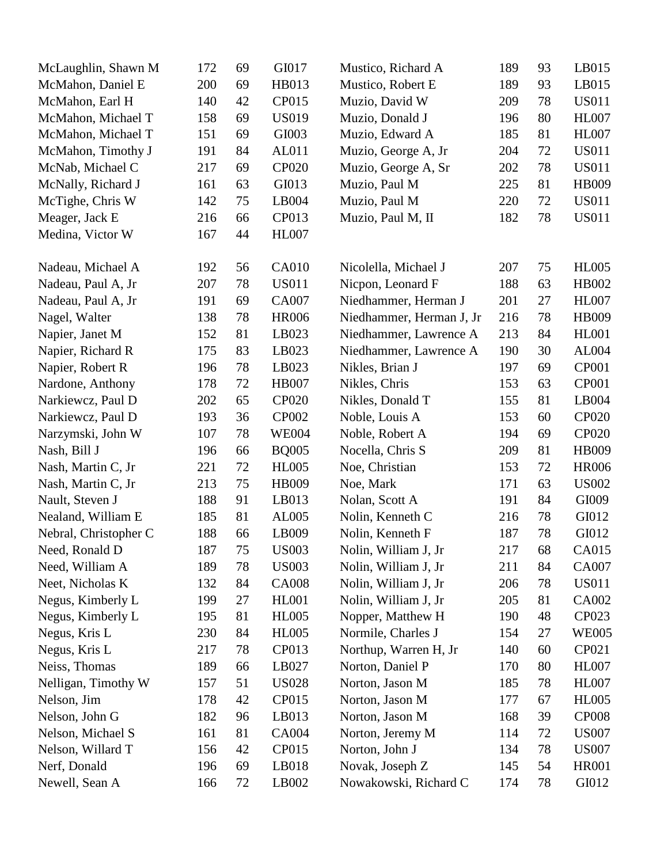| McLaughlin, Shawn M   | 172 | 69 | GI017        | Mustico, Richard A       | 189 | 93 | LB015        |
|-----------------------|-----|----|--------------|--------------------------|-----|----|--------------|
| McMahon, Daniel E     | 200 | 69 | HB013        | Mustico, Robert E        | 189 | 93 | LB015        |
| McMahon, Earl H       | 140 | 42 | CP015        | Muzio, David W           | 209 | 78 | <b>US011</b> |
| McMahon, Michael T    | 158 | 69 | <b>US019</b> | Muzio, Donald J          | 196 | 80 | <b>HL007</b> |
| McMahon, Michael T    | 151 | 69 | GI003        | Muzio, Edward A          | 185 | 81 | <b>HL007</b> |
| McMahon, Timothy J    | 191 | 84 | AL011        | Muzio, George A, Jr      | 204 | 72 | <b>US011</b> |
| McNab, Michael C      | 217 | 69 | CP020        | Muzio, George A, Sr      | 202 | 78 | <b>US011</b> |
| McNally, Richard J    | 161 | 63 | GI013        | Muzio, Paul M            | 225 | 81 | <b>HB009</b> |
| McTighe, Chris W      | 142 | 75 | LB004        | Muzio, Paul M            | 220 | 72 | <b>US011</b> |
| Meager, Jack E        | 216 | 66 | CP013        | Muzio, Paul M, II        | 182 | 78 | <b>US011</b> |
| Medina, Victor W      | 167 | 44 | <b>HL007</b> |                          |     |    |              |
| Nadeau, Michael A     | 192 | 56 | <b>CA010</b> | Nicolella, Michael J     | 207 | 75 | <b>HL005</b> |
| Nadeau, Paul A, Jr    | 207 | 78 | <b>US011</b> | Nicpon, Leonard F        | 188 | 63 | HB002        |
| Nadeau, Paul A, Jr    | 191 | 69 | <b>CA007</b> | Niedhammer, Herman J     | 201 | 27 | <b>HL007</b> |
| Nagel, Walter         | 138 | 78 | <b>HR006</b> | Niedhammer, Herman J, Jr | 216 | 78 | HB009        |
| Napier, Janet M       | 152 | 81 | LB023        | Niedhammer, Lawrence A   | 213 | 84 | <b>HL001</b> |
| Napier, Richard R     | 175 | 83 | LB023        | Niedhammer, Lawrence A   | 190 | 30 | AL004        |
| Napier, Robert R      | 196 | 78 | LB023        | Nikles, Brian J          | 197 | 69 | <b>CP001</b> |
| Nardone, Anthony      | 178 | 72 | <b>HB007</b> | Nikles, Chris            | 153 | 63 | <b>CP001</b> |
| Narkiewcz, Paul D     | 202 | 65 | <b>CP020</b> | Nikles, Donald T         | 155 | 81 | LB004        |
| Narkiewcz, Paul D     | 193 | 36 | <b>CP002</b> | Noble, Louis A           | 153 | 60 | <b>CP020</b> |
| Narzymski, John W     | 107 | 78 | <b>WE004</b> | Noble, Robert A          | 194 | 69 | <b>CP020</b> |
| Nash, Bill J          | 196 | 66 | <b>BQ005</b> | Nocella, Chris S         | 209 | 81 | HB009        |
| Nash, Martin C, Jr    | 221 | 72 | <b>HL005</b> | Noe, Christian           | 153 | 72 | <b>HR006</b> |
| Nash, Martin C, Jr    | 213 | 75 | <b>HB009</b> | Noe, Mark                | 171 | 63 | <b>US002</b> |
| Nault, Steven J       | 188 | 91 | LB013        | Nolan, Scott A           | 191 | 84 | GI009        |
| Nealand, William E    | 185 | 81 | AL005        | Nolin, Kenneth C         | 216 | 78 | GI012        |
| Nebral, Christopher C | 188 | 66 | LB009        | Nolin, Kenneth F         | 187 | 78 | GI012        |
| Need, Ronald D        | 187 | 75 | <b>US003</b> | Nolin, William J, Jr     | 217 | 68 | CA015        |
| Need, William A       | 189 | 78 | <b>US003</b> | Nolin, William J, Jr     | 211 | 84 | CA007        |
| Neet, Nicholas K      | 132 | 84 | <b>CA008</b> | Nolin, William J, Jr     | 206 | 78 | <b>US011</b> |
| Negus, Kimberly L     | 199 | 27 | <b>HL001</b> | Nolin, William J, Jr     | 205 | 81 | CA002        |
| Negus, Kimberly L     | 195 | 81 | <b>HL005</b> | Nopper, Matthew H        | 190 | 48 | CP023        |
| Negus, Kris L         | 230 | 84 | <b>HL005</b> | Normile, Charles J       | 154 | 27 | <b>WE005</b> |
| Negus, Kris L         | 217 | 78 | CP013        | Northup, Warren H, Jr    | 140 | 60 | CP021        |
| Neiss, Thomas         | 189 | 66 | LB027        | Norton, Daniel P         | 170 | 80 | <b>HL007</b> |
| Nelligan, Timothy W   | 157 | 51 | <b>US028</b> | Norton, Jason M          | 185 | 78 | <b>HL007</b> |
| Nelson, Jim           | 178 | 42 | CP015        | Norton, Jason M          | 177 | 67 | <b>HL005</b> |
| Nelson, John G        | 182 | 96 | LB013        | Norton, Jason M          | 168 | 39 | <b>CP008</b> |
| Nelson, Michael S     | 161 | 81 | <b>CA004</b> | Norton, Jeremy M         | 114 | 72 | <b>US007</b> |
| Nelson, Willard T     | 156 | 42 | CP015        | Norton, John J           | 134 | 78 | <b>US007</b> |
| Nerf, Donald          | 196 | 69 | LB018        | Novak, Joseph Z          | 145 | 54 | <b>HR001</b> |
| Newell, Sean A        | 166 | 72 | LB002        | Nowakowski, Richard C    | 174 | 78 | GI012        |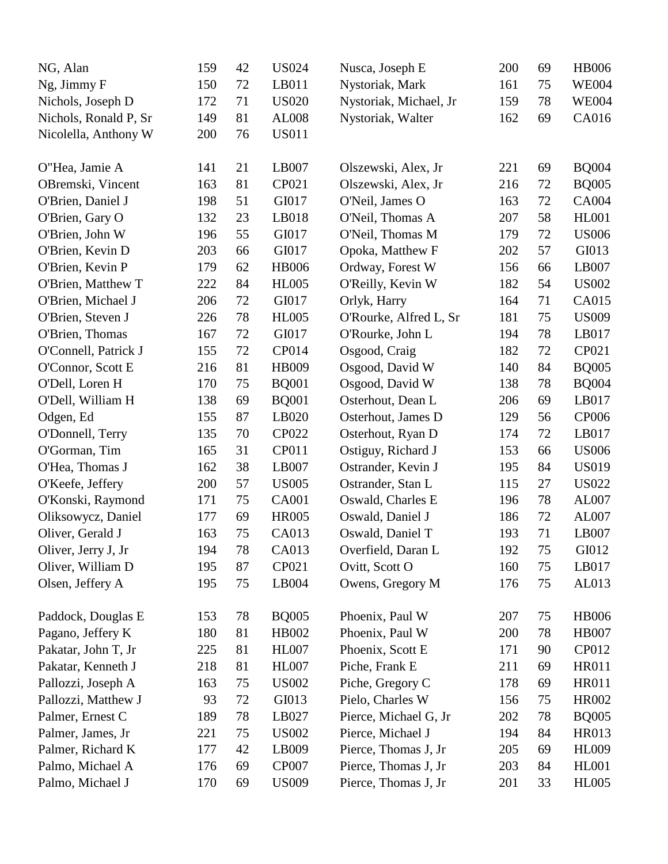| NG, Alan              | 159 | 42 | <b>US024</b> | Nusca, Joseph E        | 200 | 69 | <b>HB006</b> |
|-----------------------|-----|----|--------------|------------------------|-----|----|--------------|
| Ng, Jimmy F           | 150 | 72 | LB011        | Nystoriak, Mark        | 161 | 75 | <b>WE004</b> |
| Nichols, Joseph D     | 172 | 71 | <b>US020</b> | Nystoriak, Michael, Jr | 159 | 78 | <b>WE004</b> |
| Nichols, Ronald P, Sr | 149 | 81 | AL008        | Nystoriak, Walter      | 162 | 69 | CA016        |
| Nicolella, Anthony W  | 200 | 76 | <b>US011</b> |                        |     |    |              |
| O"Hea, Jamie A        | 141 | 21 | LB007        | Olszewski, Alex, Jr    | 221 | 69 | <b>BQ004</b> |
| OBremski, Vincent     | 163 | 81 | CP021        | Olszewski, Alex, Jr    | 216 | 72 | <b>BQ005</b> |
| O'Brien, Daniel J     | 198 | 51 | GI017        | O'Neil, James O        | 163 | 72 | CA004        |
| O'Brien, Gary O       | 132 | 23 | LB018        | O'Neil, Thomas A       | 207 | 58 | <b>HL001</b> |
| O'Brien, John W       | 196 | 55 | GI017        | O'Neil, Thomas M       | 179 | 72 | <b>US006</b> |
| O'Brien, Kevin D      | 203 | 66 | GI017        | Opoka, Matthew F       | 202 | 57 | GI013        |
| O'Brien, Kevin P      | 179 | 62 | <b>HB006</b> | Ordway, Forest W       | 156 | 66 | LB007        |
| O'Brien, Matthew T    | 222 | 84 | <b>HL005</b> | O'Reilly, Kevin W      | 182 | 54 | <b>US002</b> |
| O'Brien, Michael J    | 206 | 72 | GI017        | Orlyk, Harry           | 164 | 71 | CA015        |
| O'Brien, Steven J     | 226 | 78 | <b>HL005</b> | O'Rourke, Alfred L, Sr | 181 | 75 | <b>US009</b> |
| O'Brien, Thomas       | 167 | 72 | GI017        | O'Rourke, John L       | 194 | 78 | LB017        |
| O'Connell, Patrick J  | 155 | 72 | CP014        | Osgood, Craig          | 182 | 72 | CP021        |
| O'Connor, Scott E     | 216 | 81 | HB009        | Osgood, David W        | 140 | 84 | <b>BQ005</b> |
| O'Dell, Loren H       | 170 | 75 | <b>BQ001</b> | Osgood, David W        | 138 | 78 | <b>BQ004</b> |
| O'Dell, William H     | 138 | 69 | <b>BQ001</b> | Osterhout, Dean L      | 206 | 69 | LB017        |
| Odgen, Ed             | 155 | 87 | LB020        | Osterhout, James D     | 129 | 56 | CP006        |
| O'Donnell, Terry      | 135 | 70 | CP022        | Osterhout, Ryan D      | 174 | 72 | LB017        |
| O'Gorman, Tim         | 165 | 31 | CP011        | Ostiguy, Richard J     | 153 | 66 | <b>US006</b> |
| O'Hea, Thomas J       | 162 | 38 | LB007        | Ostrander, Kevin J     | 195 | 84 | <b>US019</b> |
| O'Keefe, Jeffery      | 200 | 57 | <b>US005</b> | Ostrander, Stan L      | 115 | 27 | <b>US022</b> |
| O'Konski, Raymond     | 171 | 75 | <b>CA001</b> | Oswald, Charles E      | 196 | 78 | AL007        |
| Oliksowycz, Daniel    | 177 | 69 | <b>HR005</b> | Oswald, Daniel J       | 186 | 72 | AL007        |
| Oliver, Gerald J      | 163 | 75 | <b>CA013</b> | Oswald, Daniel T       | 193 | 71 | LB007        |
| Oliver, Jerry J, Jr   | 194 | 78 | <b>CA013</b> | Overfield, Daran L     | 192 | 75 | GI012        |
| Oliver, William D     | 195 | 87 | CP021        | Ovitt, Scott O         | 160 | 75 | LB017        |
| Olsen, Jeffery A      | 195 | 75 | LB004        | Owens, Gregory M       | 176 | 75 | AL013        |
| Paddock, Douglas E    | 153 | 78 | <b>BQ005</b> | Phoenix, Paul W        | 207 | 75 | <b>HB006</b> |
| Pagano, Jeffery K     | 180 | 81 | HB002        | Phoenix, Paul W        | 200 | 78 | <b>HB007</b> |
| Pakatar, John T, Jr   | 225 | 81 | <b>HL007</b> | Phoenix, Scott E       | 171 | 90 | CP012        |
| Pakatar, Kenneth J    | 218 | 81 | <b>HL007</b> | Piche, Frank E         | 211 | 69 | <b>HR011</b> |
| Pallozzi, Joseph A    | 163 | 75 | <b>US002</b> | Piche, Gregory C       | 178 | 69 | <b>HR011</b> |
| Pallozzi, Matthew J   | 93  | 72 | GI013        | Pielo, Charles W       | 156 | 75 | HR002        |
| Palmer, Ernest C      | 189 | 78 | LB027        | Pierce, Michael G, Jr  | 202 | 78 | <b>BQ005</b> |
| Palmer, James, Jr.    | 221 | 75 | <b>US002</b> | Pierce, Michael J      | 194 | 84 | HR013        |
| Palmer, Richard K     | 177 | 42 | LB009        | Pierce, Thomas J, Jr   | 205 | 69 | <b>HL009</b> |
| Palmo, Michael A      | 176 | 69 | <b>CP007</b> | Pierce, Thomas J, Jr   | 203 | 84 | <b>HL001</b> |
| Palmo, Michael J      | 170 | 69 | <b>US009</b> | Pierce, Thomas J, Jr   | 201 | 33 | <b>HL005</b> |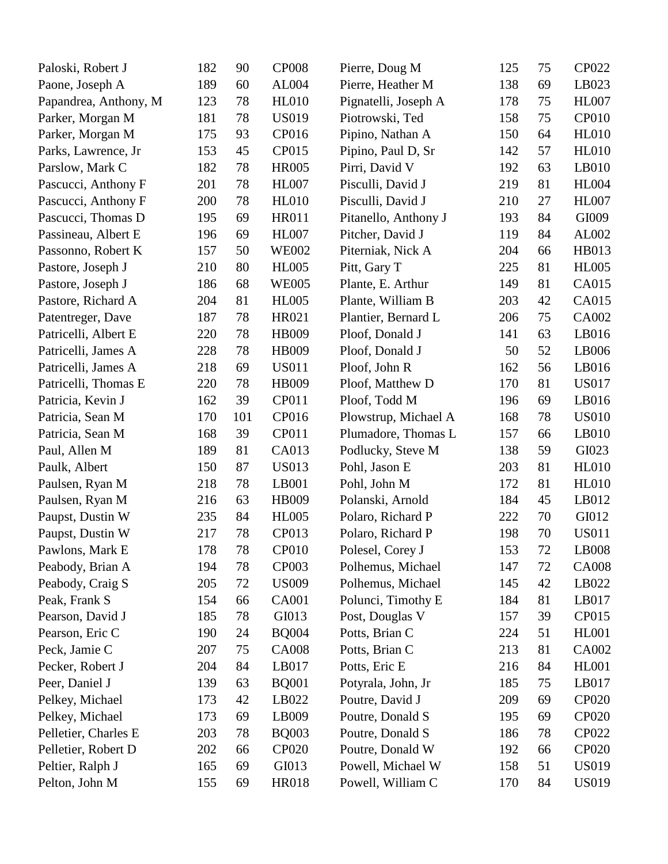| Paloski, Robert J     | 182 | 90  | <b>CP008</b> | Pierre, Doug M       | 125 | 75 | CP022        |
|-----------------------|-----|-----|--------------|----------------------|-----|----|--------------|
| Paone, Joseph A       | 189 | 60  | AL004        | Pierre, Heather M    | 138 | 69 | LB023        |
| Papandrea, Anthony, M | 123 | 78  | <b>HL010</b> | Pignatelli, Joseph A | 178 | 75 | <b>HL007</b> |
| Parker, Morgan M      | 181 | 78  | <b>US019</b> | Piotrowski, Ted      | 158 | 75 | <b>CP010</b> |
| Parker, Morgan M      | 175 | 93  | CP016        | Pipino, Nathan A     | 150 | 64 | <b>HL010</b> |
| Parks, Lawrence, Jr   | 153 | 45  | CP015        | Pipino, Paul D, Sr   | 142 | 57 | HL010        |
| Parslow, Mark C       | 182 | 78  | <b>HR005</b> | Pirri, David V       | 192 | 63 | LB010        |
| Pascucci, Anthony F   | 201 | 78  | <b>HL007</b> | Pisculli, David J    | 219 | 81 | <b>HL004</b> |
| Pascucci, Anthony F   | 200 | 78  | <b>HL010</b> | Pisculli, David J    | 210 | 27 | <b>HL007</b> |
| Pascucci, Thomas D    | 195 | 69  | <b>HR011</b> | Pitanello, Anthony J | 193 | 84 | GI009        |
| Passineau, Albert E   | 196 | 69  | <b>HL007</b> | Pitcher, David J     | 119 | 84 | AL002        |
| Passonno, Robert K    | 157 | 50  | <b>WE002</b> | Piterniak, Nick A    | 204 | 66 | HB013        |
| Pastore, Joseph J     | 210 | 80  | <b>HL005</b> | Pitt, Gary T         | 225 | 81 | <b>HL005</b> |
| Pastore, Joseph J     | 186 | 68  | <b>WE005</b> | Plante, E. Arthur    | 149 | 81 | CA015        |
| Pastore, Richard A    | 204 | 81  | <b>HL005</b> | Plante, William B    | 203 | 42 | CA015        |
| Patentreger, Dave     | 187 | 78  | HR021        | Plantier, Bernard L  | 206 | 75 | CA002        |
| Patricelli, Albert E  | 220 | 78  | <b>HB009</b> | Ploof, Donald J      | 141 | 63 | LB016        |
| Patricelli, James A   | 228 | 78  | HB009        | Ploof, Donald J      | 50  | 52 | LB006        |
| Patricelli, James A   | 218 | 69  | <b>US011</b> | Ploof, John R        | 162 | 56 | LB016        |
| Patricelli, Thomas E  | 220 | 78  | HB009        | Ploof, Matthew D     | 170 | 81 | <b>US017</b> |
| Patricia, Kevin J     | 162 | 39  | <b>CP011</b> | Ploof, Todd M        | 196 | 69 | LB016        |
| Patricia, Sean M      | 170 | 101 | CP016        | Plowstrup, Michael A | 168 | 78 | <b>US010</b> |
| Patricia, Sean M      | 168 | 39  | CP011        | Plumadore, Thomas L  | 157 | 66 | LB010        |
| Paul, Allen M         | 189 | 81  | CA013        | Podlucky, Steve M    | 138 | 59 | GI023        |
| Paulk, Albert         | 150 | 87  | <b>US013</b> | Pohl, Jason E        | 203 | 81 | <b>HL010</b> |
| Paulsen, Ryan M       | 218 | 78  | LB001        | Pohl, John M         | 172 | 81 | <b>HL010</b> |
| Paulsen, Ryan M       | 216 | 63  | HB009        | Polanski, Arnold     | 184 | 45 | LB012        |
| Paupst, Dustin W      | 235 | 84  | <b>HL005</b> | Polaro, Richard P    | 222 | 70 | GI012        |
| Paupst, Dustin W      | 217 | 78  | CP013        | Polaro, Richard P    | 198 | 70 | <b>US011</b> |
| Pawlons, Mark E       | 178 | 78  | <b>CP010</b> | Polesel, Corey J     | 153 | 72 | LB008        |
| Peabody, Brian A      | 194 | 78  | <b>CP003</b> | Polhemus, Michael    | 147 | 72 | <b>CA008</b> |
| Peabody, Craig S      | 205 | 72  | <b>US009</b> | Polhemus, Michael    | 145 | 42 | LB022        |
| Peak, Frank S         | 154 | 66  | <b>CA001</b> | Polunci, Timothy E   | 184 | 81 | LB017        |
| Pearson, David J      | 185 | 78  | GI013        | Post, Douglas V      | 157 | 39 | CP015        |
| Pearson, Eric C       | 190 | 24  | <b>BQ004</b> | Potts, Brian C       | 224 | 51 | <b>HL001</b> |
| Peck, Jamie C         | 207 | 75  | <b>CA008</b> | Potts, Brian C       | 213 | 81 | CA002        |
| Pecker, Robert J      | 204 | 84  | LB017        | Potts, Eric E        | 216 | 84 | <b>HL001</b> |
| Peer, Daniel J        | 139 | 63  | <b>BQ001</b> | Potyrala, John, Jr   | 185 | 75 | LB017        |
| Pelkey, Michael       | 173 | 42  | LB022        | Poutre, David J      | 209 | 69 | <b>CP020</b> |
| Pelkey, Michael       | 173 | 69  | LB009        | Poutre, Donald S     | 195 | 69 | <b>CP020</b> |
| Pelletier, Charles E  | 203 | 78  | <b>BQ003</b> | Poutre, Donald S     | 186 | 78 | CP022        |
| Pelletier, Robert D   | 202 | 66  | CP020        | Poutre, Donald W     | 192 | 66 | CP020        |
| Peltier, Ralph J      | 165 | 69  | GI013        | Powell, Michael W    | 158 | 51 | <b>US019</b> |
| Pelton, John M        | 155 | 69  | HR018        | Powell, William C    | 170 | 84 | <b>US019</b> |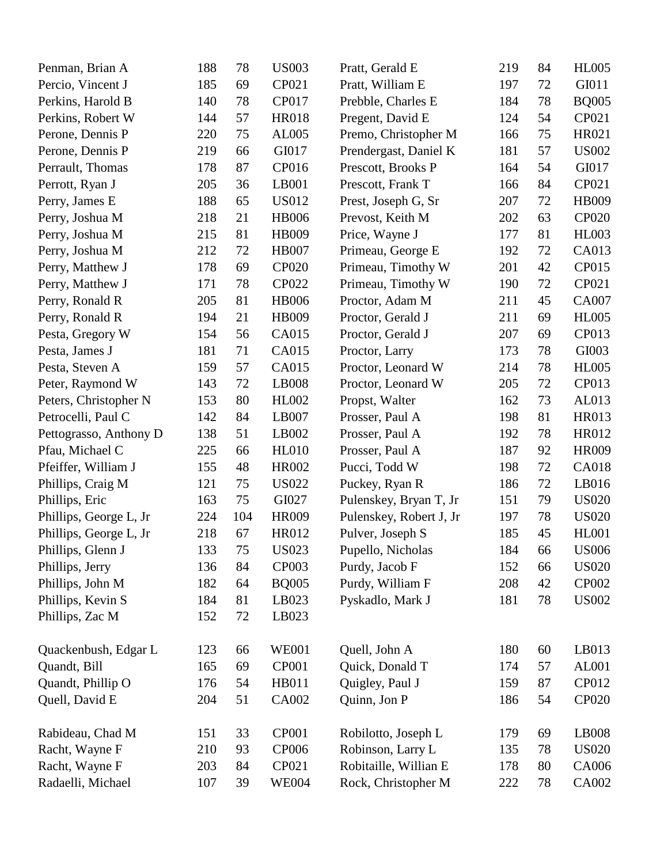| Penman, Brian A        | 188 | 78  | <b>US003</b> | Pratt, Gerald E         | 219 | 84 | <b>HL005</b> |
|------------------------|-----|-----|--------------|-------------------------|-----|----|--------------|
| Percio, Vincent J      | 185 | 69  | CP021        | Pratt, William E        | 197 | 72 | GI011        |
| Perkins, Harold B      | 140 | 78  | CP017        | Prebble, Charles E      | 184 | 78 | <b>BQ005</b> |
| Perkins, Robert W      | 144 | 57  | <b>HR018</b> | Pregent, David E        | 124 | 54 | CP021        |
| Perone, Dennis P       | 220 | 75  | AL005        | Premo, Christopher M    | 166 | 75 | HR021        |
| Perone, Dennis P       | 219 | 66  | GI017        | Prendergast, Daniel K   | 181 | 57 | <b>US002</b> |
| Perrault, Thomas       | 178 | 87  | CP016        | Prescott, Brooks P      | 164 | 54 | GI017        |
| Perrott, Ryan J        | 205 | 36  | LB001        | Prescott, Frank T       | 166 | 84 | CP021        |
| Perry, James E         | 188 | 65  | <b>US012</b> | Prest, Joseph G, Sr     | 207 | 72 | HB009        |
| Perry, Joshua M        | 218 | 21  | <b>HB006</b> | Prevost, Keith M        | 202 | 63 | <b>CP020</b> |
| Perry, Joshua M        | 215 | 81  | HB009        | Price, Wayne J          | 177 | 81 | <b>HL003</b> |
| Perry, Joshua M        | 212 | 72  | <b>HB007</b> | Primeau, George E       | 192 | 72 | CA013        |
| Perry, Matthew J       | 178 | 69  | <b>CP020</b> | Primeau, Timothy W      | 201 | 42 | CP015        |
| Perry, Matthew J       | 171 | 78  | <b>CP022</b> | Primeau, Timothy W      | 190 | 72 | CP021        |
| Perry, Ronald R        | 205 | 81  | <b>HB006</b> | Proctor, Adam M         | 211 | 45 | CA007        |
| Perry, Ronald R        | 194 | 21  | HB009        | Proctor, Gerald J       | 211 | 69 | <b>HL005</b> |
| Pesta, Gregory W       | 154 | 56  | CA015        | Proctor, Gerald J       | 207 | 69 | CP013        |
| Pesta, James J         | 181 | 71  | CA015        | Proctor, Larry          | 173 | 78 | GI003        |
| Pesta, Steven A        | 159 | 57  | CA015        | Proctor, Leonard W      | 214 | 78 | <b>HL005</b> |
| Peter, Raymond W       | 143 | 72  | LB008        | Proctor, Leonard W      | 205 | 72 | CP013        |
| Peters, Christopher N  | 153 | 80  | <b>HL002</b> | Propst, Walter          | 162 | 73 | AL013        |
| Petrocelli, Paul C     | 142 | 84  | LB007        | Prosser, Paul A         | 198 | 81 | HR013        |
| Pettograsso, Anthony D | 138 | 51  | LB002        | Prosser, Paul A         | 192 | 78 | HR012        |
| Pfau, Michael C        | 225 | 66  | <b>HL010</b> | Prosser, Paul A         | 187 | 92 | HR009        |
| Pfeiffer, William J    | 155 | 48  | <b>HR002</b> | Pucci, Todd W           | 198 | 72 | CA018        |
| Phillips, Craig M      | 121 | 75  | <b>US022</b> | Puckey, Ryan R          | 186 | 72 | LB016        |
| Phillips, Eric         | 163 | 75  | GI027        | Pulenskey, Bryan T, Jr  | 151 | 79 | <b>US020</b> |
| Phillips, George L, Jr | 224 | 104 | <b>HR009</b> | Pulenskey, Robert J, Jr | 197 | 78 | <b>US020</b> |
| Phillips, George L, Jr | 218 | 67  | HR012        | Pulver, Joseph S        | 185 | 45 | <b>HL001</b> |
| Phillips, Glenn J      | 133 | 75  | <b>US023</b> | Pupello, Nicholas       | 184 | 66 | <b>US006</b> |
| Phillips, Jerry        | 136 | 84  | CP003        | Purdy, Jacob F          | 152 | 66 | <b>US020</b> |
| Phillips, John M       | 182 | 64  | <b>BQ005</b> | Purdy, William F        | 208 | 42 | <b>CP002</b> |
| Phillips, Kevin S      | 184 | 81  | LB023        | Pyskadlo, Mark J        | 181 | 78 | <b>US002</b> |
| Phillips, Zac M        | 152 | 72  | LB023        |                         |     |    |              |
| Quackenbush, Edgar L   | 123 | 66  | <b>WE001</b> | Quell, John A           | 180 | 60 | LB013        |
| Quandt, Bill           | 165 | 69  | <b>CP001</b> | Quick, Donald T         | 174 | 57 | AL001        |
| Quandt, Phillip O      | 176 | 54  | HB011        | Quigley, Paul J         | 159 | 87 | CP012        |
| Quell, David E         | 204 | 51  | CA002        | Quinn, Jon P            | 186 | 54 | <b>CP020</b> |
| Rabideau, Chad M       | 151 | 33  | <b>CP001</b> | Robilotto, Joseph L     | 179 | 69 | LB008        |
| Racht, Wayne F         | 210 | 93  | <b>CP006</b> | Robinson, Larry L       | 135 | 78 | <b>US020</b> |
| Racht, Wayne F         | 203 | 84  | CP021        | Robitaille, Willian E   | 178 | 80 | CA006        |
| Radaelli, Michael      | 107 | 39  | <b>WE004</b> | Rock, Christopher M     | 222 | 78 | CA002        |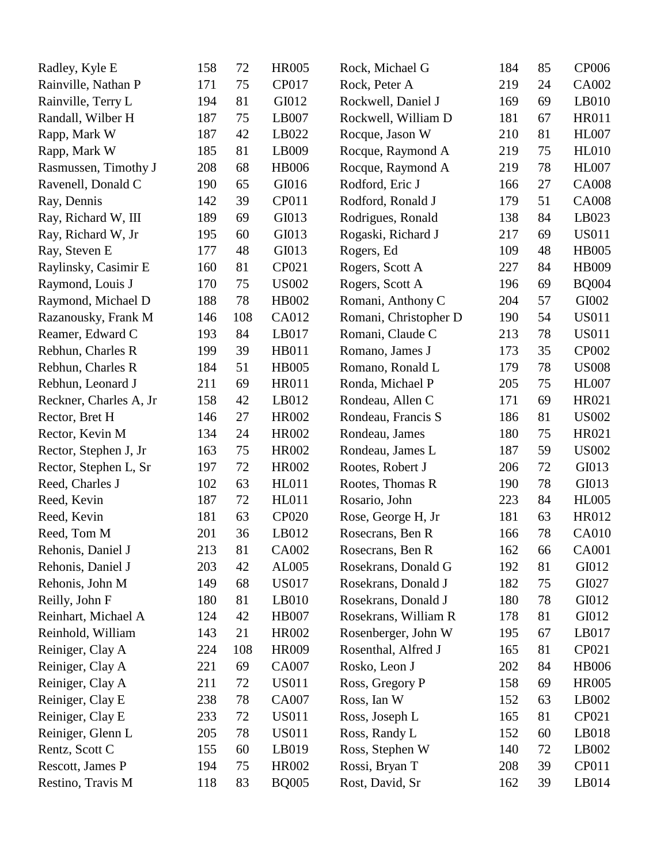| Radley, Kyle E         | 158 | 72  | <b>HR005</b> | Rock, Michael G       | 184 | 85 | <b>CP006</b> |
|------------------------|-----|-----|--------------|-----------------------|-----|----|--------------|
| Rainville, Nathan P    | 171 | 75  | CP017        | Rock, Peter A         | 219 | 24 | CA002        |
| Rainville, Terry L     | 194 | 81  | GI012        | Rockwell, Daniel J    | 169 | 69 | LB010        |
| Randall, Wilber H      | 187 | 75  | LB007        | Rockwell, William D   | 181 | 67 | <b>HR011</b> |
| Rapp, Mark W           | 187 | 42  | LB022        | Rocque, Jason W       | 210 | 81 | <b>HL007</b> |
| Rapp, Mark W           | 185 | 81  | LB009        | Rocque, Raymond A     | 219 | 75 | <b>HL010</b> |
| Rasmussen, Timothy J   | 208 | 68  | <b>HB006</b> | Rocque, Raymond A     | 219 | 78 | <b>HL007</b> |
| Ravenell, Donald C     | 190 | 65  | GI016        | Rodford, Eric J       | 166 | 27 | <b>CA008</b> |
| Ray, Dennis            | 142 | 39  | CP011        | Rodford, Ronald J     | 179 | 51 | <b>CA008</b> |
| Ray, Richard W, III    | 189 | 69  | GI013        | Rodrigues, Ronald     | 138 | 84 | LB023        |
| Ray, Richard W, Jr     | 195 | 60  | GI013        | Rogaski, Richard J    | 217 | 69 | <b>US011</b> |
| Ray, Steven E          | 177 | 48  | GI013        | Rogers, Ed            | 109 | 48 | <b>HB005</b> |
| Raylinsky, Casimir E   | 160 | 81  | CP021        | Rogers, Scott A       | 227 | 84 | HB009        |
| Raymond, Louis J       | 170 | 75  | <b>US002</b> | Rogers, Scott A       | 196 | 69 | <b>BQ004</b> |
| Raymond, Michael D     | 188 | 78  | HB002        | Romani, Anthony C     | 204 | 57 | GI002        |
| Razanousky, Frank M    | 146 | 108 | CA012        | Romani, Christopher D | 190 | 54 | <b>US011</b> |
| Reamer, Edward C       | 193 | 84  | LB017        | Romani, Claude C      | 213 | 78 | <b>US011</b> |
| Rebhun, Charles R      | 199 | 39  | HB011        | Romano, James J       | 173 | 35 | CP002        |
| Rebhun, Charles R      | 184 | 51  | <b>HB005</b> | Romano, Ronald L      | 179 | 78 | <b>US008</b> |
| Rebhun, Leonard J      | 211 | 69  | <b>HR011</b> | Ronda, Michael P      | 205 | 75 | <b>HL007</b> |
| Reckner, Charles A, Jr | 158 | 42  | LB012        | Rondeau, Allen C      | 171 | 69 | HR021        |
| Rector, Bret H         | 146 | 27  | <b>HR002</b> | Rondeau, Francis S    | 186 | 81 | <b>US002</b> |
| Rector, Kevin M        | 134 | 24  | <b>HR002</b> | Rondeau, James        | 180 | 75 | HR021        |
| Rector, Stephen J, Jr  | 163 | 75  | <b>HR002</b> | Rondeau, James L      | 187 | 59 | <b>US002</b> |
| Rector, Stephen L, Sr  | 197 | 72  | <b>HR002</b> | Rootes, Robert J      | 206 | 72 | GI013        |
| Reed, Charles J        | 102 | 63  | <b>HL011</b> | Rootes, Thomas R      | 190 | 78 | GI013        |
| Reed, Kevin            | 187 | 72  | <b>HL011</b> | Rosario, John         | 223 | 84 | <b>HL005</b> |
| Reed, Kevin            | 181 | 63  | <b>CP020</b> | Rose, George H, Jr    | 181 | 63 | HR012        |
| Reed, Tom M            | 201 | 36  | LB012        | Rosecrans, Ben R      | 166 | 78 | <b>CA010</b> |
| Rehonis, Daniel J      | 213 | 81  | <b>CA002</b> | Rosecrans, Ben R      | 162 | 66 | CA001        |
| Rehonis, Daniel J      | 203 | 42  | AL005        | Rosekrans, Donald G   | 192 | 81 | GI012        |
| Rehonis, John M        | 149 | 68  | <b>US017</b> | Rosekrans, Donald J   | 182 | 75 | GI027        |
| Reilly, John F         | 180 | 81  | LB010        | Rosekrans, Donald J   | 180 | 78 | GI012        |
| Reinhart, Michael A    | 124 | 42  | <b>HB007</b> | Rosekrans, William R  | 178 | 81 | GI012        |
| Reinhold, William      | 143 | 21  | <b>HR002</b> | Rosenberger, John W   | 195 | 67 | LB017        |
| Reiniger, Clay A       | 224 | 108 | <b>HR009</b> | Rosenthal, Alfred J   | 165 | 81 | CP021        |
| Reiniger, Clay A       | 221 | 69  | CA007        | Rosko, Leon J         | 202 | 84 | <b>HB006</b> |
| Reiniger, Clay A       | 211 | 72  | US011        | Ross, Gregory P       | 158 | 69 | <b>HR005</b> |
| Reiniger, Clay E       | 238 | 78  | <b>CA007</b> | Ross, Ian W           | 152 | 63 | LB002        |
| Reiniger, Clay E       | 233 | 72  | <b>US011</b> | Ross, Joseph L        | 165 | 81 | CP021        |
| Reiniger, Glenn L      | 205 | 78  | <b>US011</b> | Ross, Randy L         | 152 | 60 | LB018        |
| Rentz, Scott C         | 155 | 60  | LB019        | Ross, Stephen W       | 140 | 72 | LB002        |
| Rescott, James P       | 194 | 75  | HR002        | Rossi, Bryan T        | 208 | 39 | CP011        |
| Restino, Travis M      | 118 | 83  | <b>BQ005</b> | Rost, David, Sr       | 162 | 39 | LB014        |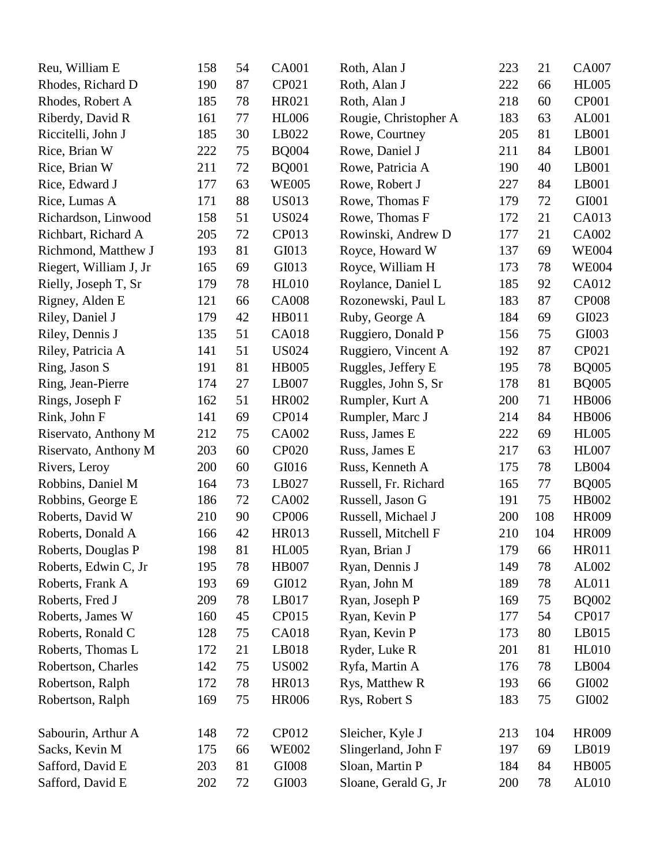| Reu, William E         | 158 | 54 | <b>CA001</b> | Roth, Alan J          | 223 | 21  | CA007        |
|------------------------|-----|----|--------------|-----------------------|-----|-----|--------------|
| Rhodes, Richard D      | 190 | 87 | CP021        | Roth, Alan J          | 222 | 66  | <b>HL005</b> |
| Rhodes, Robert A       | 185 | 78 | HR021        | Roth, Alan J          | 218 | 60  | CP001        |
| Riberdy, David R       | 161 | 77 | <b>HL006</b> | Rougie, Christopher A | 183 | 63  | AL001        |
| Riccitelli, John J     | 185 | 30 | LB022        | Rowe, Courtney        | 205 | 81  | LB001        |
| Rice, Brian W          | 222 | 75 | <b>BQ004</b> | Rowe, Daniel J        | 211 | 84  | LB001        |
| Rice, Brian W          | 211 | 72 | <b>BQ001</b> | Rowe, Patricia A      | 190 | 40  | LB001        |
| Rice, Edward J         | 177 | 63 | <b>WE005</b> | Rowe, Robert J        | 227 | 84  | LB001        |
| Rice, Lumas A          | 171 | 88 | <b>US013</b> | Rowe, Thomas F        | 179 | 72  | GI001        |
| Richardson, Linwood    | 158 | 51 | <b>US024</b> | Rowe, Thomas F        | 172 | 21  | CA013        |
| Richbart, Richard A    | 205 | 72 | CP013        | Rowinski, Andrew D    | 177 | 21  | CA002        |
| Richmond, Matthew J    | 193 | 81 | GI013        | Royce, Howard W       | 137 | 69  | <b>WE004</b> |
| Riegert, William J, Jr | 165 | 69 | GI013        | Royce, William H      | 173 | 78  | <b>WE004</b> |
| Rielly, Joseph T, Sr   | 179 | 78 | <b>HL010</b> | Roylance, Daniel L    | 185 | 92  | CA012        |
| Rigney, Alden E        | 121 | 66 | <b>CA008</b> | Rozonewski, Paul L    | 183 | 87  | <b>CP008</b> |
| Riley, Daniel J        | 179 | 42 | <b>HB011</b> | Ruby, George A        | 184 | 69  | GI023        |
| Riley, Dennis J        | 135 | 51 | <b>CA018</b> | Ruggiero, Donald P    | 156 | 75  | GI003        |
| Riley, Patricia A      | 141 | 51 | <b>US024</b> | Ruggiero, Vincent A   | 192 | 87  | CP021        |
| Ring, Jason S          | 191 | 81 | <b>HB005</b> | Ruggles, Jeffery E    | 195 | 78  | <b>BQ005</b> |
| Ring, Jean-Pierre      | 174 | 27 | LB007        | Ruggles, John S, Sr   | 178 | 81  | <b>BQ005</b> |
| Rings, Joseph F        | 162 | 51 | <b>HR002</b> | Rumpler, Kurt A       | 200 | 71  | <b>HB006</b> |
| Rink, John F           | 141 | 69 | CP014        | Rumpler, Marc J       | 214 | 84  | <b>HB006</b> |
| Riservato, Anthony M   | 212 | 75 | CA002        | Russ, James E         | 222 | 69  | <b>HL005</b> |
| Riservato, Anthony M   | 203 | 60 | CP020        | Russ, James E         | 217 | 63  | <b>HL007</b> |
| Rivers, Leroy          | 200 | 60 | GI016        | Russ, Kenneth A       | 175 | 78  | LB004        |
| Robbins, Daniel M      | 164 | 73 | LB027        | Russell, Fr. Richard  | 165 | 77  | <b>BQ005</b> |
| Robbins, George E      | 186 | 72 | CA002        | Russell, Jason G      | 191 | 75  | HB002        |
| Roberts, David W       | 210 | 90 | <b>CP006</b> | Russell, Michael J    | 200 | 108 | <b>HR009</b> |
| Roberts, Donald A      | 166 | 42 | <b>HR013</b> | Russell, Mitchell F   | 210 | 104 | <b>HR009</b> |
| Roberts, Douglas P     | 198 | 81 | <b>HL005</b> | Ryan, Brian J         | 179 | 66  | HR011        |
| Roberts, Edwin C, Jr   | 195 | 78 | <b>HB007</b> | Ryan, Dennis J        | 149 | 78  | AL002        |
| Roberts, Frank A       | 193 | 69 | GI012        | Ryan, John M          | 189 | 78  | AL011        |
| Roberts, Fred J        | 209 | 78 | LB017        | Ryan, Joseph P        | 169 | 75  | <b>BQ002</b> |
| Roberts, James W       | 160 | 45 | CP015        | Ryan, Kevin P         | 177 | 54  | CP017        |
| Roberts, Ronald C      | 128 | 75 | <b>CA018</b> | Ryan, Kevin P         | 173 | 80  | LB015        |
| Roberts, Thomas L      | 172 | 21 | LB018        | Ryder, Luke R         | 201 | 81  | <b>HL010</b> |
| Robertson, Charles     | 142 | 75 | <b>US002</b> | Ryfa, Martin A        | 176 | 78  | LB004        |
| Robertson, Ralph       | 172 | 78 | <b>HR013</b> | Rys, Matthew R        | 193 | 66  | GI002        |
| Robertson, Ralph       | 169 | 75 | <b>HR006</b> | Rys, Robert S         | 183 | 75  | GI002        |
| Sabourin, Arthur A     | 148 | 72 | CP012        | Sleicher, Kyle J      | 213 | 104 | HR009        |
| Sacks, Kevin M         | 175 | 66 | <b>WE002</b> | Slingerland, John F   | 197 | 69  | LB019        |
| Safford, David E       | 203 | 81 | GI008        | Sloan, Martin P       | 184 | 84  | <b>HB005</b> |
| Safford, David E       | 202 | 72 | GI003        | Sloane, Gerald G, Jr  | 200 | 78  | AL010        |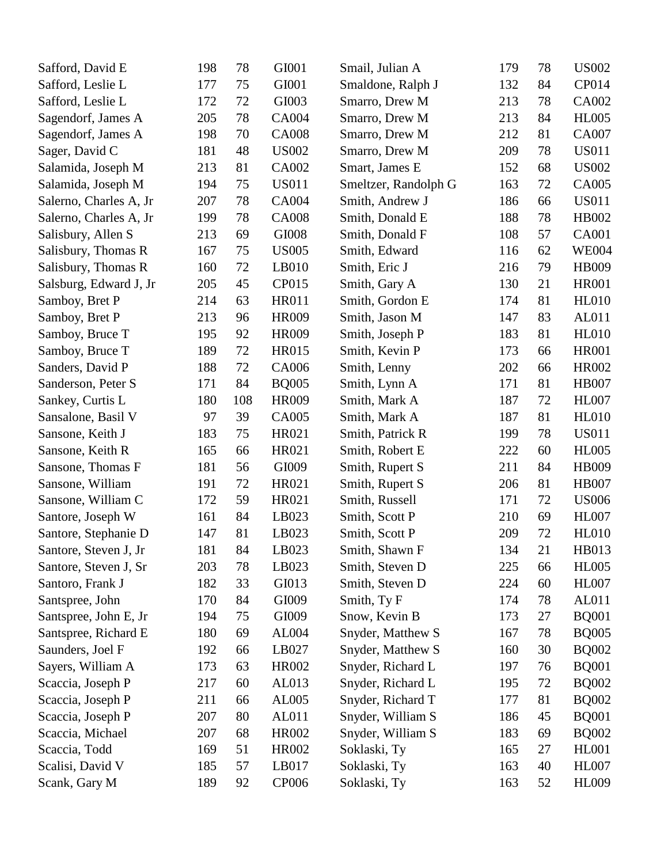| Safford, David E       | 198 | 78  | GI001        | Smail, Julian A      | 179 | 78 | <b>US002</b> |
|------------------------|-----|-----|--------------|----------------------|-----|----|--------------|
| Safford, Leslie L      | 177 | 75  | GI001        | Smaldone, Ralph J    | 132 | 84 | CP014        |
| Safford, Leslie L      | 172 | 72  | GI003        | Smarro, Drew M       | 213 | 78 | CA002        |
| Sagendorf, James A     | 205 | 78  | CA004        | Smarro, Drew M       | 213 | 84 | <b>HL005</b> |
| Sagendorf, James A     | 198 | 70  | <b>CA008</b> | Smarro, Drew M       | 212 | 81 | CA007        |
| Sager, David C         | 181 | 48  | <b>US002</b> | Smarro, Drew M       | 209 | 78 | <b>US011</b> |
| Salamida, Joseph M     | 213 | 81  | CA002        | Smart, James E       | 152 | 68 | <b>US002</b> |
| Salamida, Joseph M     | 194 | 75  | <b>US011</b> | Smeltzer, Randolph G | 163 | 72 | CA005        |
| Salerno, Charles A, Jr | 207 | 78  | <b>CA004</b> | Smith, Andrew J      | 186 | 66 | <b>US011</b> |
| Salerno, Charles A, Jr | 199 | 78  | <b>CA008</b> | Smith, Donald E      | 188 | 78 | HB002        |
| Salisbury, Allen S     | 213 | 69  | GI008        | Smith, Donald F      | 108 | 57 | <b>CA001</b> |
| Salisbury, Thomas R    | 167 | 75  | <b>US005</b> | Smith, Edward        | 116 | 62 | <b>WE004</b> |
| Salisbury, Thomas R    | 160 | 72  | LB010        | Smith, Eric J        | 216 | 79 | HB009        |
| Salsburg, Edward J, Jr | 205 | 45  | CP015        | Smith, Gary A        | 130 | 21 | <b>HR001</b> |
| Samboy, Bret P         | 214 | 63  | <b>HR011</b> | Smith, Gordon E      | 174 | 81 | <b>HL010</b> |
| Samboy, Bret P         | 213 | 96  | <b>HR009</b> | Smith, Jason M       | 147 | 83 | AL011        |
| Samboy, Bruce T        | 195 | 92  | <b>HR009</b> | Smith, Joseph P      | 183 | 81 | <b>HL010</b> |
| Samboy, Bruce T        | 189 | 72  | HR015        | Smith, Kevin P       | 173 | 66 | <b>HR001</b> |
| Sanders, David P       | 188 | 72  | CA006        | Smith, Lenny         | 202 | 66 | HR002        |
| Sanderson, Peter S     | 171 | 84  | <b>BQ005</b> | Smith, Lynn A        | 171 | 81 | <b>HB007</b> |
| Sankey, Curtis L       | 180 | 108 | <b>HR009</b> | Smith, Mark A        | 187 | 72 | <b>HL007</b> |
| Sansalone, Basil V     | 97  | 39  | CA005        | Smith, Mark A        | 187 | 81 | <b>HL010</b> |
| Sansone, Keith J       | 183 | 75  | HR021        | Smith, Patrick R     | 199 | 78 | <b>US011</b> |
| Sansone, Keith R       | 165 | 66  | HR021        | Smith, Robert E      | 222 | 60 | <b>HL005</b> |
| Sansone, Thomas F      | 181 | 56  | GI009        | Smith, Rupert S      | 211 | 84 | HB009        |
| Sansone, William       | 191 | 72  | HR021        | Smith, Rupert S      | 206 | 81 | <b>HB007</b> |
| Sansone, William C     | 172 | 59  | HR021        | Smith, Russell       | 171 | 72 | <b>US006</b> |
| Santore, Joseph W      | 161 | 84  | LB023        | Smith, Scott P       | 210 | 69 | <b>HL007</b> |
| Santore, Stephanie D   | 147 | 81  | LB023        | Smith, Scott P       | 209 | 72 | <b>HL010</b> |
| Santore, Steven J, Jr  | 181 | 84  | LB023        | Smith, Shawn F       | 134 | 21 | HB013        |
| Santore, Steven J, Sr  | 203 | 78  | LB023        | Smith, Steven D      | 225 | 66 | <b>HL005</b> |
| Santoro, Frank J       | 182 | 33  | GI013        | Smith, Steven D      | 224 | 60 | <b>HL007</b> |
| Santspree, John        | 170 | 84  | GI009        | Smith, Ty F          | 174 | 78 | AL011        |
| Santspree, John E, Jr  | 194 | 75  | GI009        | Snow, Kevin B        | 173 | 27 | <b>BQ001</b> |
| Santspree, Richard E   | 180 | 69  | AL004        | Snyder, Matthew S    | 167 | 78 | <b>BQ005</b> |
| Saunders, Joel F       | 192 | 66  | LB027        | Snyder, Matthew S    | 160 | 30 | <b>BQ002</b> |
| Sayers, William A      | 173 | 63  | HR002        | Snyder, Richard L    | 197 | 76 | <b>BQ001</b> |
| Scaccia, Joseph P      | 217 | 60  | AL013        | Snyder, Richard L    | 195 | 72 | <b>BQ002</b> |
| Scaccia, Joseph P      | 211 | 66  | AL005        | Snyder, Richard T    | 177 | 81 | <b>BQ002</b> |
| Scaccia, Joseph P      | 207 | 80  | AL011        | Snyder, William S    | 186 | 45 | <b>BQ001</b> |
| Scaccia, Michael       | 207 | 68  | <b>HR002</b> | Snyder, William S    | 183 | 69 | <b>BQ002</b> |
| Scaccia, Todd          | 169 | 51  | <b>HR002</b> | Soklaski, Ty         | 165 | 27 | <b>HL001</b> |
| Scalisi, David V       | 185 | 57  | LB017        | Soklaski, Ty         | 163 | 40 | <b>HL007</b> |
| Scank, Gary M          | 189 | 92  | <b>CP006</b> | Soklaski, Ty         | 163 | 52 | <b>HL009</b> |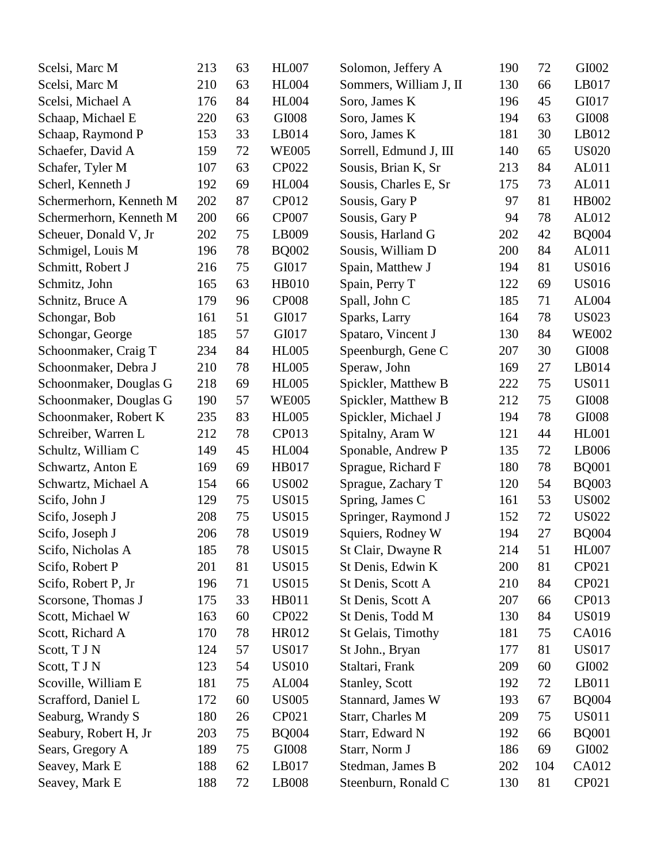| Scelsi, Marc M          | 213 | 63 | <b>HL007</b> | Solomon, Jeffery A     | 190 | 72  | GI002        |
|-------------------------|-----|----|--------------|------------------------|-----|-----|--------------|
| Scelsi, Marc M          | 210 | 63 | <b>HL004</b> | Sommers, William J, II | 130 | 66  | LB017        |
| Scelsi, Michael A       | 176 | 84 | <b>HL004</b> | Soro, James K          | 196 | 45  | GI017        |
| Schaap, Michael E       | 220 | 63 | GI008        | Soro, James K          | 194 | 63  | GI008        |
| Schaap, Raymond P       | 153 | 33 | LB014        | Soro, James K          | 181 | 30  | LB012        |
| Schaefer, David A       | 159 | 72 | <b>WE005</b> | Sorrell, Edmund J, III | 140 | 65  | <b>US020</b> |
| Schafer, Tyler M        | 107 | 63 | <b>CP022</b> | Sousis, Brian K, Sr    | 213 | 84  | AL011        |
| Scherl, Kenneth J       | 192 | 69 | <b>HL004</b> | Sousis, Charles E, Sr  | 175 | 73  | AL011        |
| Schermerhorn, Kenneth M | 202 | 87 | CP012        | Sousis, Gary P         | 97  | 81  | HB002        |
| Schermerhorn, Kenneth M | 200 | 66 | <b>CP007</b> | Sousis, Gary P         | 94  | 78  | AL012        |
| Scheuer, Donald V, Jr   | 202 | 75 | LB009        | Sousis, Harland G      | 202 | 42  | <b>BQ004</b> |
| Schmigel, Louis M       | 196 | 78 | <b>BQ002</b> | Sousis, William D      | 200 | 84  | AL011        |
| Schmitt, Robert J       | 216 | 75 | GI017        | Spain, Matthew J       | 194 | 81  | <b>US016</b> |
| Schmitz, John           | 165 | 63 | <b>HB010</b> | Spain, Perry T         | 122 | 69  | <b>US016</b> |
| Schnitz, Bruce A        | 179 | 96 | <b>CP008</b> | Spall, John C          | 185 | 71  | AL004        |
| Schongar, Bob           | 161 | 51 | GI017        | Sparks, Larry          | 164 | 78  | <b>US023</b> |
| Schongar, George        | 185 | 57 | GI017        | Spataro, Vincent J     | 130 | 84  | <b>WE002</b> |
| Schoonmaker, Craig T    | 234 | 84 | <b>HL005</b> | Speenburgh, Gene C     | 207 | 30  | GI008        |
| Schoonmaker, Debra J    | 210 | 78 | <b>HL005</b> | Speraw, John           | 169 | 27  | LB014        |
| Schoonmaker, Douglas G  | 218 | 69 | <b>HL005</b> | Spickler, Matthew B    | 222 | 75  | <b>US011</b> |
| Schoonmaker, Douglas G  | 190 | 57 | <b>WE005</b> | Spickler, Matthew B    | 212 | 75  | GI008        |
| Schoonmaker, Robert K   | 235 | 83 | <b>HL005</b> | Spickler, Michael J    | 194 | 78  | GI008        |
| Schreiber, Warren L     | 212 | 78 | CP013        | Spitalny, Aram W       | 121 | 44  | <b>HL001</b> |
| Schultz, William C      | 149 | 45 | <b>HL004</b> | Sponable, Andrew P     | 135 | 72  | LB006        |
| Schwartz, Anton E       | 169 | 69 | HB017        | Sprague, Richard F     | 180 | 78  | <b>BQ001</b> |
| Schwartz, Michael A     | 154 | 66 | <b>US002</b> | Sprague, Zachary T     | 120 | 54  | <b>BQ003</b> |
| Scifo, John J           | 129 | 75 | <b>US015</b> | Spring, James C        | 161 | 53  | <b>US002</b> |
| Scifo, Joseph J         | 208 | 75 | <b>US015</b> | Springer, Raymond J    | 152 | 72  | <b>US022</b> |
| Scifo, Joseph J         | 206 | 78 | <b>US019</b> | Squiers, Rodney W      | 194 | 27  | <b>BQ004</b> |
| Scifo, Nicholas A       | 185 | 78 | <b>US015</b> | St Clair, Dwayne R     | 214 | 51  | <b>HL007</b> |
| Scifo, Robert P         | 201 | 81 | <b>US015</b> | St Denis, Edwin K      | 200 | 81  | CP021        |
| Scifo, Robert P, Jr     | 196 | 71 | US015        | St Denis, Scott A      | 210 | 84  | CP021        |
| Scorsone, Thomas J      | 175 | 33 | <b>HB011</b> | St Denis, Scott A      | 207 | 66  | CP013        |
| Scott, Michael W        | 163 | 60 | <b>CP022</b> | St Denis, Todd M       | 130 | 84  | <b>US019</b> |
| Scott, Richard A        | 170 | 78 | HR012        | St Gelais, Timothy     | 181 | 75  | CA016        |
| Scott, T J N            | 124 | 57 | <b>US017</b> | St John., Bryan        | 177 | 81  | <b>US017</b> |
| Scott, T J N            | 123 | 54 | <b>US010</b> | Staltari, Frank        | 209 | 60  | GI002        |
| Scoville, William E     | 181 | 75 | AL004        | <b>Stanley, Scott</b>  | 192 | 72  | LB011        |
| Scrafford, Daniel L     | 172 | 60 | <b>US005</b> | Stannard, James W      | 193 | 67  | <b>BQ004</b> |
| Seaburg, Wrandy S       | 180 | 26 | CP021        | Starr, Charles M       | 209 | 75  | <b>US011</b> |
| Seabury, Robert H, Jr   | 203 | 75 | <b>BQ004</b> | Starr, Edward N        | 192 | 66  | <b>BQ001</b> |
| Sears, Gregory A        | 189 | 75 | GI008        | Starr, Norm J          | 186 | 69  | GI002        |
| Seavey, Mark E          | 188 | 62 | LB017        | Stedman, James B       | 202 | 104 | CA012        |
| Seavey, Mark E          | 188 | 72 | LB008        | Steenburn, Ronald C    | 130 | 81  | CP021        |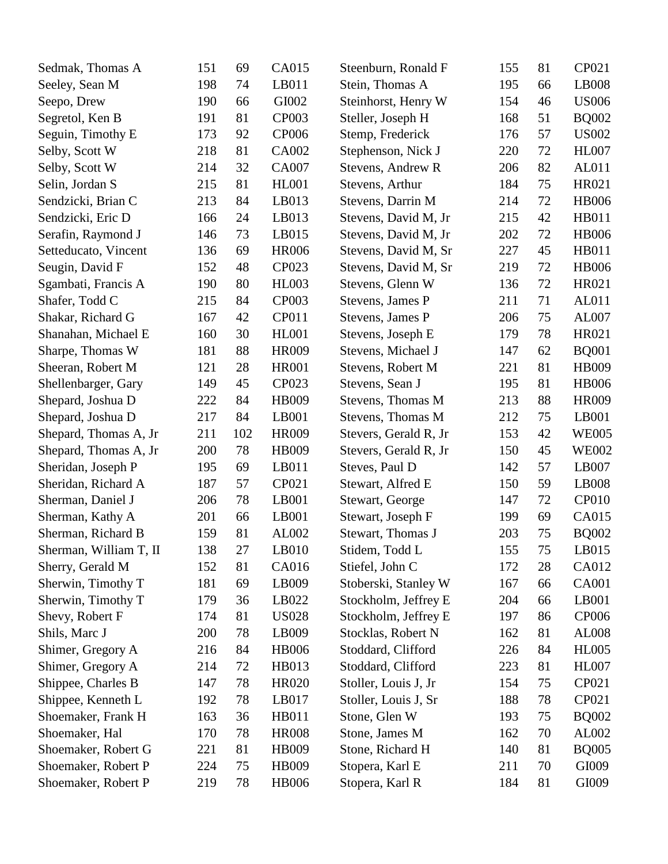| Sedmak, Thomas A       | 151 | 69  | <b>CA015</b> | Steenburn, Ronald F   | 155 | 81 | CP021        |
|------------------------|-----|-----|--------------|-----------------------|-----|----|--------------|
| Seeley, Sean M         | 198 | 74  | LB011        | Stein, Thomas A       | 195 | 66 | LB008        |
| Seepo, Drew            | 190 | 66  | GI002        | Steinhorst, Henry W   | 154 | 46 | <b>US006</b> |
| Segretol, Ken B        | 191 | 81  | CP003        | Steller, Joseph H     | 168 | 51 | <b>BQ002</b> |
| Seguin, Timothy E      | 173 | 92  | <b>CP006</b> | Stemp, Frederick      | 176 | 57 | <b>US002</b> |
| Selby, Scott W         | 218 | 81  | CA002        | Stephenson, Nick J    | 220 | 72 | <b>HL007</b> |
| Selby, Scott W         | 214 | 32  | <b>CA007</b> | Stevens, Andrew R     | 206 | 82 | AL011        |
| Selin, Jordan S        | 215 | 81  | <b>HL001</b> | Stevens, Arthur       | 184 | 75 | HR021        |
| Sendzicki, Brian C     | 213 | 84  | LB013        | Stevens, Darrin M     | 214 | 72 | <b>HB006</b> |
| Sendzicki, Eric D      | 166 | 24  | LB013        | Stevens, David M, Jr  | 215 | 42 | <b>HB011</b> |
| Serafin, Raymond J     | 146 | 73  | LB015        | Stevens, David M, Jr  | 202 | 72 | <b>HB006</b> |
| Setteducato, Vincent   | 136 | 69  | <b>HR006</b> | Stevens, David M, Sr  | 227 | 45 | HB011        |
| Seugin, David F        | 152 | 48  | CP023        | Stevens, David M, Sr  | 219 | 72 | <b>HB006</b> |
| Sgambati, Francis A    | 190 | 80  | <b>HL003</b> | Stevens, Glenn W      | 136 | 72 | HR021        |
| Shafer, Todd C         | 215 | 84  | <b>CP003</b> | Stevens, James P      | 211 | 71 | AL011        |
| Shakar, Richard G      | 167 | 42  | CP011        | Stevens, James P      | 206 | 75 | AL007        |
| Shanahan, Michael E    | 160 | 30  | <b>HL001</b> | Stevens, Joseph E     | 179 | 78 | HR021        |
| Sharpe, Thomas W       | 181 | 88  | <b>HR009</b> | Stevens, Michael J    | 147 | 62 | <b>BQ001</b> |
| Sheeran, Robert M      | 121 | 28  | <b>HR001</b> | Stevens, Robert M     | 221 | 81 | HB009        |
| Shellenbarger, Gary    | 149 | 45  | CP023        | Stevens, Sean J       | 195 | 81 | <b>HB006</b> |
| Shepard, Joshua D      | 222 | 84  | HB009        | Stevens, Thomas M     | 213 | 88 | <b>HR009</b> |
| Shepard, Joshua D      | 217 | 84  | LB001        | Stevens, Thomas M     | 212 | 75 | LB001        |
| Shepard, Thomas A, Jr  | 211 | 102 | HR009        | Stevers, Gerald R, Jr | 153 | 42 | <b>WE005</b> |
| Shepard, Thomas A, Jr  | 200 | 78  | HB009        | Stevers, Gerald R, Jr | 150 | 45 | <b>WE002</b> |
| Sheridan, Joseph P     | 195 | 69  | LB011        | Steves, Paul D        | 142 | 57 | LB007        |
| Sheridan, Richard A    | 187 | 57  | CP021        | Stewart, Alfred E     | 150 | 59 | LB008        |
| Sherman, Daniel J      | 206 | 78  | LB001        | Stewart, George       | 147 | 72 | <b>CP010</b> |
| Sherman, Kathy A       | 201 | 66  | LB001        | Stewart, Joseph F     | 199 | 69 | CA015        |
| Sherman, Richard B     | 159 | 81  | AL002        | Stewart, Thomas J     | 203 | 75 | <b>BQ002</b> |
| Sherman, William T, II | 138 | 27  | LB010        | Stidem, Todd L        | 155 | 75 | LB015        |
| Sherry, Gerald M       | 152 | 81  | CA016        | Stiefel, John C       | 172 | 28 | CA012        |
| Sherwin, Timothy T     | 181 | 69  | LB009        | Stoberski, Stanley W  | 167 | 66 | CA001        |
| Sherwin, Timothy T     | 179 | 36  | LB022        | Stockholm, Jeffrey E  | 204 | 66 | LB001        |
| Shevy, Robert F        | 174 | 81  | <b>US028</b> | Stockholm, Jeffrey E  | 197 | 86 | <b>CP006</b> |
| Shils, Marc J          | 200 | 78  | LB009        | Stocklas, Robert N    | 162 | 81 | AL008        |
| Shimer, Gregory A      | 216 | 84  | <b>HB006</b> | Stoddard, Clifford    | 226 | 84 | <b>HL005</b> |
| Shimer, Gregory A      | 214 | 72  | HB013        | Stoddard, Clifford    | 223 | 81 | <b>HL007</b> |
| Shippee, Charles B     | 147 | 78  | <b>HR020</b> | Stoller, Louis J, Jr  | 154 | 75 | CP021        |
| Shippee, Kenneth L     | 192 | 78  | LB017        | Stoller, Louis J, Sr  | 188 | 78 | CP021        |
| Shoemaker, Frank H     | 163 | 36  | HB011        | Stone, Glen W         | 193 | 75 | <b>BQ002</b> |
| Shoemaker, Hal         | 170 | 78  | <b>HR008</b> | Stone, James M        | 162 | 70 | AL002        |
| Shoemaker, Robert G    | 221 | 81  | HB009        | Stone, Richard H      | 140 | 81 | <b>BQ005</b> |
| Shoemaker, Robert P    | 224 | 75  | HB009        | Stopera, Karl E       | 211 | 70 | GI009        |
| Shoemaker, Robert P    | 219 | 78  | <b>HB006</b> | Stopera, Karl R       | 184 | 81 | GI009        |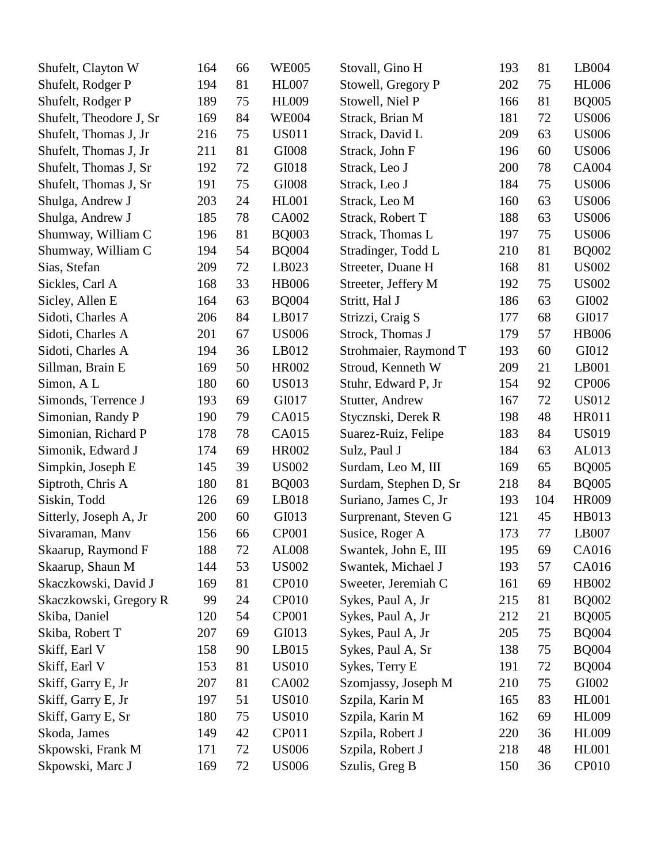| Shufelt, Clayton W      | 164 | 66 | <b>WE005</b> | Stovall, Gino H       | 193 | 81  | LB004        |
|-------------------------|-----|----|--------------|-----------------------|-----|-----|--------------|
| Shufelt, Rodger P       | 194 | 81 | <b>HL007</b> | Stowell, Gregory P    | 202 | 75  | <b>HL006</b> |
| Shufelt, Rodger P       | 189 | 75 | <b>HL009</b> | Stowell, Niel P       | 166 | 81  | <b>BQ005</b> |
| Shufelt, Theodore J, Sr | 169 | 84 | <b>WE004</b> | Strack, Brian M       | 181 | 72  | <b>US006</b> |
| Shufelt, Thomas J, Jr   | 216 | 75 | <b>US011</b> | Strack, David L       | 209 | 63  | <b>US006</b> |
| Shufelt, Thomas J, Jr   | 211 | 81 | GI008        | Strack, John F        | 196 | 60  | <b>US006</b> |
| Shufelt, Thomas J, Sr   | 192 | 72 | GI018        | Strack, Leo J         | 200 | 78  | CA004        |
| Shufelt, Thomas J, Sr   | 191 | 75 | GI008        | Strack, Leo J         | 184 | 75  | <b>US006</b> |
| Shulga, Andrew J        | 203 | 24 | <b>HL001</b> | Strack, Leo M         | 160 | 63  | <b>US006</b> |
| Shulga, Andrew J        | 185 | 78 | CA002        | Strack, Robert T      | 188 | 63  | <b>US006</b> |
| Shumway, William C      | 196 | 81 | <b>BQ003</b> | Strack, Thomas L      | 197 | 75  | <b>US006</b> |
| Shumway, William C      | 194 | 54 | <b>BQ004</b> | Stradinger, Todd L    | 210 | 81  | <b>BQ002</b> |
| Sias, Stefan            | 209 | 72 | LB023        | Streeter, Duane H     | 168 | 81  | <b>US002</b> |
| Sickles, Carl A         | 168 | 33 | <b>HB006</b> | Streeter, Jeffery M   | 192 | 75  | <b>US002</b> |
| Sicley, Allen E         | 164 | 63 | <b>BQ004</b> | Stritt, Hal J         | 186 | 63  | GI002        |
| Sidoti, Charles A       | 206 | 84 | LB017        | Strizzi, Craig S      | 177 | 68  | GI017        |
| Sidoti, Charles A       | 201 | 67 | <b>US006</b> | Strock, Thomas J      | 179 | 57  | <b>HB006</b> |
| Sidoti, Charles A       | 194 | 36 | LB012        | Strohmaier, Raymond T | 193 | 60  | GI012        |
| Sillman, Brain E        | 169 | 50 | <b>HR002</b> | Stroud, Kenneth W     | 209 | 21  | LB001        |
| Simon, AL               | 180 | 60 | <b>US013</b> | Stuhr, Edward P, Jr   | 154 | 92  | CP006        |
| Simonds, Terrence J     | 193 | 69 | GI017        | Stutter, Andrew       | 167 | 72  | <b>US012</b> |
| Simonian, Randy P       | 190 | 79 | CA015        | Stycznski, Derek R    | 198 | 48  | <b>HR011</b> |
| Simonian, Richard P     | 178 | 78 | CA015        | Suarez-Ruiz, Felipe   | 183 | 84  | <b>US019</b> |
| Simonik, Edward J       | 174 | 69 | <b>HR002</b> | Sulz, Paul J          | 184 | 63  | AL013        |
| Simpkin, Joseph E       | 145 | 39 | <b>US002</b> | Surdam, Leo M, III    | 169 | 65  | <b>BQ005</b> |
| Siptroth, Chris A       | 180 | 81 | <b>BQ003</b> | Surdam, Stephen D, Sr | 218 | 84  | <b>BQ005</b> |
| Siskin, Todd            | 126 | 69 | LB018        | Suriano, James C, Jr  | 193 | 104 | HR009        |
| Sitterly, Joseph A, Jr  | 200 | 60 | GI013        | Surprenant, Steven G  | 121 | 45  | HB013        |
| Sivaraman, Manv         | 156 | 66 | <b>CP001</b> | Susice, Roger A       | 173 | 77  | LB007        |
| Skaarup, Raymond F      | 188 | 72 | <b>AL008</b> | Swantek, John E, III  | 195 | 69  | CA016        |
| Skaarup, Shaun M        | 144 | 53 | <b>US002</b> | Swantek, Michael J    | 193 | 57  | CA016        |
| Skaczkowski, David J    | 169 | 81 | <b>CP010</b> | Sweeter, Jeremiah C   | 161 | 69  | HB002        |
| Skaczkowski, Gregory R  | 99  | 24 | <b>CP010</b> | Sykes, Paul A, Jr     | 215 | 81  | <b>BQ002</b> |
| Skiba, Daniel           | 120 | 54 | <b>CP001</b> | Sykes, Paul A, Jr     | 212 | 21  | <b>BQ005</b> |
| Skiba, Robert T         | 207 | 69 | GI013        | Sykes, Paul A, Jr     | 205 | 75  | <b>BQ004</b> |
| Skiff, Earl V           | 158 | 90 | LB015        | Sykes, Paul A, Sr     | 138 | 75  | <b>BQ004</b> |
| Skiff, Earl V           | 153 | 81 | <b>US010</b> | Sykes, Terry E        | 191 | 72  | <b>BQ004</b> |
| Skiff, Garry E, Jr      | 207 | 81 | CA002        | Szomjassy, Joseph M   | 210 | 75  | GI002        |
| Skiff, Garry E, Jr      | 197 | 51 | <b>US010</b> | Szpila, Karin M       | 165 | 83  | <b>HL001</b> |
| Skiff, Garry E, Sr      | 180 | 75 | <b>US010</b> | Szpila, Karin M       | 162 | 69  | <b>HL009</b> |
| Skoda, James            | 149 | 42 | CP011        | Szpila, Robert J      | 220 | 36  | <b>HL009</b> |
| Skpowski, Frank M       | 171 | 72 | <b>US006</b> | Szpila, Robert J      | 218 | 48  | <b>HL001</b> |
| Skpowski, Marc J        | 169 | 72 | <b>US006</b> | Szulis, Greg B        | 150 | 36  | CP010        |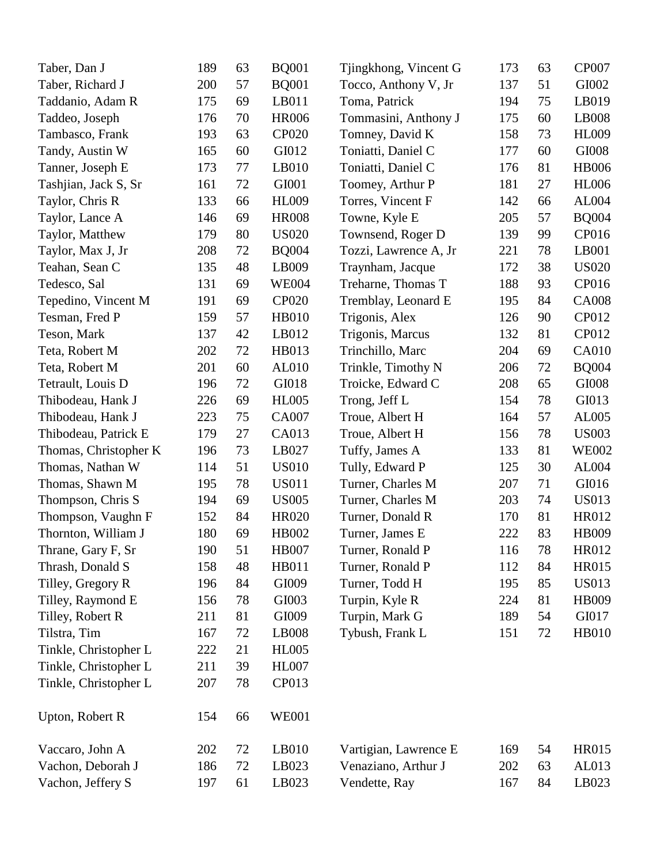| Taber, Dan J          | 189 | 63 | <b>BQ001</b> | Tjingkhong, Vincent G | 173 | 63 | <b>CP007</b> |
|-----------------------|-----|----|--------------|-----------------------|-----|----|--------------|
| Taber, Richard J      | 200 | 57 | <b>BQ001</b> | Tocco, Anthony V, Jr  | 137 | 51 | GI002        |
| Taddanio, Adam R      | 175 | 69 | LB011        | Toma, Patrick         | 194 | 75 | LB019        |
| Taddeo, Joseph        | 176 | 70 | <b>HR006</b> | Tommasini, Anthony J  | 175 | 60 | LB008        |
| Tambasco, Frank       | 193 | 63 | <b>CP020</b> | Tomney, David K       | 158 | 73 | <b>HL009</b> |
| Tandy, Austin W       | 165 | 60 | GI012        | Toniatti, Daniel C    | 177 | 60 | GI008        |
| Tanner, Joseph E      | 173 | 77 | LB010        | Toniatti, Daniel C    | 176 | 81 | <b>HB006</b> |
| Tashjian, Jack S, Sr  | 161 | 72 | GI001        | Toomey, Arthur P      | 181 | 27 | <b>HL006</b> |
| Taylor, Chris R       | 133 | 66 | <b>HL009</b> | Torres, Vincent F     | 142 | 66 | AL004        |
| Taylor, Lance A       | 146 | 69 | <b>HR008</b> | Towne, Kyle E         | 205 | 57 | <b>BQ004</b> |
| Taylor, Matthew       | 179 | 80 | <b>US020</b> | Townsend, Roger D     | 139 | 99 | CP016        |
| Taylor, Max J, Jr     | 208 | 72 | <b>BQ004</b> | Tozzi, Lawrence A, Jr | 221 | 78 | LB001        |
| Teahan, Sean C        | 135 | 48 | LB009        | Traynham, Jacque      | 172 | 38 | <b>US020</b> |
| Tedesco, Sal          | 131 | 69 | <b>WE004</b> | Treharne, Thomas T    | 188 | 93 | CP016        |
| Tepedino, Vincent M   | 191 | 69 | <b>CP020</b> | Tremblay, Leonard E   | 195 | 84 | <b>CA008</b> |
| Tesman, Fred P        | 159 | 57 | <b>HB010</b> | Trigonis, Alex        | 126 | 90 | CP012        |
| Teson, Mark           | 137 | 42 | LB012        | Trigonis, Marcus      | 132 | 81 | CP012        |
| Teta, Robert M        | 202 | 72 | HB013        | Trinchillo, Marc      | 204 | 69 | <b>CA010</b> |
| Teta, Robert M        | 201 | 60 | AL010        | Trinkle, Timothy N    | 206 | 72 | <b>BQ004</b> |
| Tetrault, Louis D     | 196 | 72 | GI018        | Troicke, Edward C     | 208 | 65 | GI008        |
| Thibodeau, Hank J     | 226 | 69 | <b>HL005</b> | Trong, Jeff L         | 154 | 78 | GI013        |
| Thibodeau, Hank J     | 223 | 75 | CA007        | Troue, Albert H       | 164 | 57 | AL005        |
| Thibodeau, Patrick E  | 179 | 27 | CA013        | Troue, Albert H       | 156 | 78 | <b>US003</b> |
| Thomas, Christopher K | 196 | 73 | LB027        | Tuffy, James A        | 133 | 81 | <b>WE002</b> |
| Thomas, Nathan W      | 114 | 51 | <b>US010</b> | Tully, Edward P       | 125 | 30 | AL004        |
| Thomas, Shawn M       | 195 | 78 | <b>US011</b> | Turner, Charles M     | 207 | 71 | GI016        |
| Thompson, Chris S     | 194 | 69 | <b>US005</b> | Turner, Charles M     | 203 | 74 | <b>US013</b> |
| Thompson, Vaughn F    | 152 | 84 | <b>HR020</b> | Turner, Donald R      | 170 | 81 | HR012        |
| Thornton, William J   | 180 | 69 | HB002        | Turner, James E       | 222 | 83 | HB009        |
| Thrane, Gary F, Sr    | 190 | 51 | <b>HB007</b> | Turner, Ronald P      | 116 | 78 | HR012        |
| Thrash, Donald S      | 158 | 48 | <b>HB011</b> | Turner, Ronald P      | 112 | 84 | HR015        |
| Tilley, Gregory R     | 196 | 84 | GI009        | Turner, Todd H        | 195 | 85 | <b>US013</b> |
| Tilley, Raymond E     | 156 | 78 | GI003        | Turpin, Kyle R        | 224 | 81 | HB009        |
| Tilley, Robert R      | 211 | 81 | GI009        | Turpin, Mark G        | 189 | 54 | GI017        |
| Tilstra, Tim          | 167 | 72 | LB008        | Tybush, Frank L       | 151 | 72 | HB010        |
| Tinkle, Christopher L | 222 | 21 | <b>HL005</b> |                       |     |    |              |
| Tinkle, Christopher L | 211 | 39 | <b>HL007</b> |                       |     |    |              |
| Tinkle, Christopher L | 207 | 78 | CP013        |                       |     |    |              |
| Upton, Robert R       | 154 | 66 | <b>WE001</b> |                       |     |    |              |
| Vaccaro, John A       | 202 | 72 | LB010        | Vartigian, Lawrence E | 169 | 54 | HR015        |
| Vachon, Deborah J     | 186 | 72 | LB023        | Venaziano, Arthur J   | 202 | 63 | AL013        |
| Vachon, Jeffery S     | 197 | 61 | LB023        | Vendette, Ray         | 167 | 84 | LB023        |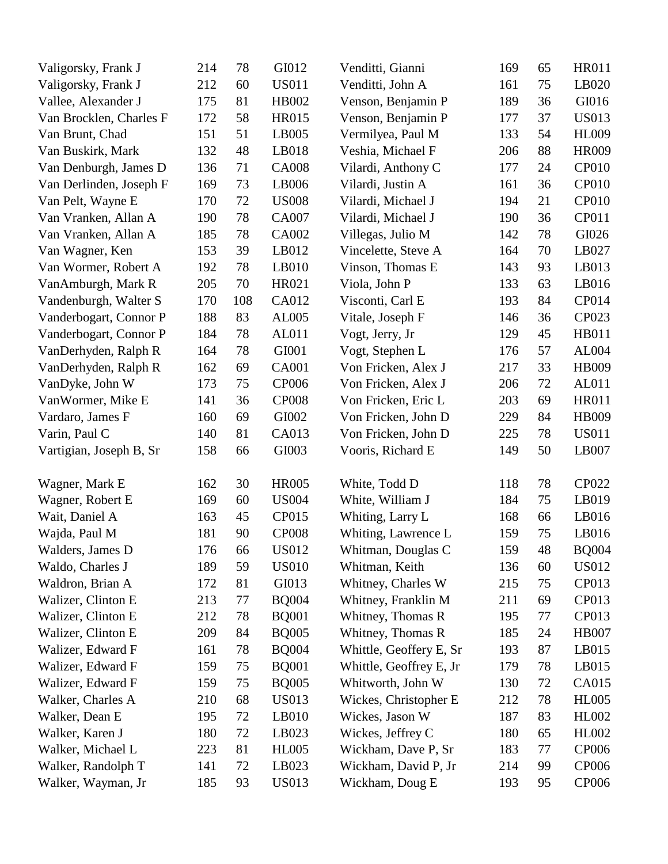| Valigorsky, Frank J     | 214 | 78  | GI012        | Venditti, Gianni        | 169 | 65 | <b>HR011</b> |
|-------------------------|-----|-----|--------------|-------------------------|-----|----|--------------|
| Valigorsky, Frank J     | 212 | 60  | <b>US011</b> | Venditti, John A        | 161 | 75 | LB020        |
| Vallee, Alexander J     | 175 | 81  | HB002        | Venson, Benjamin P      | 189 | 36 | GI016        |
| Van Brocklen, Charles F | 172 | 58  | HR015        | Venson, Benjamin P      | 177 | 37 | <b>US013</b> |
| Van Brunt, Chad         | 151 | 51  | LB005        | Vermilyea, Paul M       | 133 | 54 | <b>HL009</b> |
| Van Buskirk, Mark       | 132 | 48  | LB018        | Veshia, Michael F       | 206 | 88 | <b>HR009</b> |
| Van Denburgh, James D   | 136 | 71  | <b>CA008</b> | Vilardi, Anthony C      | 177 | 24 | <b>CP010</b> |
| Van Derlinden, Joseph F | 169 | 73  | LB006        | Vilardi, Justin A       | 161 | 36 | <b>CP010</b> |
| Van Pelt, Wayne E       | 170 | 72  | <b>US008</b> | Vilardi, Michael J      | 194 | 21 | CP010        |
| Van Vranken, Allan A    | 190 | 78  | <b>CA007</b> | Vilardi, Michael J      | 190 | 36 | CP011        |
| Van Vranken, Allan A    | 185 | 78  | CA002        | Villegas, Julio M       | 142 | 78 | GI026        |
| Van Wagner, Ken         | 153 | 39  | LB012        | Vincelette, Steve A     | 164 | 70 | LB027        |
| Van Wormer, Robert A    | 192 | 78  | LB010        | Vinson, Thomas E        | 143 | 93 | LB013        |
| VanAmburgh, Mark R      | 205 | 70  | HR021        | Viola, John P           | 133 | 63 | LB016        |
| Vandenburgh, Walter S   | 170 | 108 | CA012        | Visconti, Carl E        | 193 | 84 | CP014        |
| Vanderbogart, Connor P  | 188 | 83  | AL005        | Vitale, Joseph F        | 146 | 36 | CP023        |
| Vanderbogart, Connor P  | 184 | 78  | AL011        | Vogt, Jerry, Jr         | 129 | 45 | HB011        |
| VanDerhyden, Ralph R    | 164 | 78  | GI001        | Vogt, Stephen L         | 176 | 57 | AL004        |
| VanDerhyden, Ralph R    | 162 | 69  | <b>CA001</b> | Von Fricken, Alex J     | 217 | 33 | HB009        |
| VanDyke, John W         | 173 | 75  | <b>CP006</b> | Von Fricken, Alex J     | 206 | 72 | AL011        |
| VanWormer, Mike E       | 141 | 36  | <b>CP008</b> | Von Fricken, Eric L     | 203 | 69 | <b>HR011</b> |
| Vardaro, James F        | 160 | 69  | GI002        | Von Fricken, John D     | 229 | 84 | HB009        |
| Varin, Paul C           | 140 | 81  | CA013        | Von Fricken, John D     | 225 | 78 | <b>US011</b> |
| Vartigian, Joseph B, Sr | 158 | 66  | GI003        | Vooris, Richard E       | 149 | 50 | LB007        |
| Wagner, Mark E          | 162 | 30  | <b>HR005</b> | White, Todd D           | 118 | 78 | <b>CP022</b> |
| Wagner, Robert E        | 169 | 60  | <b>US004</b> | White, William J        | 184 | 75 | LB019        |
| Wait, Daniel A          | 163 | 45  | <b>CP015</b> | Whiting, Larry L        | 168 | 66 | LB016        |
| Wajda, Paul M           | 181 | 90  | <b>CP008</b> | Whiting, Lawrence L     | 159 | 75 | LB016        |
| Walders, James D        | 176 | 66  | <b>US012</b> | Whitman, Douglas C      | 159 | 48 | <b>BQ004</b> |
| Waldo, Charles J        | 189 | 59  | <b>US010</b> | Whitman, Keith          | 136 | 60 | <b>US012</b> |
| Waldron, Brian A        | 172 | 81  | GI013        | Whitney, Charles W      | 215 | 75 | CP013        |
| Walizer, Clinton E      | 213 | 77  | <b>BQ004</b> | Whitney, Franklin M     | 211 | 69 | CP013        |
| Walizer, Clinton E      | 212 | 78  | <b>BQ001</b> | Whitney, Thomas R       | 195 | 77 | CP013        |
| Walizer, Clinton E      | 209 | 84  | <b>BQ005</b> | Whitney, Thomas R       | 185 | 24 | <b>HB007</b> |
| Walizer, Edward F       | 161 | 78  | <b>BQ004</b> | Whittle, Geoffery E, Sr | 193 | 87 | LB015        |
| Walizer, Edward F       | 159 | 75  | <b>BQ001</b> | Whittle, Geoffrey E, Jr | 179 | 78 | LB015        |
| Walizer, Edward F       | 159 | 75  | <b>BQ005</b> | Whitworth, John W       | 130 | 72 | CA015        |
| Walker, Charles A       | 210 | 68  | <b>US013</b> | Wickes, Christopher E   | 212 | 78 | <b>HL005</b> |
| Walker, Dean E          | 195 | 72  | LB010        | Wickes, Jason W         | 187 | 83 | HL002        |
| Walker, Karen J         | 180 | 72  | LB023        | Wickes, Jeffrey C       | 180 | 65 | HL002        |
| Walker, Michael L       | 223 | 81  | <b>HL005</b> | Wickham, Dave P, Sr     | 183 | 77 | <b>CP006</b> |
| Walker, Randolph T      | 141 | 72  | LB023        | Wickham, David P, Jr    | 214 | 99 | <b>CP006</b> |
| Walker, Wayman, Jr      | 185 | 93  | <b>US013</b> | Wickham, Doug E         | 193 | 95 | <b>CP006</b> |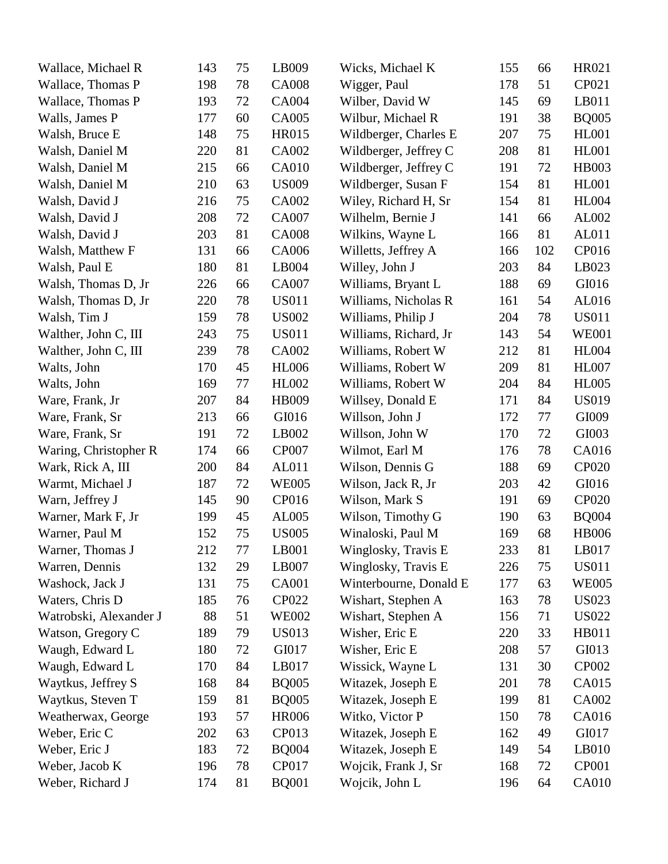| Wallace, Michael R     | 143 | 75      | LB009        | Wicks, Michael K       | 155 | 66  | HR021        |
|------------------------|-----|---------|--------------|------------------------|-----|-----|--------------|
| Wallace, Thomas P      | 198 | 78      | <b>CA008</b> | Wigger, Paul           | 178 | 51  | CP021        |
| Wallace, Thomas P      | 193 | 72      | CA004        | Wilber, David W        | 145 | 69  | LB011        |
| Walls, James P         | 177 | 60      | <b>CA005</b> | Wilbur, Michael R      | 191 | 38  | <b>BQ005</b> |
| Walsh, Bruce E         | 148 | 75      | HR015        | Wildberger, Charles E  | 207 | 75  | <b>HL001</b> |
| Walsh, Daniel M        | 220 | 81      | CA002        | Wildberger, Jeffrey C  | 208 | 81  | <b>HL001</b> |
| Walsh, Daniel M        | 215 | 66      | <b>CA010</b> | Wildberger, Jeffrey C  | 191 | 72  | <b>HB003</b> |
| Walsh, Daniel M        | 210 | 63      | <b>US009</b> | Wildberger, Susan F    | 154 | 81  | <b>HL001</b> |
| Walsh, David J         | 216 | 75      | CA002        | Wiley, Richard H, Sr   | 154 | 81  | <b>HL004</b> |
| Walsh, David J         | 208 | 72      | CA007        | Wilhelm, Bernie J      | 141 | 66  | AL002        |
| Walsh, David J         | 203 | 81      | <b>CA008</b> | Wilkins, Wayne L       | 166 | 81  | AL011        |
| Walsh, Matthew F       | 131 | 66      | CA006        | Willetts, Jeffrey A    | 166 | 102 | CP016        |
| Walsh, Paul E          | 180 | 81      | LB004        | Willey, John J         | 203 | 84  | LB023        |
| Walsh, Thomas D, Jr    | 226 | 66      | CA007        | Williams, Bryant L     | 188 | 69  | GI016        |
| Walsh, Thomas D, Jr    | 220 | 78      | <b>US011</b> | Williams, Nicholas R   | 161 | 54  | AL016        |
| Walsh, Tim J           | 159 | 78      | <b>US002</b> | Williams, Philip J     | 204 | 78  | <b>US011</b> |
| Walther, John C, III   | 243 | 75      | <b>US011</b> | Williams, Richard, Jr  | 143 | 54  | <b>WE001</b> |
| Walther, John C, III   | 239 | 78      | CA002        | Williams, Robert W     | 212 | 81  | <b>HL004</b> |
| Walts, John            | 170 | 45      | <b>HL006</b> | Williams, Robert W     | 209 | 81  | <b>HL007</b> |
| Walts, John            | 169 | 77      | <b>HL002</b> | Williams, Robert W     | 204 | 84  | <b>HL005</b> |
| Ware, Frank, Jr        | 207 | 84      | HB009        | Willsey, Donald E      | 171 | 84  | <b>US019</b> |
| Ware, Frank, Sr        | 213 | 66      | GI016        | Willson, John J        | 172 | 77  | GI009        |
| Ware, Frank, Sr        | 191 | 72      | LB002        | Willson, John W        | 170 | 72  | GI003        |
| Waring, Christopher R  | 174 | 66      | <b>CP007</b> | Wilmot, Earl M         | 176 | 78  | CA016        |
| Wark, Rick A, III      | 200 | 84      | AL011        | Wilson, Dennis G       | 188 | 69  | <b>CP020</b> |
| Warmt, Michael J       | 187 | 72      | <b>WE005</b> | Wilson, Jack R, Jr     | 203 | 42  | GI016        |
| Warn, Jeffrey J        | 145 | 90      | CP016        | Wilson, Mark S         | 191 | 69  | <b>CP020</b> |
| Warner, Mark F, Jr     | 199 | 45      | AL005        | Wilson, Timothy G      | 190 | 63  | <b>BQ004</b> |
| Warner, Paul M         | 152 | 75      | <b>US005</b> | Winaloski, Paul M      | 169 | 68  | <b>HB006</b> |
| Warner, Thomas J       | 212 | $77 \,$ | LB001        | Winglosky, Travis E    | 233 | 81  | LB017        |
| Warren, Dennis         | 132 | 29      | LB007        | Winglosky, Travis E    | 226 | 75  | <b>US011</b> |
| Washock, Jack J        | 131 | 75      | CA001        | Winterbourne, Donald E | 177 | 63  | <b>WE005</b> |
| Waters, Chris D        | 185 | 76      | <b>CP022</b> | Wishart, Stephen A     | 163 | 78  | <b>US023</b> |
| Watrobski, Alexander J | 88  | 51      | <b>WE002</b> | Wishart, Stephen A     | 156 | 71  | <b>US022</b> |
| Watson, Gregory C      | 189 | 79      | <b>US013</b> | Wisher, Eric E         | 220 | 33  | HB011        |
| Waugh, Edward L        | 180 | 72      | GI017        | Wisher, Eric E         | 208 | 57  | GI013        |
| Waugh, Edward L        | 170 | 84      | LB017        | Wissick, Wayne L       | 131 | 30  | <b>CP002</b> |
| Waytkus, Jeffrey S     | 168 | 84      | <b>BQ005</b> | Witazek, Joseph E      | 201 | 78  | CA015        |
| Waytkus, Steven T      | 159 | 81      | <b>BQ005</b> | Witazek, Joseph E      | 199 | 81  | CA002        |
| Weatherwax, George     | 193 | 57      | <b>HR006</b> | Witko, Victor P        | 150 | 78  | CA016        |
| Weber, Eric C          | 202 | 63      | CP013        | Witazek, Joseph E      | 162 | 49  | GI017        |
| Weber, Eric J          | 183 | 72      | <b>BQ004</b> | Witazek, Joseph E      | 149 | 54  | LB010        |
| Weber, Jacob K         | 196 | 78      | CP017        | Wojcik, Frank J, Sr    | 168 | 72  | CP001        |
| Weber, Richard J       | 174 | 81      | <b>BQ001</b> | Wojcik, John L         | 196 | 64  | <b>CA010</b> |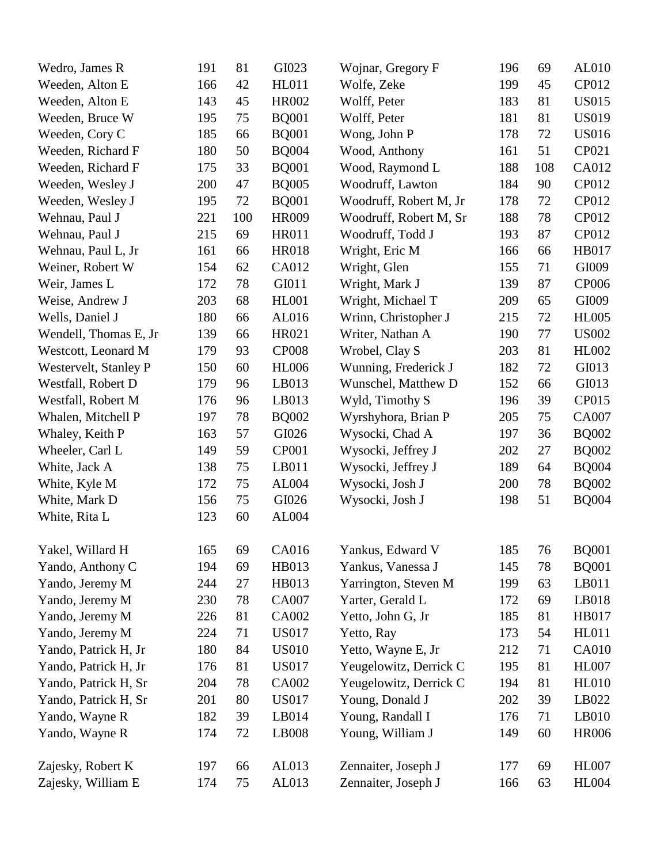| Wedro, James R        | 191 | 81  | GI023        | Wojnar, Gregory F      | 196 | 69  | AL010        |
|-----------------------|-----|-----|--------------|------------------------|-----|-----|--------------|
| Weeden, Alton E       | 166 | 42  | <b>HL011</b> | Wolfe, Zeke            | 199 | 45  | CP012        |
| Weeden, Alton E       | 143 | 45  | HR002        | Wolff, Peter           | 183 | 81  | <b>US015</b> |
| Weeden, Bruce W       | 195 | 75  | <b>BQ001</b> | Wolff, Peter           | 181 | 81  | <b>US019</b> |
| Weeden, Cory C        | 185 | 66  | <b>BQ001</b> | Wong, John P           | 178 | 72  | <b>US016</b> |
| Weeden, Richard F     | 180 | 50  | <b>BQ004</b> | Wood, Anthony          | 161 | 51  | CP021        |
| Weeden, Richard F     | 175 | 33  | <b>BQ001</b> | Wood, Raymond L        | 188 | 108 | CA012        |
| Weeden, Wesley J      | 200 | 47  | <b>BQ005</b> | Woodruff, Lawton       | 184 | 90  | CP012        |
| Weeden, Wesley J      | 195 | 72  | <b>BQ001</b> | Woodruff, Robert M, Jr | 178 | 72  | CP012        |
| Wehnau, Paul J        | 221 | 100 | <b>HR009</b> | Woodruff, Robert M, Sr | 188 | 78  | CP012        |
| Wehnau, Paul J        | 215 | 69  | <b>HR011</b> | Woodruff, Todd J       | 193 | 87  | CP012        |
| Wehnau, Paul L, Jr    | 161 | 66  | <b>HR018</b> | Wright, Eric M         | 166 | 66  | HB017        |
| Weiner, Robert W      | 154 | 62  | CA012        | Wright, Glen           | 155 | 71  | GI009        |
| Weir, James L         | 172 | 78  | GI011        | Wright, Mark J         | 139 | 87  | <b>CP006</b> |
| Weise, Andrew J       | 203 | 68  | <b>HL001</b> | Wright, Michael T      | 209 | 65  | GI009        |
| Wells, Daniel J       | 180 | 66  | AL016        | Wrinn, Christopher J   | 215 | 72  | <b>HL005</b> |
| Wendell, Thomas E, Jr | 139 | 66  | HR021        | Writer, Nathan A       | 190 | 77  | <b>US002</b> |
| Westcott, Leonard M   | 179 | 93  | <b>CP008</b> | Wrobel, Clay S         | 203 | 81  | <b>HL002</b> |
| Westervelt, Stanley P | 150 | 60  | <b>HL006</b> | Wunning, Frederick J   | 182 | 72  | GI013        |
| Westfall, Robert D    | 179 | 96  | LB013        | Wunschel, Matthew D    | 152 | 66  | GI013        |
| Westfall, Robert M    | 176 | 96  | LB013        | Wyld, Timothy S        | 196 | 39  | CP015        |
| Whalen, Mitchell P    | 197 | 78  | <b>BQ002</b> | Wyrshyhora, Brian P    | 205 | 75  | <b>CA007</b> |
| Whaley, Keith P       | 163 | 57  | GI026        | Wysocki, Chad A        | 197 | 36  | <b>BQ002</b> |
| Wheeler, Carl L       | 149 | 59  | <b>CP001</b> | Wysocki, Jeffrey J     | 202 | 27  | <b>BQ002</b> |
| White, Jack A         | 138 | 75  | LB011        | Wysocki, Jeffrey J     | 189 | 64  | <b>BQ004</b> |
| White, Kyle M         | 172 | 75  | AL004        | Wysocki, Josh J        | 200 | 78  | <b>BQ002</b> |
| White, Mark D         | 156 | 75  | GI026        | Wysocki, Josh J        | 198 | 51  | <b>BQ004</b> |
| White, Rita L         | 123 | 60  | AL004        |                        |     |     |              |
| Yakel, Willard H      | 165 | 69  | CA016        | Yankus, Edward V       | 185 | 76  | <b>BQ001</b> |
| Yando, Anthony C      | 194 | 69  | HB013        | Yankus, Vanessa J      | 145 | 78  | <b>BQ001</b> |
| Yando, Jeremy M       | 244 | 27  | HB013        | Yarrington, Steven M   | 199 | 63  | LB011        |
| Yando, Jeremy M       | 230 | 78  | CA007        | Yarter, Gerald L       | 172 | 69  | LB018        |
| Yando, Jeremy M       | 226 | 81  | CA002        | Yetto, John G, Jr      | 185 | 81  | HB017        |
| Yando, Jeremy M       | 224 | 71  | <b>US017</b> | Yetto, Ray             | 173 | 54  | <b>HL011</b> |
| Yando, Patrick H, Jr  | 180 | 84  | <b>US010</b> | Yetto, Wayne E, Jr     | 212 | 71  | <b>CA010</b> |
| Yando, Patrick H, Jr  | 176 | 81  | <b>US017</b> | Yeugelowitz, Derrick C | 195 | 81  | <b>HL007</b> |
| Yando, Patrick H, Sr  | 204 | 78  | CA002        | Yeugelowitz, Derrick C | 194 | 81  | <b>HL010</b> |
| Yando, Patrick H, Sr  | 201 | 80  | <b>US017</b> | Young, Donald J        | 202 | 39  | LB022        |
| Yando, Wayne R        | 182 | 39  | LB014        | Young, Randall I       | 176 | 71  | LB010        |
| Yando, Wayne R        | 174 | 72  | LB008        | Young, William J       | 149 | 60  | <b>HR006</b> |
| Zajesky, Robert K     | 197 | 66  | AL013        | Zennaiter, Joseph J    | 177 | 69  | <b>HL007</b> |
| Zajesky, William E    | 174 | 75  | AL013        | Zennaiter, Joseph J    | 166 | 63  | <b>HL004</b> |